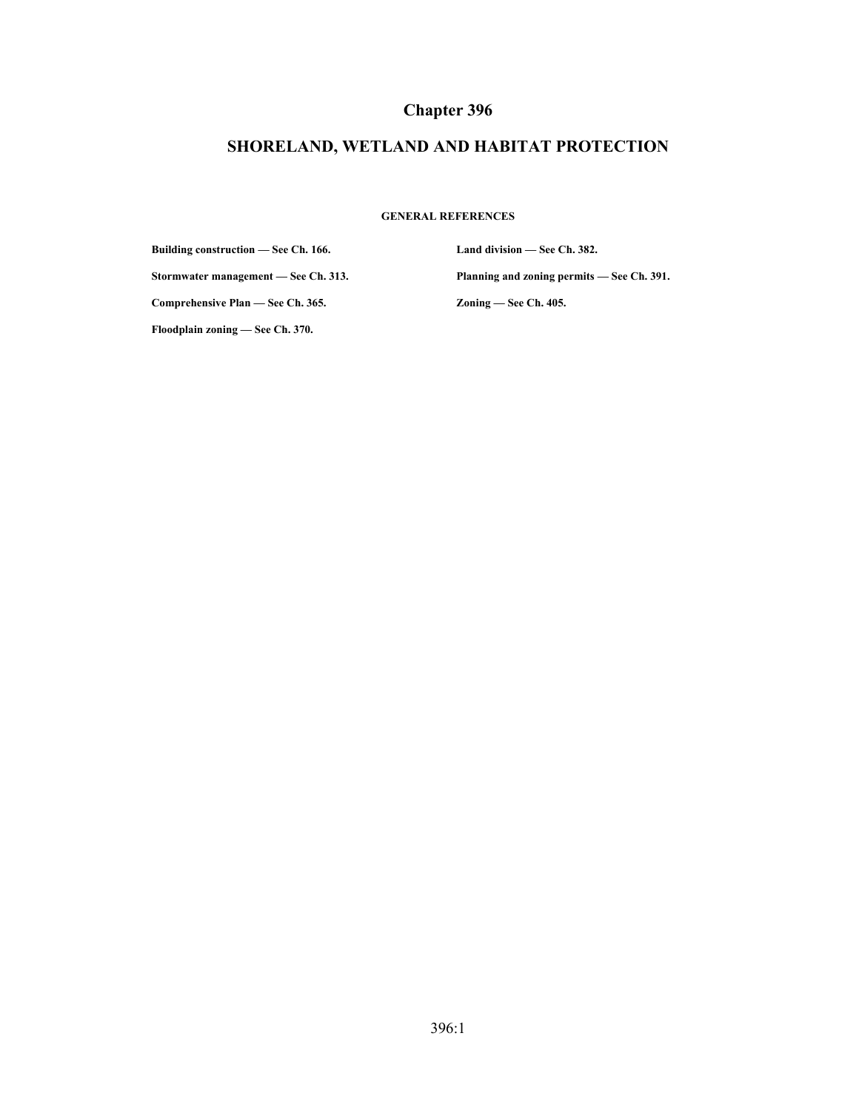# **Chapter 396**

# **SHORELAND, WETLAND AND HABITAT PROTECTION**

#### **GENERAL REFERENCES**

**Building construction — See Ch. 166.**

**Stormwater management — See Ch. 313.**

**Land division — See Ch. 382. Planning and zoning permits — See Ch. 391. Zoning — See Ch. 405.**

**Comprehensive Plan — See Ch. 365.**

**Floodplain zoning — See Ch. 370.**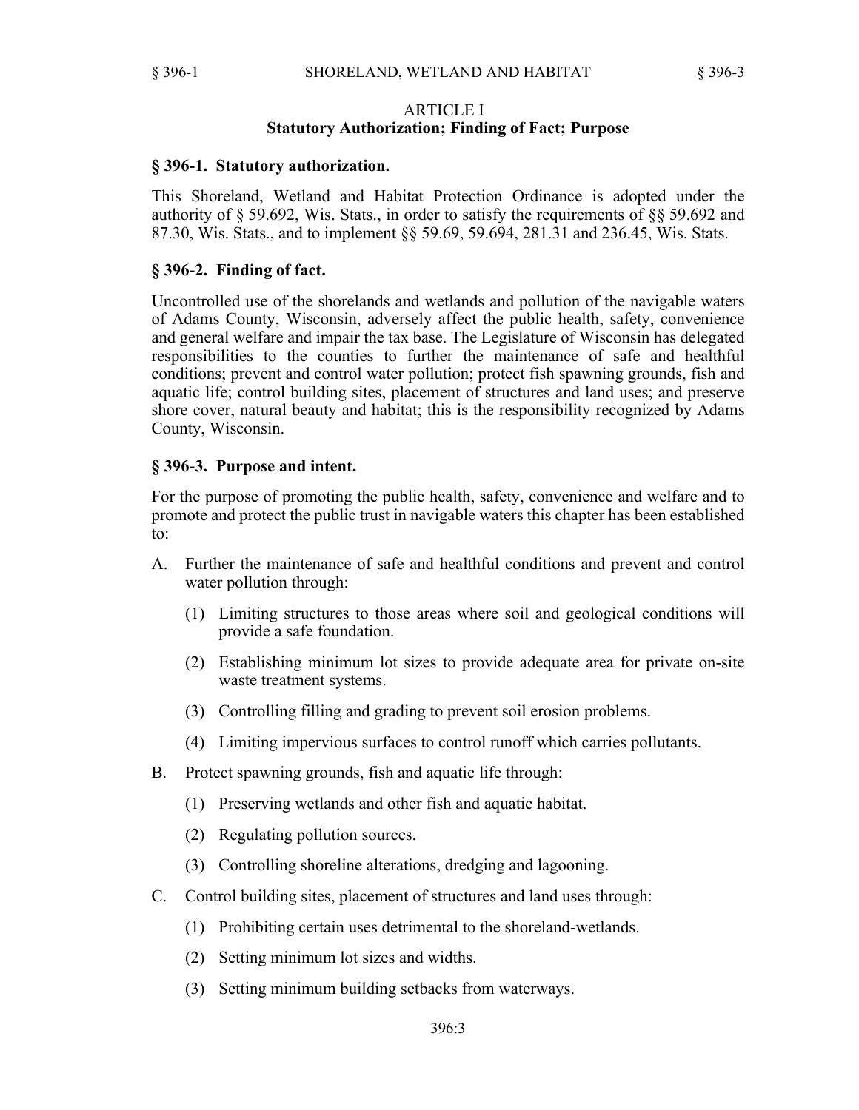#### ARTICLE I **Statutory Authorization; Finding of Fact; Purpose**

#### **§ 396-1. Statutory authorization.**

This Shoreland, Wetland and Habitat Protection Ordinance is adopted under the authority of § 59.692, Wis. Stats., in order to satisfy the requirements of §§ 59.692 and 87.30, Wis. Stats., and to implement §§ 59.69, 59.694, 281.31 and 236.45, Wis. Stats.

#### **§ 396-2. Finding of fact.**

Uncontrolled use of the shorelands and wetlands and pollution of the navigable waters of Adams County, Wisconsin, adversely affect the public health, safety, convenience and general welfare and impair the tax base. The Legislature of Wisconsin has delegated responsibilities to the counties to further the maintenance of safe and healthful conditions; prevent and control water pollution; protect fish spawning grounds, fish and aquatic life; control building sites, placement of structures and land uses; and preserve shore cover, natural beauty and habitat; this is the responsibility recognized by Adams County, Wisconsin.

#### **§ 396-3. Purpose and intent.**

For the purpose of promoting the public health, safety, convenience and welfare and to promote and protect the public trust in navigable waters this chapter has been established to:

- A. Further the maintenance of safe and healthful conditions and prevent and control water pollution through:
	- (1) Limiting structures to those areas where soil and geological conditions will provide a safe foundation.
	- (2) Establishing minimum lot sizes to provide adequate area for private on-site waste treatment systems.
	- (3) Controlling filling and grading to prevent soil erosion problems.
	- (4) Limiting impervious surfaces to control runoff which carries pollutants.
- B. Protect spawning grounds, fish and aquatic life through:
	- (1) Preserving wetlands and other fish and aquatic habitat.
	- (2) Regulating pollution sources.
	- (3) Controlling shoreline alterations, dredging and lagooning.
- C. Control building sites, placement of structures and land uses through:
	- (1) Prohibiting certain uses detrimental to the shoreland-wetlands.
	- (2) Setting minimum lot sizes and widths.
	- (3) Setting minimum building setbacks from waterways.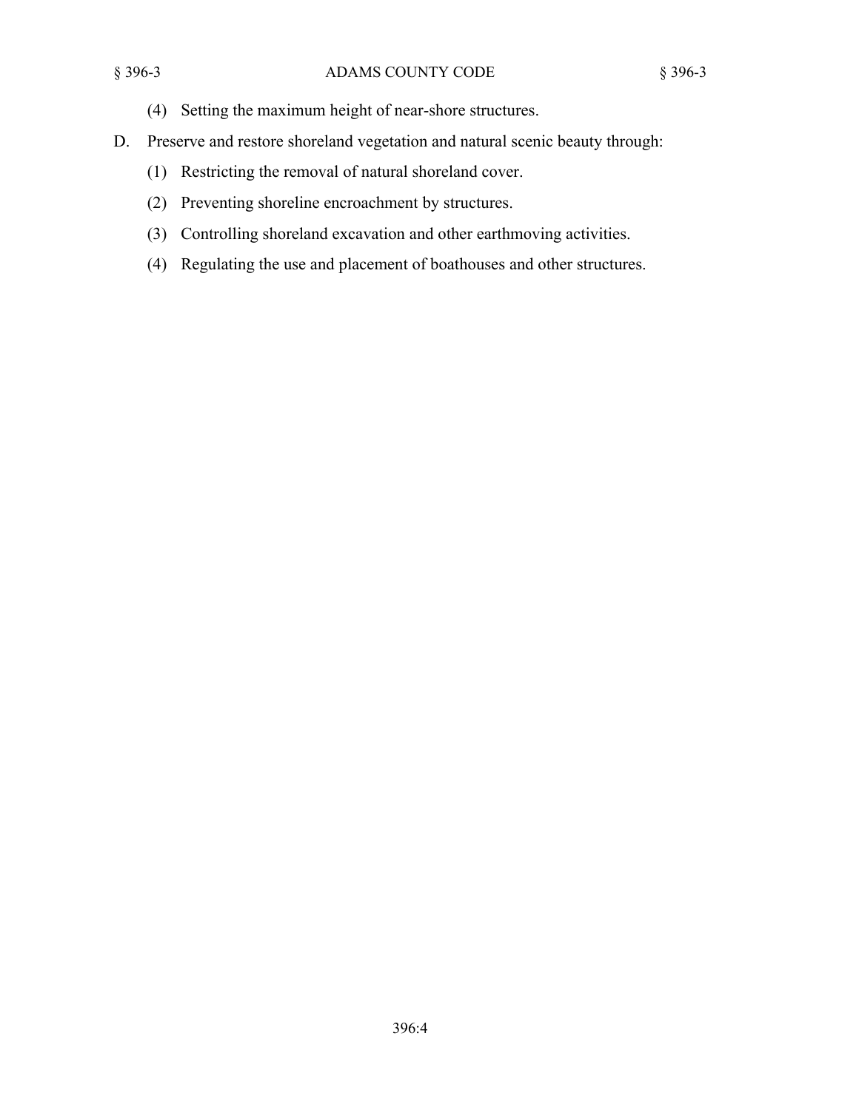- (4) Setting the maximum height of near-shore structures.
- D. Preserve and restore shoreland vegetation and natural scenic beauty through:
	- (1) Restricting the removal of natural shoreland cover.
	- (2) Preventing shoreline encroachment by structures.
	- (3) Controlling shoreland excavation and other earthmoving activities.
	- (4) Regulating the use and placement of boathouses and other structures.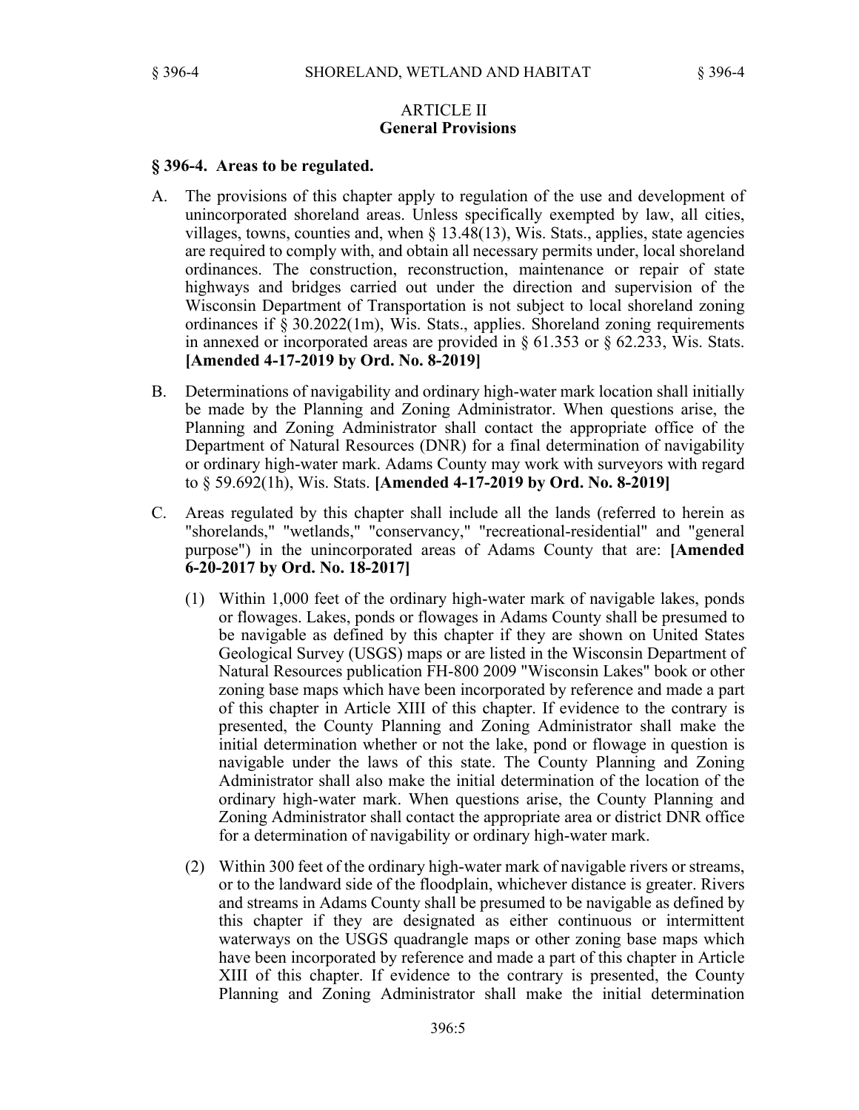#### ARTICLE II **General Provisions**

#### **§ 396-4. Areas to be regulated.**

- A. The provisions of this chapter apply to regulation of the use and development of unincorporated shoreland areas. Unless specifically exempted by law, all cities, villages, towns, counties and, when § 13.48(13), Wis. Stats., applies, state agencies are required to comply with, and obtain all necessary permits under, local shoreland ordinances. The construction, reconstruction, maintenance or repair of state highways and bridges carried out under the direction and supervision of the Wisconsin Department of Transportation is not subject to local shoreland zoning ordinances if § 30.2022(1m), Wis. Stats., applies. Shoreland zoning requirements in annexed or incorporated areas are provided in  $\S 61.353$  or  $\S 62.233$ , Wis. Stats. **[Amended 4-17-2019 by Ord. No. 8-2019]**
- B. Determinations of navigability and ordinary high-water mark location shall initially be made by the Planning and Zoning Administrator. When questions arise, the Planning and Zoning Administrator shall contact the appropriate office of the Department of Natural Resources (DNR) for a final determination of navigability or ordinary high-water mark. Adams County may work with surveyors with regard to § 59.692(1h), Wis. Stats. **[Amended 4-17-2019 by Ord. No. 8-2019]**
- C. Areas regulated by this chapter shall include all the lands (referred to herein as "shorelands," "wetlands," "conservancy," "recreational-residential" and "general purpose") in the unincorporated areas of Adams County that are: **[Amended 6-20-2017 by Ord. No. 18-2017]**
	- (1) Within 1,000 feet of the ordinary high-water mark of navigable lakes, ponds or flowages. Lakes, ponds or flowages in Adams County shall be presumed to be navigable as defined by this chapter if they are shown on United States Geological Survey (USGS) maps or are listed in the Wisconsin Department of Natural Resources publication FH-800 2009 "Wisconsin Lakes" book or other zoning base maps which have been incorporated by reference and made a part of this chapter in Article XIII of this chapter. If evidence to the contrary is presented, the County Planning and Zoning Administrator shall make the initial determination whether or not the lake, pond or flowage in question is navigable under the laws of this state. The County Planning and Zoning Administrator shall also make the initial determination of the location of the ordinary high-water mark. When questions arise, the County Planning and Zoning Administrator shall contact the appropriate area or district DNR office for a determination of navigability or ordinary high-water mark.
	- (2) Within 300 feet of the ordinary high-water mark of navigable rivers or streams, or to the landward side of the floodplain, whichever distance is greater. Rivers and streams in Adams County shall be presumed to be navigable as defined by this chapter if they are designated as either continuous or intermittent waterways on the USGS quadrangle maps or other zoning base maps which have been incorporated by reference and made a part of this chapter in Article XIII of this chapter. If evidence to the contrary is presented, the County Planning and Zoning Administrator shall make the initial determination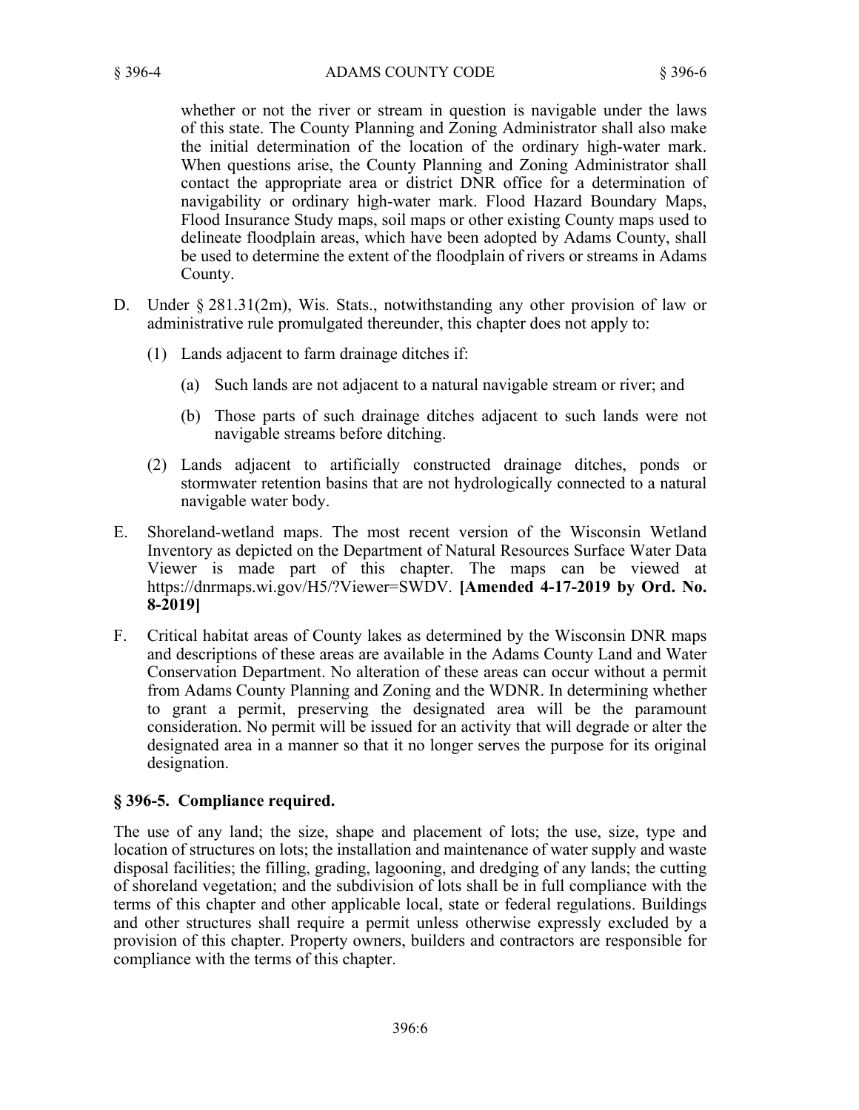whether or not the river or stream in question is navigable under the laws of this state. The County Planning and Zoning Administrator shall also make the initial determination of the location of the ordinary high-water mark. When questions arise, the County Planning and Zoning Administrator shall contact the appropriate area or district DNR office for a determination of navigability or ordinary high-water mark. Flood Hazard Boundary Maps, Flood Insurance Study maps, soil maps or other existing County maps used to delineate floodplain areas, which have been adopted by Adams County, shall be used to determine the extent of the floodplain of rivers or streams in Adams County.

- D. Under § 281.31(2m), Wis. Stats., notwithstanding any other provision of law or administrative rule promulgated thereunder, this chapter does not apply to:
	- (1) Lands adjacent to farm drainage ditches if:
		- (a) Such lands are not adjacent to a natural navigable stream or river; and
		- (b) Those parts of such drainage ditches adjacent to such lands were not navigable streams before ditching.
	- (2) Lands adjacent to artificially constructed drainage ditches, ponds or stormwater retention basins that are not hydrologically connected to a natural navigable water body.
- E. Shoreland-wetland maps. The most recent version of the Wisconsin Wetland Inventory as depicted on the Department of Natural Resources Surface Water Data Viewer is made part of this chapter. The maps can be viewed at https://dnrmaps.wi.gov/H5/?Viewer=SWDV. **[Amended 4-17-2019 by Ord. No. 8-2019]**
- F. Critical habitat areas of County lakes as determined by the Wisconsin DNR maps and descriptions of these areas are available in the Adams County Land and Water Conservation Department. No alteration of these areas can occur without a permit from Adams County Planning and Zoning and the WDNR. In determining whether to grant a permit, preserving the designated area will be the paramount consideration. No permit will be issued for an activity that will degrade or alter the designated area in a manner so that it no longer serves the purpose for its original designation.

## **§ 396-5. Compliance required.**

The use of any land; the size, shape and placement of lots; the use, size, type and location of structures on lots; the installation and maintenance of water supply and waste disposal facilities; the filling, grading, lagooning, and dredging of any lands; the cutting of shoreland vegetation; and the subdivision of lots shall be in full compliance with the terms of this chapter and other applicable local, state or federal regulations. Buildings and other structures shall require a permit unless otherwise expressly excluded by a provision of this chapter. Property owners, builders and contractors are responsible for compliance with the terms of this chapter.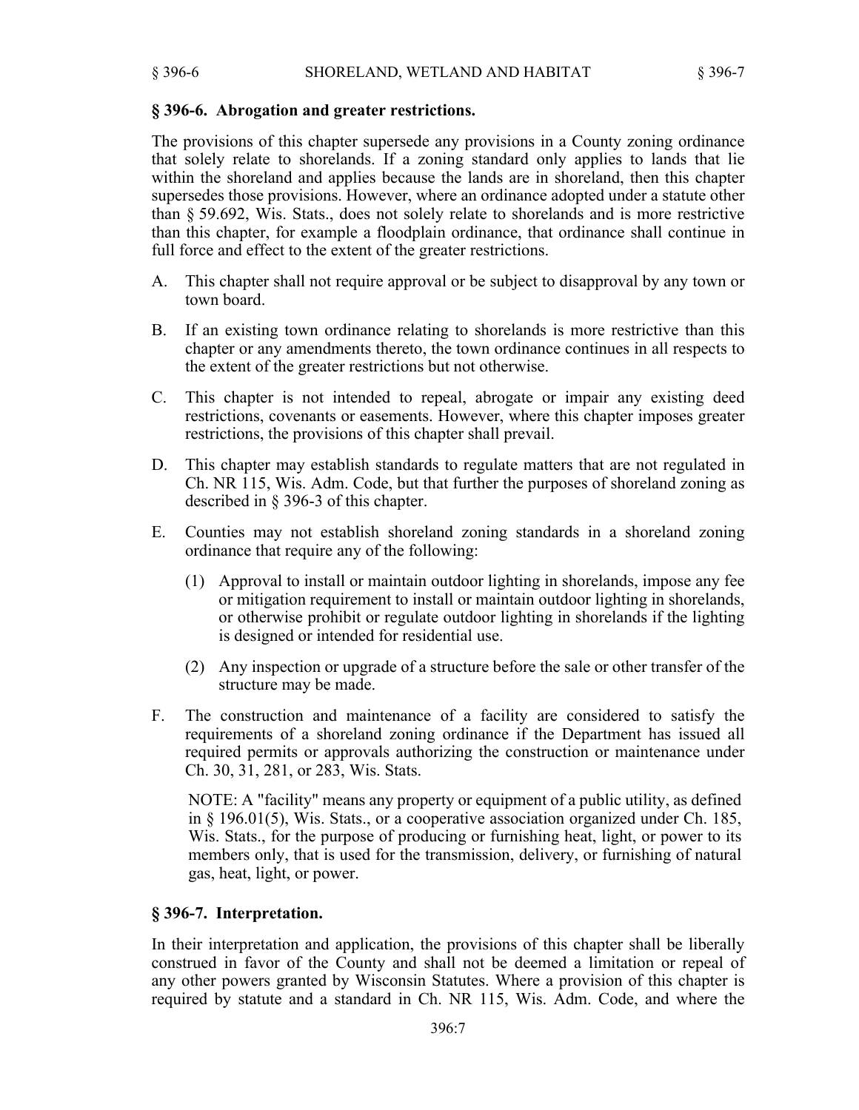# **§ 396-6. Abrogation and greater restrictions.**

The provisions of this chapter supersede any provisions in a County zoning ordinance that solely relate to shorelands. If a zoning standard only applies to lands that lie within the shoreland and applies because the lands are in shoreland, then this chapter supersedes those provisions. However, where an ordinance adopted under a statute other than § 59.692, Wis. Stats., does not solely relate to shorelands and is more restrictive than this chapter, for example a floodplain ordinance, that ordinance shall continue in full force and effect to the extent of the greater restrictions.

- A. This chapter shall not require approval or be subject to disapproval by any town or town board.
- B. If an existing town ordinance relating to shorelands is more restrictive than this chapter or any amendments thereto, the town ordinance continues in all respects to the extent of the greater restrictions but not otherwise.
- C. This chapter is not intended to repeal, abrogate or impair any existing deed restrictions, covenants or easements. However, where this chapter imposes greater restrictions, the provisions of this chapter shall prevail.
- D. This chapter may establish standards to regulate matters that are not regulated in Ch. NR 115, Wis. Adm. Code, but that further the purposes of shoreland zoning as described in § 396-3 of this chapter.
- E. Counties may not establish shoreland zoning standards in a shoreland zoning ordinance that require any of the following:
	- (1) Approval to install or maintain outdoor lighting in shorelands, impose any fee or mitigation requirement to install or maintain outdoor lighting in shorelands, or otherwise prohibit or regulate outdoor lighting in shorelands if the lighting is designed or intended for residential use.
	- (2) Any inspection or upgrade of a structure before the sale or other transfer of the structure may be made.
- F. The construction and maintenance of a facility are considered to satisfy the requirements of a shoreland zoning ordinance if the Department has issued all required permits or approvals authorizing the construction or maintenance under Ch. 30, 31, 281, or 283, Wis. Stats.

NOTE: A "facility" means any property or equipment of a public utility, as defined in § 196.01(5), Wis. Stats., or a cooperative association organized under Ch. 185, Wis. Stats., for the purpose of producing or furnishing heat, light, or power to its members only, that is used for the transmission, delivery, or furnishing of natural gas, heat, light, or power.

# **§ 396-7. Interpretation.**

In their interpretation and application, the provisions of this chapter shall be liberally construed in favor of the County and shall not be deemed a limitation or repeal of any other powers granted by Wisconsin Statutes. Where a provision of this chapter is required by statute and a standard in Ch. NR 115, Wis. Adm. Code, and where the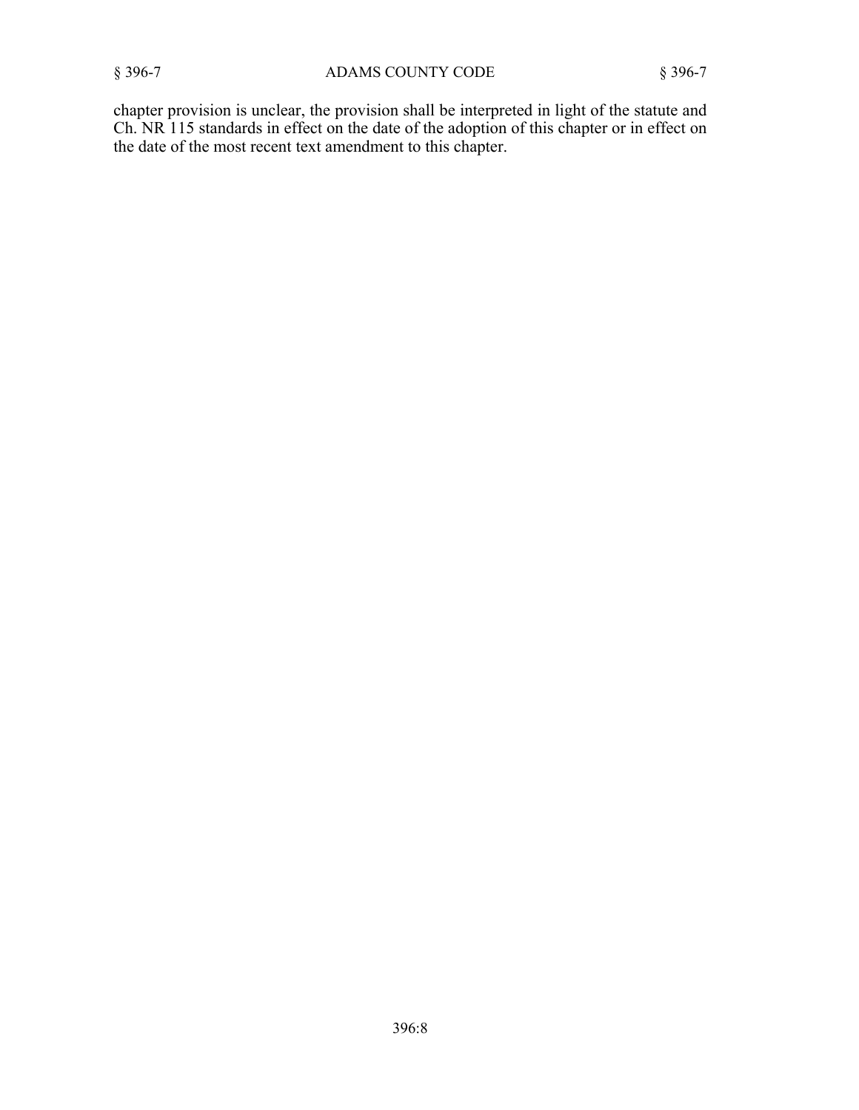chapter provision is unclear, the provision shall be interpreted in light of the statute and Ch. NR 115 standards in effect on the date of the adoption of this chapter or in effect on the date of the most recent text amendment to this chapter.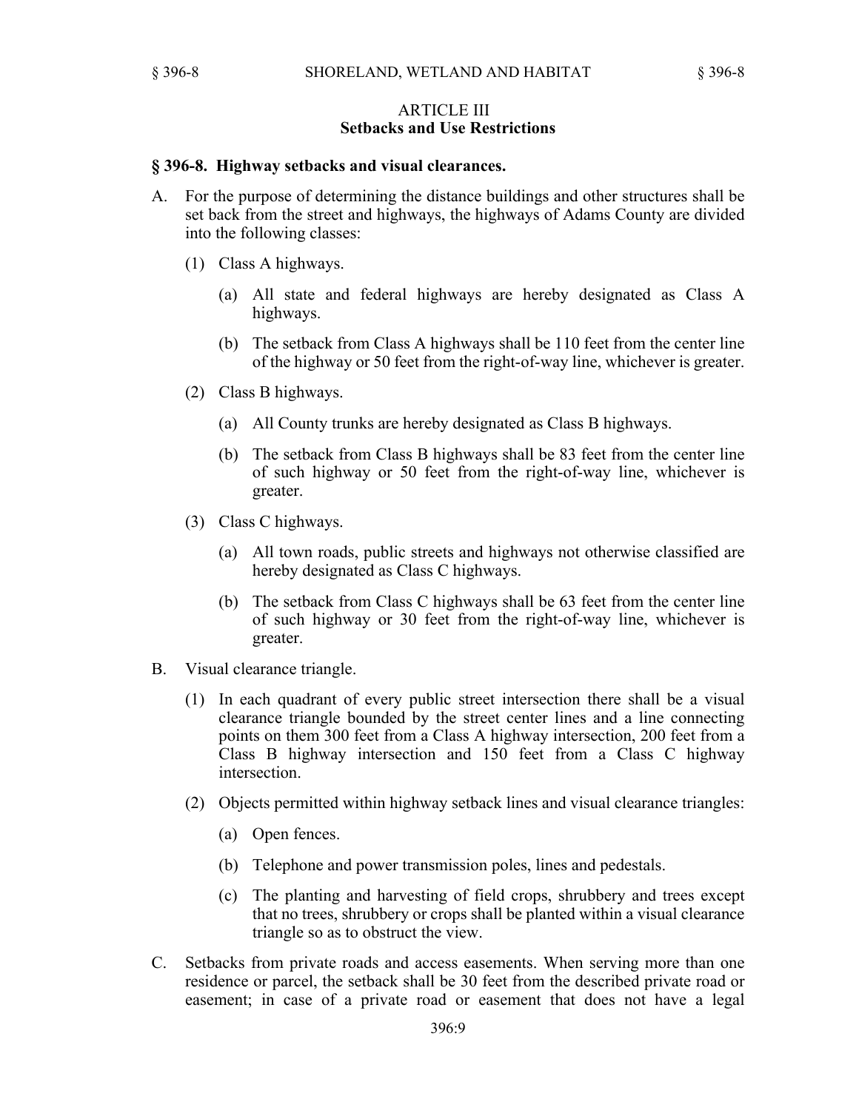## ARTICLE III **Setbacks and Use Restrictions**

#### **§ 396-8. Highway setbacks and visual clearances.**

- A. For the purpose of determining the distance buildings and other structures shall be set back from the street and highways, the highways of Adams County are divided into the following classes:
	- (1) Class A highways.
		- (a) All state and federal highways are hereby designated as Class A highways.
		- (b) The setback from Class A highways shall be 110 feet from the center line of the highway or 50 feet from the right-of-way line, whichever is greater.
	- (2) Class B highways.
		- (a) All County trunks are hereby designated as Class B highways.
		- (b) The setback from Class B highways shall be 83 feet from the center line of such highway or 50 feet from the right-of-way line, whichever is greater.
	- (3) Class C highways.
		- (a) All town roads, public streets and highways not otherwise classified are hereby designated as Class C highways.
		- (b) The setback from Class C highways shall be 63 feet from the center line of such highway or 30 feet from the right-of-way line, whichever is greater.
- B. Visual clearance triangle.
	- (1) In each quadrant of every public street intersection there shall be a visual clearance triangle bounded by the street center lines and a line connecting points on them 300 feet from a Class A highway intersection, 200 feet from a Class B highway intersection and 150 feet from a Class C highway intersection.
	- (2) Objects permitted within highway setback lines and visual clearance triangles:
		- (a) Open fences.
		- (b) Telephone and power transmission poles, lines and pedestals.
		- (c) The planting and harvesting of field crops, shrubbery and trees except that no trees, shrubbery or crops shall be planted within a visual clearance triangle so as to obstruct the view.
- C. Setbacks from private roads and access easements. When serving more than one residence or parcel, the setback shall be 30 feet from the described private road or easement; in case of a private road or easement that does not have a legal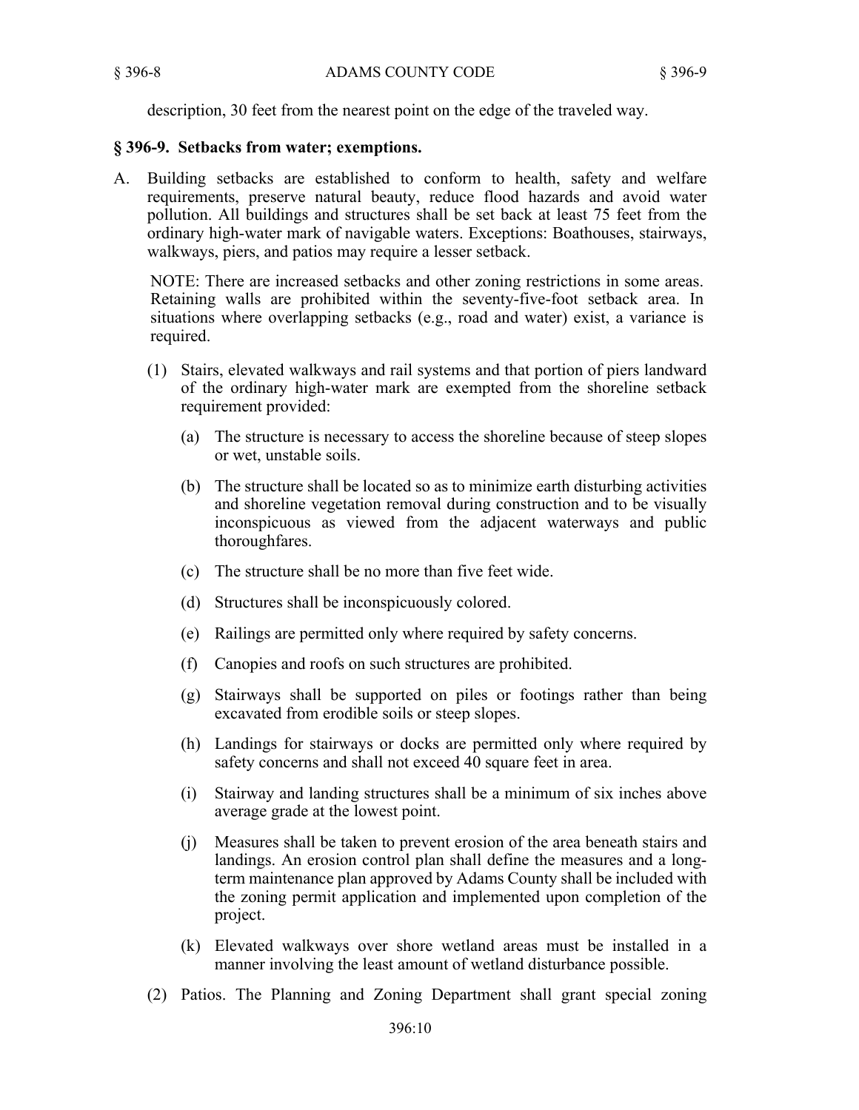description, 30 feet from the nearest point on the edge of the traveled way.

## **§ 396-9. Setbacks from water; exemptions.**

A. Building setbacks are established to conform to health, safety and welfare requirements, preserve natural beauty, reduce flood hazards and avoid water pollution. All buildings and structures shall be set back at least 75 feet from the ordinary high-water mark of navigable waters. Exceptions: Boathouses, stairways, walkways, piers, and patios may require a lesser setback.

NOTE: There are increased setbacks and other zoning restrictions in some areas. Retaining walls are prohibited within the seventy-five-foot setback area. In situations where overlapping setbacks (e.g., road and water) exist, a variance is required.

- (1) Stairs, elevated walkways and rail systems and that portion of piers landward of the ordinary high-water mark are exempted from the shoreline setback requirement provided:
	- (a) The structure is necessary to access the shoreline because of steep slopes or wet, unstable soils.
	- (b) The structure shall be located so as to minimize earth disturbing activities and shoreline vegetation removal during construction and to be visually inconspicuous as viewed from the adjacent waterways and public thoroughfares.
	- (c) The structure shall be no more than five feet wide.
	- (d) Structures shall be inconspicuously colored.
	- (e) Railings are permitted only where required by safety concerns.
	- (f) Canopies and roofs on such structures are prohibited.
	- (g) Stairways shall be supported on piles or footings rather than being excavated from erodible soils or steep slopes.
	- (h) Landings for stairways or docks are permitted only where required by safety concerns and shall not exceed 40 square feet in area.
	- (i) Stairway and landing structures shall be a minimum of six inches above average grade at the lowest point.
	- (j) Measures shall be taken to prevent erosion of the area beneath stairs and landings. An erosion control plan shall define the measures and a longterm maintenance plan approved by Adams County shall be included with the zoning permit application and implemented upon completion of the project.
	- (k) Elevated walkways over shore wetland areas must be installed in a manner involving the least amount of wetland disturbance possible.
- (2) Patios. The Planning and Zoning Department shall grant special zoning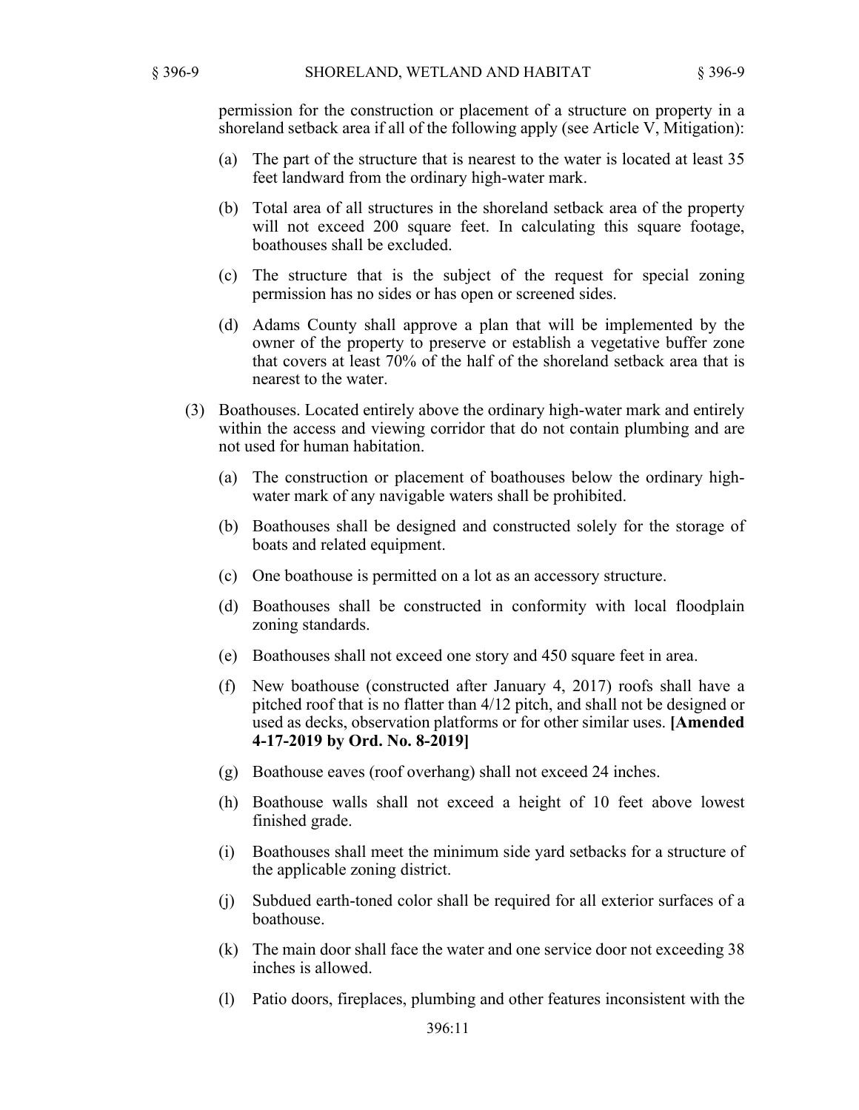permission for the construction or placement of a structure on property in a shoreland setback area if all of the following apply (see Article V, Mitigation):

- (a) The part of the structure that is nearest to the water is located at least 35 feet landward from the ordinary high-water mark.
- (b) Total area of all structures in the shoreland setback area of the property will not exceed 200 square feet. In calculating this square footage, boathouses shall be excluded.
- (c) The structure that is the subject of the request for special zoning permission has no sides or has open or screened sides.
- (d) Adams County shall approve a plan that will be implemented by the owner of the property to preserve or establish a vegetative buffer zone that covers at least 70% of the half of the shoreland setback area that is nearest to the water.
- (3) Boathouses. Located entirely above the ordinary high-water mark and entirely within the access and viewing corridor that do not contain plumbing and are not used for human habitation.
	- (a) The construction or placement of boathouses below the ordinary highwater mark of any navigable waters shall be prohibited.
	- (b) Boathouses shall be designed and constructed solely for the storage of boats and related equipment.
	- (c) One boathouse is permitted on a lot as an accessory structure.
	- (d) Boathouses shall be constructed in conformity with local floodplain zoning standards.
	- (e) Boathouses shall not exceed one story and 450 square feet in area.
	- (f) New boathouse (constructed after January 4, 2017) roofs shall have a pitched roof that is no flatter than 4/12 pitch, and shall not be designed or used as decks, observation platforms or for other similar uses. **[Amended 4-17-2019 by Ord. No. 8-2019]**
	- (g) Boathouse eaves (roof overhang) shall not exceed 24 inches.
	- (h) Boathouse walls shall not exceed a height of 10 feet above lowest finished grade.
	- (i) Boathouses shall meet the minimum side yard setbacks for a structure of the applicable zoning district.
	- (j) Subdued earth-toned color shall be required for all exterior surfaces of a boathouse.
	- (k) The main door shall face the water and one service door not exceeding 38 inches is allowed.
	- (l) Patio doors, fireplaces, plumbing and other features inconsistent with the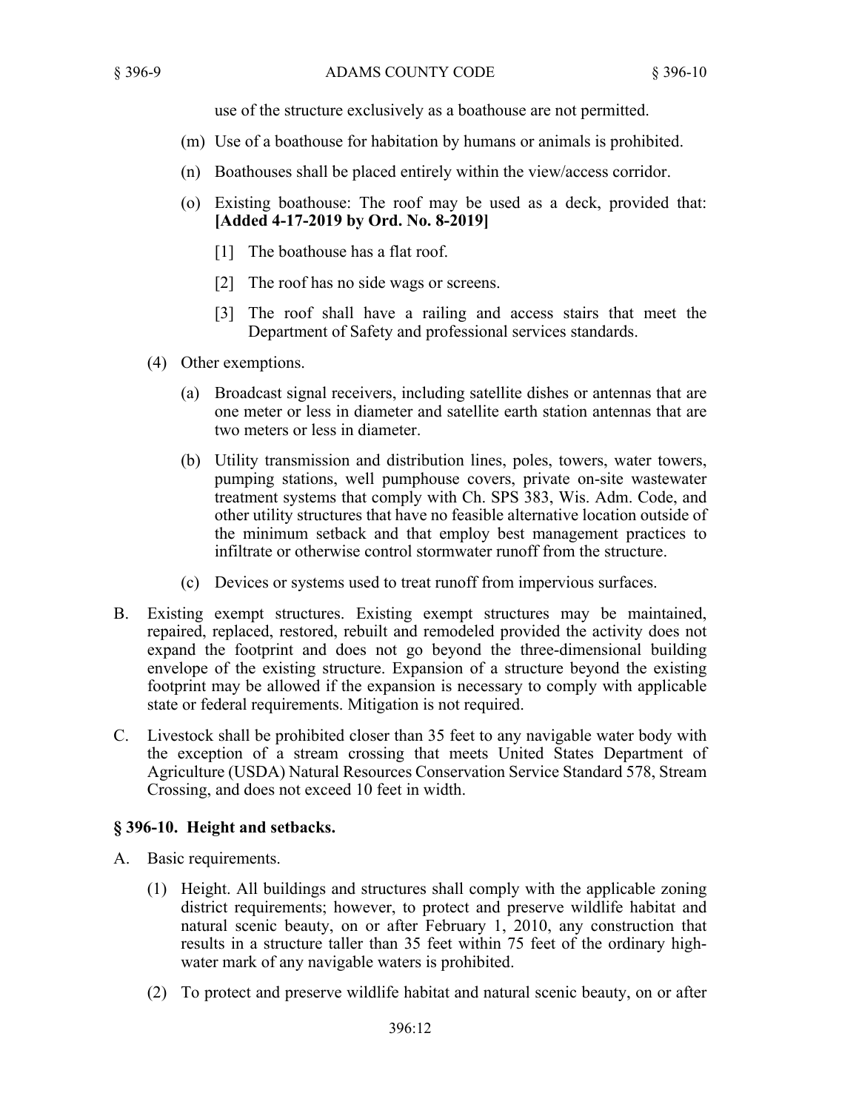use of the structure exclusively as a boathouse are not permitted.

- (m) Use of a boathouse for habitation by humans or animals is prohibited.
- (n) Boathouses shall be placed entirely within the view/access corridor.
- (o) Existing boathouse: The roof may be used as a deck, provided that: **[Added 4-17-2019 by Ord. No. 8-2019]**
	- [1] The boathouse has a flat roof.
	- [2] The roof has no side wags or screens.
	- [3] The roof shall have a railing and access stairs that meet the Department of Safety and professional services standards.
- (4) Other exemptions.
	- (a) Broadcast signal receivers, including satellite dishes or antennas that are one meter or less in diameter and satellite earth station antennas that are two meters or less in diameter.
	- (b) Utility transmission and distribution lines, poles, towers, water towers, pumping stations, well pumphouse covers, private on-site wastewater treatment systems that comply with Ch. SPS 383, Wis. Adm. Code, and other utility structures that have no feasible alternative location outside of the minimum setback and that employ best management practices to infiltrate or otherwise control stormwater runoff from the structure.
	- (c) Devices or systems used to treat runoff from impervious surfaces.
- B. Existing exempt structures. Existing exempt structures may be maintained, repaired, replaced, restored, rebuilt and remodeled provided the activity does not expand the footprint and does not go beyond the three-dimensional building envelope of the existing structure. Expansion of a structure beyond the existing footprint may be allowed if the expansion is necessary to comply with applicable state or federal requirements. Mitigation is not required.
- C. Livestock shall be prohibited closer than 35 feet to any navigable water body with the exception of a stream crossing that meets United States Department of Agriculture (USDA) Natural Resources Conservation Service Standard 578, Stream Crossing, and does not exceed 10 feet in width.

# **§ 396-10. Height and setbacks.**

- A. Basic requirements.
	- (1) Height. All buildings and structures shall comply with the applicable zoning district requirements; however, to protect and preserve wildlife habitat and natural scenic beauty, on or after February 1, 2010, any construction that results in a structure taller than 35 feet within 75 feet of the ordinary highwater mark of any navigable waters is prohibited.
	- (2) To protect and preserve wildlife habitat and natural scenic beauty, on or after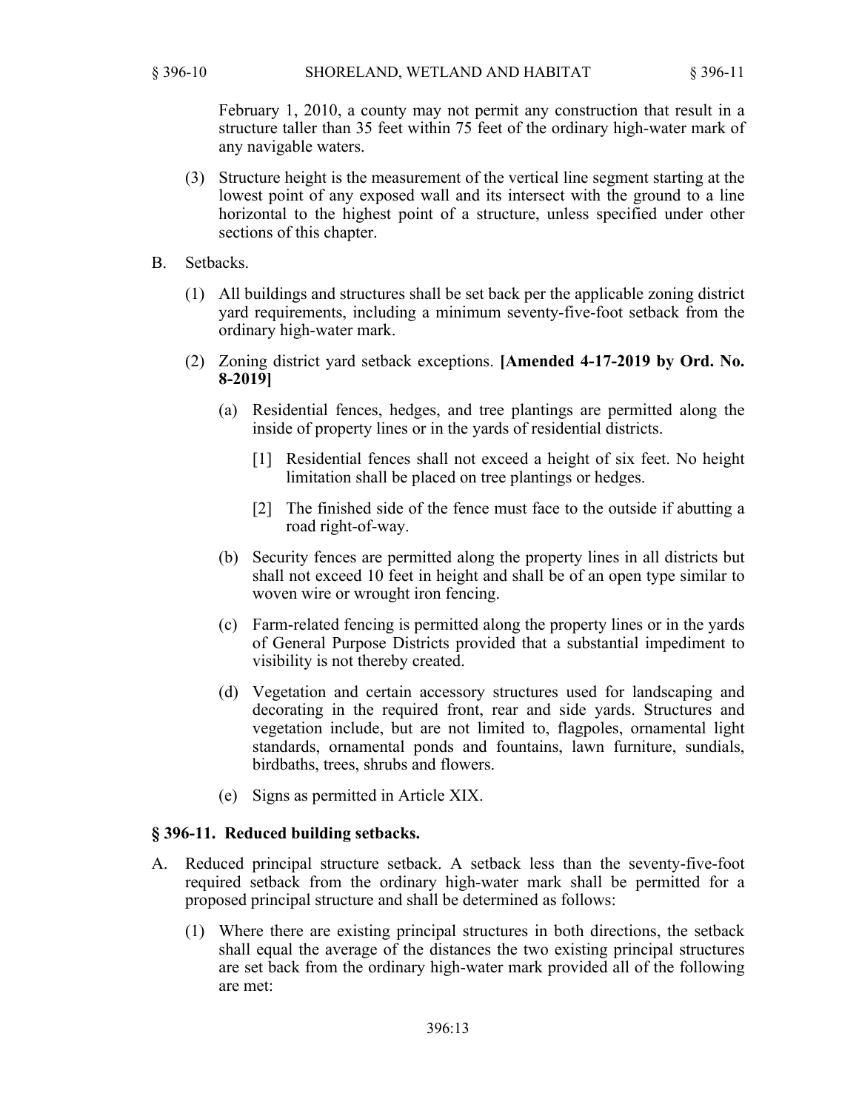February 1, 2010, a county may not permit any construction that result in a structure taller than 35 feet within 75 feet of the ordinary high-water mark of any navigable waters.

- (3) Structure height is the measurement of the vertical line segment starting at the lowest point of any exposed wall and its intersect with the ground to a line horizontal to the highest point of a structure, unless specified under other sections of this chapter.
- B. Setbacks.
	- (1) All buildings and structures shall be set back per the applicable zoning district yard requirements, including a minimum seventy-five-foot setback from the ordinary high-water mark.
	- (2) Zoning district yard setback exceptions. **[Amended 4-17-2019 by Ord. No. 8-2019]**
		- (a) Residential fences, hedges, and tree plantings are permitted along the inside of property lines or in the yards of residential districts.
			- [1] Residential fences shall not exceed a height of six feet. No height limitation shall be placed on tree plantings or hedges.
			- [2] The finished side of the fence must face to the outside if abutting a road right-of-way.
		- (b) Security fences are permitted along the property lines in all districts but shall not exceed 10 feet in height and shall be of an open type similar to woven wire or wrought iron fencing.
		- (c) Farm-related fencing is permitted along the property lines or in the yards of General Purpose Districts provided that a substantial impediment to visibility is not thereby created.
		- (d) Vegetation and certain accessory structures used for landscaping and decorating in the required front, rear and side yards. Structures and vegetation include, but are not limited to, flagpoles, ornamental light standards, ornamental ponds and fountains, lawn furniture, sundials, birdbaths, trees, shrubs and flowers.
		- (e) Signs as permitted in Article XIX.

## **§ 396-11. Reduced building setbacks.**

- A. Reduced principal structure setback. A setback less than the seventy-five-foot required setback from the ordinary high-water mark shall be permitted for a proposed principal structure and shall be determined as follows:
	- (1) Where there are existing principal structures in both directions, the setback shall equal the average of the distances the two existing principal structures are set back from the ordinary high-water mark provided all of the following are met: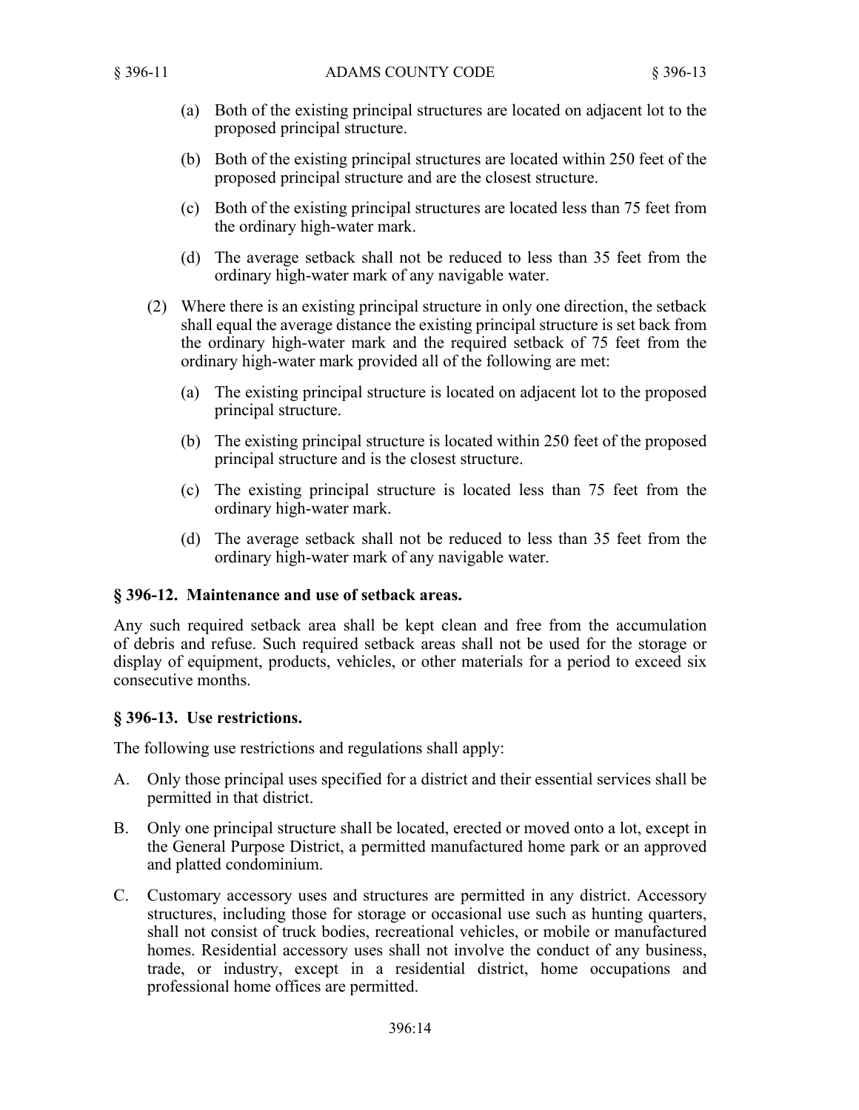- (a) Both of the existing principal structures are located on adjacent lot to the proposed principal structure.
- (b) Both of the existing principal structures are located within 250 feet of the proposed principal structure and are the closest structure.
- (c) Both of the existing principal structures are located less than 75 feet from the ordinary high-water mark.
- (d) The average setback shall not be reduced to less than 35 feet from the ordinary high-water mark of any navigable water.
- (2) Where there is an existing principal structure in only one direction, the setback shall equal the average distance the existing principal structure is set back from the ordinary high-water mark and the required setback of 75 feet from the ordinary high-water mark provided all of the following are met:
	- (a) The existing principal structure is located on adjacent lot to the proposed principal structure.
	- (b) The existing principal structure is located within 250 feet of the proposed principal structure and is the closest structure.
	- (c) The existing principal structure is located less than 75 feet from the ordinary high-water mark.
	- (d) The average setback shall not be reduced to less than 35 feet from the ordinary high-water mark of any navigable water.

## **§ 396-12. Maintenance and use of setback areas.**

Any such required setback area shall be kept clean and free from the accumulation of debris and refuse. Such required setback areas shall not be used for the storage or display of equipment, products, vehicles, or other materials for a period to exceed six consecutive months.

## **§ 396-13. Use restrictions.**

The following use restrictions and regulations shall apply:

- A. Only those principal uses specified for a district and their essential services shall be permitted in that district.
- B. Only one principal structure shall be located, erected or moved onto a lot, except in the General Purpose District, a permitted manufactured home park or an approved and platted condominium.
- C. Customary accessory uses and structures are permitted in any district. Accessory structures, including those for storage or occasional use such as hunting quarters, shall not consist of truck bodies, recreational vehicles, or mobile or manufactured homes. Residential accessory uses shall not involve the conduct of any business, trade, or industry, except in a residential district, home occupations and professional home offices are permitted.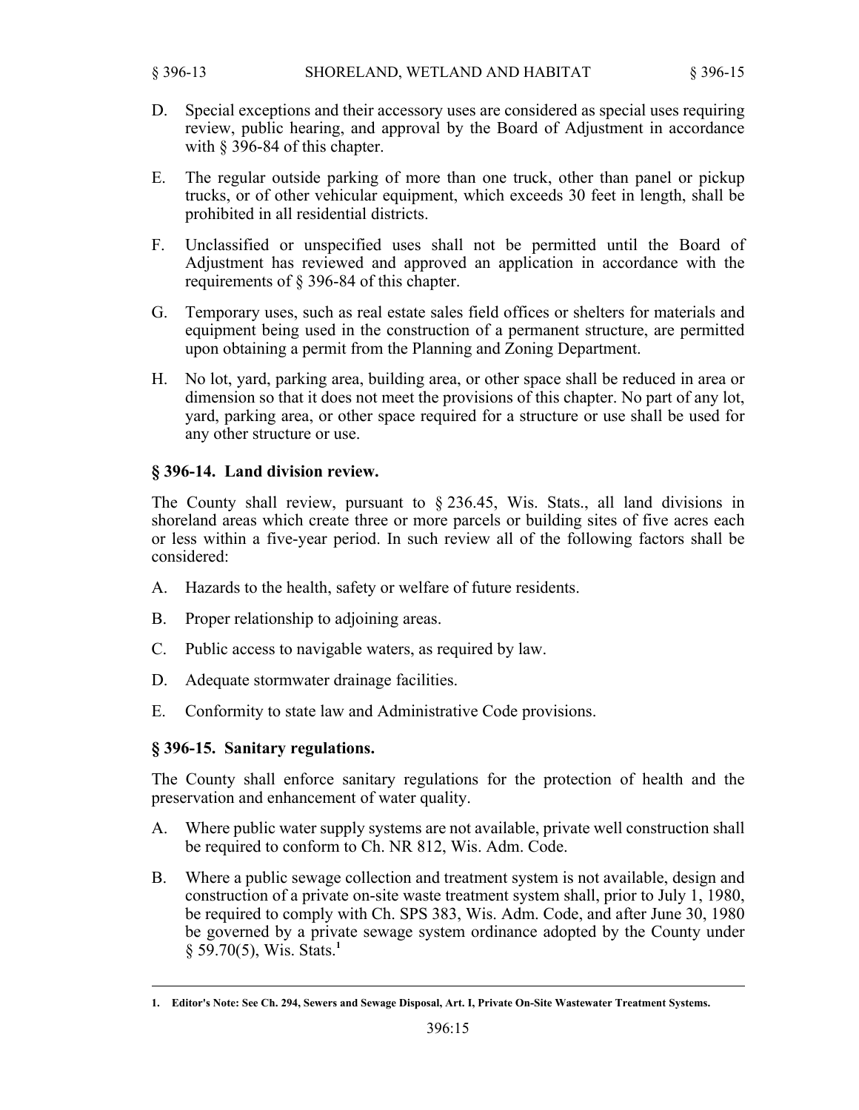- D. Special exceptions and their accessory uses are considered as special uses requiring review, public hearing, and approval by the Board of Adjustment in accordance with § 396-84 of this chapter.
- E. The regular outside parking of more than one truck, other than panel or pickup trucks, or of other vehicular equipment, which exceeds 30 feet in length, shall be prohibited in all residential districts.
- F. Unclassified or unspecified uses shall not be permitted until the Board of Adjustment has reviewed and approved an application in accordance with the requirements of § 396-84 of this chapter.
- G. Temporary uses, such as real estate sales field offices or shelters for materials and equipment being used in the construction of a permanent structure, are permitted upon obtaining a permit from the Planning and Zoning Department.
- H. No lot, yard, parking area, building area, or other space shall be reduced in area or dimension so that it does not meet the provisions of this chapter. No part of any lot, yard, parking area, or other space required for a structure or use shall be used for any other structure or use.

## **§ 396-14. Land division review.**

The County shall review, pursuant to § 236.45, Wis. Stats., all land divisions in shoreland areas which create three or more parcels or building sites of five acres each or less within a five-year period. In such review all of the following factors shall be considered:

- A. Hazards to the health, safety or welfare of future residents.
- B. Proper relationship to adjoining areas.
- C. Public access to navigable waters, as required by law.
- D. Adequate stormwater drainage facilities.
- E. Conformity to state law and Administrative Code provisions.

#### **§ 396-15. Sanitary regulations.**

The County shall enforce sanitary regulations for the protection of health and the preservation and enhancement of water quality.

- A. Where public water supply systems are not available, private well construction shall be required to conform to Ch. NR 812, Wis. Adm. Code.
- B. Where a public sewage collection and treatment system is not available, design and construction of a private on-site waste treatment system shall, prior to July 1, 1980, be required to comply with Ch. SPS 383, Wis. Adm. Code, and after June 30, 1980 be governed by a private sewage system ordinance adopted by the County under § 59.70(5), Wis. Stats.**<sup>1</sup>**

**<sup>1.</sup> Editor's Note: See Ch. 294, Sewers and Sewage Disposal, Art. I, Private On-Site Wastewater Treatment Systems.**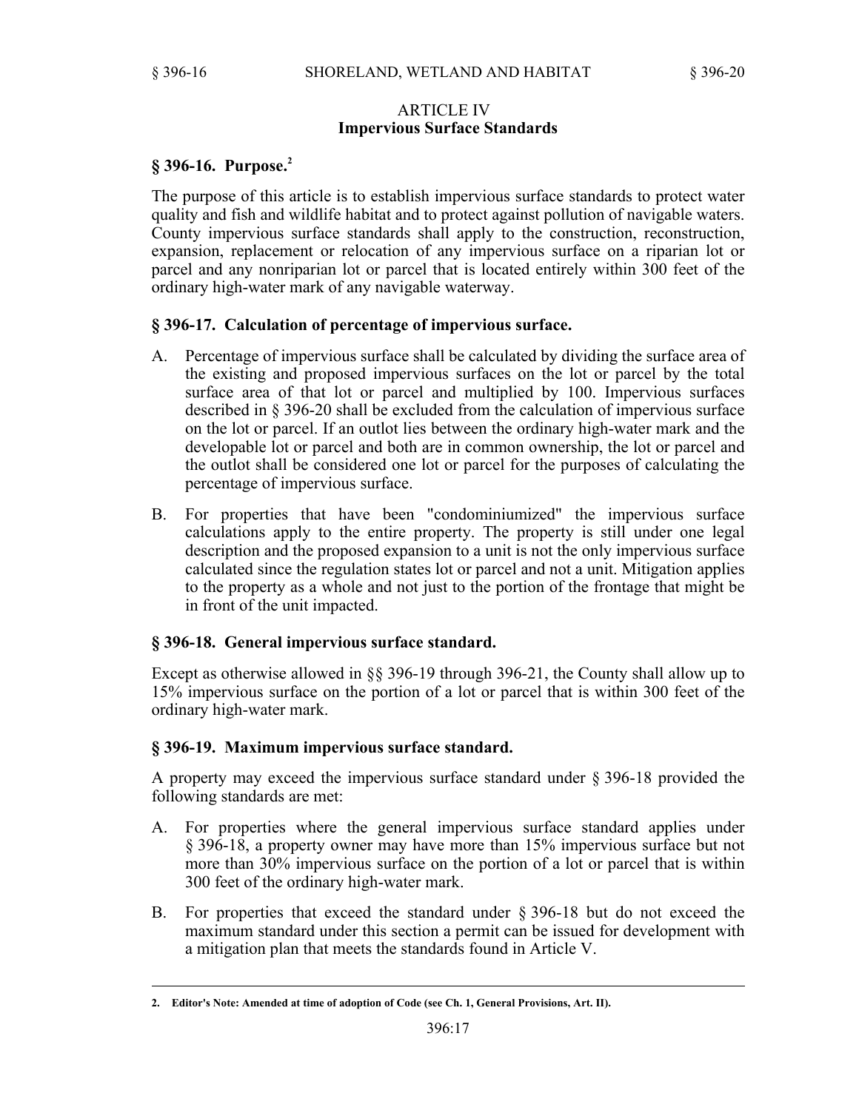### ARTICLE IV **Impervious Surface Standards**

## **§ 396-16. Purpose.<sup>2</sup>**

The purpose of this article is to establish impervious surface standards to protect water quality and fish and wildlife habitat and to protect against pollution of navigable waters. County impervious surface standards shall apply to the construction, reconstruction, expansion, replacement or relocation of any impervious surface on a riparian lot or parcel and any nonriparian lot or parcel that is located entirely within 300 feet of the ordinary high-water mark of any navigable waterway.

## **§ 396-17. Calculation of percentage of impervious surface.**

- A. Percentage of impervious surface shall be calculated by dividing the surface area of the existing and proposed impervious surfaces on the lot or parcel by the total surface area of that lot or parcel and multiplied by 100. Impervious surfaces described in § 396-20 shall be excluded from the calculation of impervious surface on the lot or parcel. If an outlot lies between the ordinary high-water mark and the developable lot or parcel and both are in common ownership, the lot or parcel and the outlot shall be considered one lot or parcel for the purposes of calculating the percentage of impervious surface.
- B. For properties that have been "condominiumized" the impervious surface calculations apply to the entire property. The property is still under one legal description and the proposed expansion to a unit is not the only impervious surface calculated since the regulation states lot or parcel and not a unit. Mitigation applies to the property as a whole and not just to the portion of the frontage that might be in front of the unit impacted.

## **§ 396-18. General impervious surface standard.**

Except as otherwise allowed in §§ 396-19 through 396-21, the County shall allow up to 15% impervious surface on the portion of a lot or parcel that is within 300 feet of the ordinary high-water mark.

#### **§ 396-19. Maximum impervious surface standard.**

A property may exceed the impervious surface standard under § 396-18 provided the following standards are met:

- A. For properties where the general impervious surface standard applies under § 396-18, a property owner may have more than 15% impervious surface but not more than 30% impervious surface on the portion of a lot or parcel that is within 300 feet of the ordinary high-water mark.
- B. For properties that exceed the standard under § 396-18 but do not exceed the maximum standard under this section a permit can be issued for development with a mitigation plan that meets the standards found in Article V.

**<sup>2.</sup> Editor's Note: Amended at time of adoption of Code (see Ch. 1, General Provisions, Art. II).**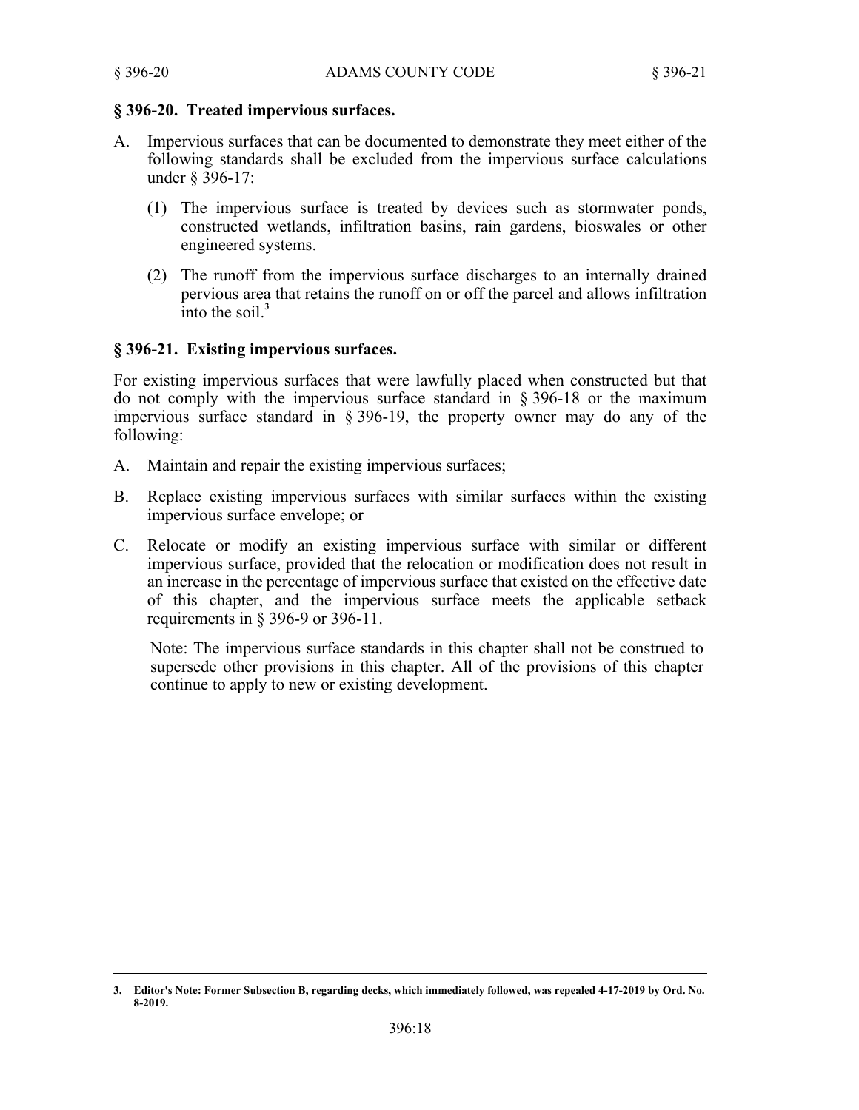# **§ 396-20. Treated impervious surfaces.**

- A. Impervious surfaces that can be documented to demonstrate they meet either of the following standards shall be excluded from the impervious surface calculations under § 396-17:
	- (1) The impervious surface is treated by devices such as stormwater ponds, constructed wetlands, infiltration basins, rain gardens, bioswales or other engineered systems.
	- (2) The runoff from the impervious surface discharges to an internally drained pervious area that retains the runoff on or off the parcel and allows infiltration  $\frac{1}{2}$  into the soil<sup>3</sup>

# **§ 396-21. Existing impervious surfaces.**

For existing impervious surfaces that were lawfully placed when constructed but that do not comply with the impervious surface standard in § 396-18 or the maximum impervious surface standard in § 396-19, the property owner may do any of the following:

- A. Maintain and repair the existing impervious surfaces;
- B. Replace existing impervious surfaces with similar surfaces within the existing impervious surface envelope; or
- C. Relocate or modify an existing impervious surface with similar or different impervious surface, provided that the relocation or modification does not result in an increase in the percentage of impervious surface that existed on the effective date of this chapter, and the impervious surface meets the applicable setback requirements in § 396-9 or 396-11.

Note: The impervious surface standards in this chapter shall not be construed to supersede other provisions in this chapter. All of the provisions of this chapter continue to apply to new or existing development.

**<sup>3.</sup> Editor's Note: Former Subsection B, regarding decks, which immediately followed, was repealed 4-17-2019 by Ord. No. 8-2019.**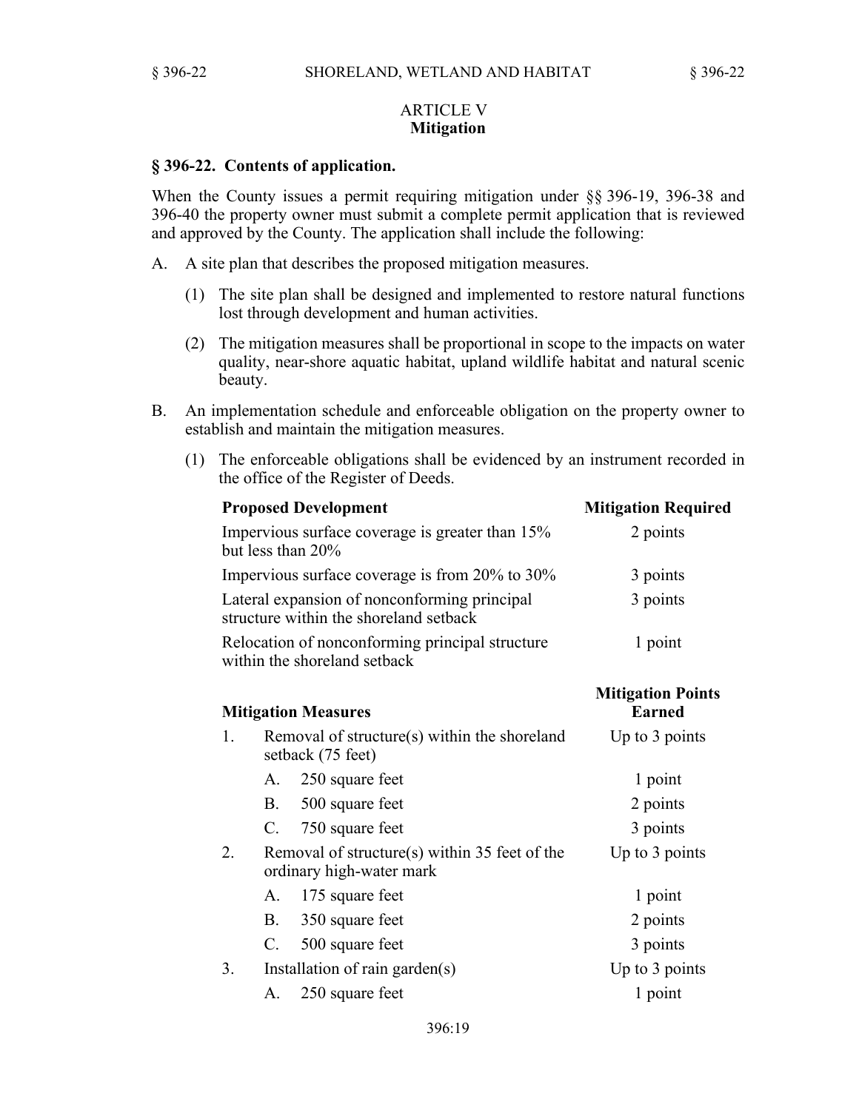## ARTICLE V **Mitigation**

#### **§ 396-22. Contents of application.**

When the County issues a permit requiring mitigation under §§ 396-19, 396-38 and 396-40 the property owner must submit a complete permit application that is reviewed and approved by the County. The application shall include the following:

- A. A site plan that describes the proposed mitigation measures.
	- (1) The site plan shall be designed and implemented to restore natural functions lost through development and human activities.
	- (2) The mitigation measures shall be proportional in scope to the impacts on water quality, near-shore aquatic habitat, upland wildlife habitat and natural scenic beauty.
- B. An implementation schedule and enforceable obligation on the property owner to establish and maintain the mitigation measures.
	- (1) The enforceable obligations shall be evidenced by an instrument recorded in the office of the Register of Deeds.

| <b>Proposed Development</b> |                                                                                        | <b>Mitigation Required</b>                |
|-----------------------------|----------------------------------------------------------------------------------------|-------------------------------------------|
|                             | Impervious surface coverage is greater than 15%<br>but less than 20%                   | 2 points                                  |
|                             | Impervious surface coverage is from 20% to 30%                                         | 3 points                                  |
|                             | Lateral expansion of nonconforming principal<br>structure within the shoreland setback | 3 points                                  |
|                             | Relocation of nonconforming principal structure<br>within the shoreland setback        | 1 point                                   |
|                             | <b>Mitigation Measures</b>                                                             | <b>Mitigation Points</b><br><b>Earned</b> |
| 1.                          | Removal of structure(s) within the shoreland<br>setback (75 feet)                      | Up to 3 points                            |
|                             | 250 square feet<br>$A_{-}$                                                             | 1 point                                   |
|                             | <b>B.</b><br>500 square feet                                                           | 2 points                                  |
|                             | C. 750 square feet                                                                     | 3 points                                  |
| 2.                          | Removal of structure(s) within 35 feet of the<br>ordinary high-water mark              | Up to 3 points                            |
|                             | 175 square feet<br>A.                                                                  | 1 point                                   |
|                             | <b>B.</b><br>350 square feet                                                           | 2 points                                  |
|                             | C.<br>500 square feet                                                                  | 3 points                                  |
| 3.                          | Installation of rain garden(s)                                                         | Up to 3 points                            |
|                             | 250 square feet<br>А.                                                                  | 1 point                                   |
|                             |                                                                                        |                                           |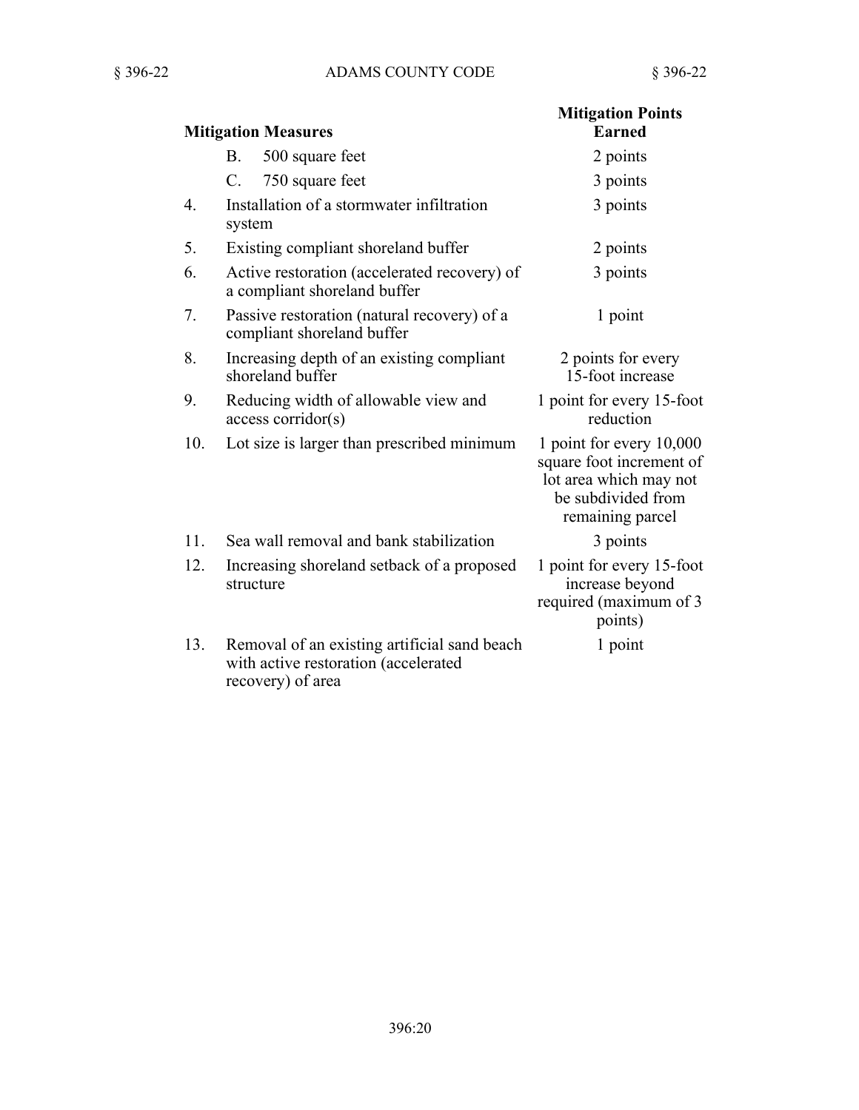| <b>Mitigation Measures</b> |                                                                                                           | <b>Mitigation Points</b><br><b>Earned</b>                                                                                |
|----------------------------|-----------------------------------------------------------------------------------------------------------|--------------------------------------------------------------------------------------------------------------------------|
|                            | <b>B.</b><br>500 square feet                                                                              | 2 points                                                                                                                 |
|                            | $\mathbf{C}$ .                                                                                            |                                                                                                                          |
|                            | 750 square feet                                                                                           | 3 points                                                                                                                 |
| 4.                         | Installation of a stormwater infiltration<br>system                                                       | 3 points                                                                                                                 |
| 5.                         | Existing compliant shoreland buffer                                                                       | 2 points                                                                                                                 |
| 6.                         | Active restoration (accelerated recovery) of<br>a compliant shoreland buffer                              | 3 points                                                                                                                 |
| 7.                         | Passive restoration (natural recovery) of a<br>compliant shoreland buffer                                 | 1 point                                                                                                                  |
| 8.                         | Increasing depth of an existing compliant<br>shoreland buffer                                             | 2 points for every<br>15-foot increase                                                                                   |
| 9.                         | Reducing width of allowable view and<br>$access$ corridor $(s)$                                           | 1 point for every 15-foot<br>reduction                                                                                   |
| 10.                        | Lot size is larger than prescribed minimum                                                                | 1 point for every 10,000<br>square foot increment of<br>lot area which may not<br>be subdivided from<br>remaining parcel |
| 11.                        | Sea wall removal and bank stabilization                                                                   | 3 points                                                                                                                 |
| 12.                        | Increasing shoreland setback of a proposed<br>structure                                                   | 1 point for every 15-foot<br>increase beyond<br>required (maximum of 3<br>points)                                        |
| 13.                        | Removal of an existing artificial sand beach<br>with active restoration (accelerated<br>recovery) of area | 1 point                                                                                                                  |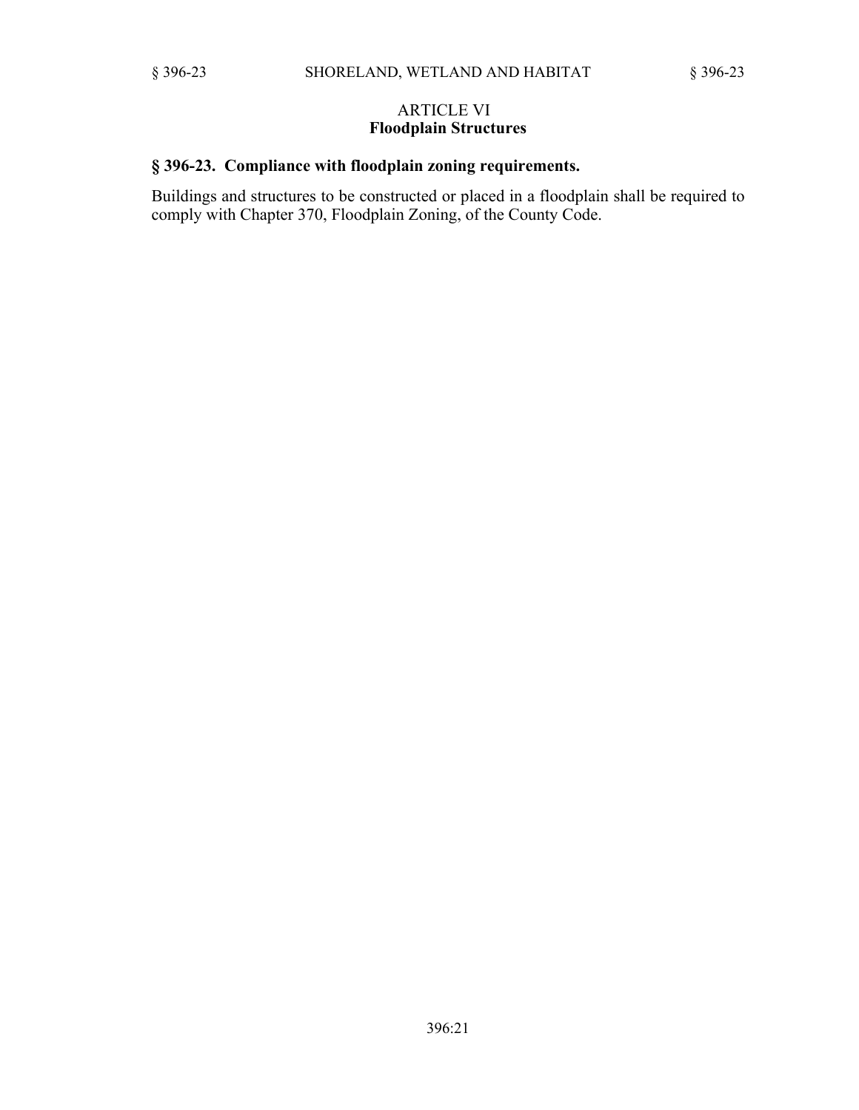## ARTICLE VI **Floodplain Structures**

# **§ 396-23. Compliance with floodplain zoning requirements.**

Buildings and structures to be constructed or placed in a floodplain shall be required to comply with Chapter 370, Floodplain Zoning, of the County Code.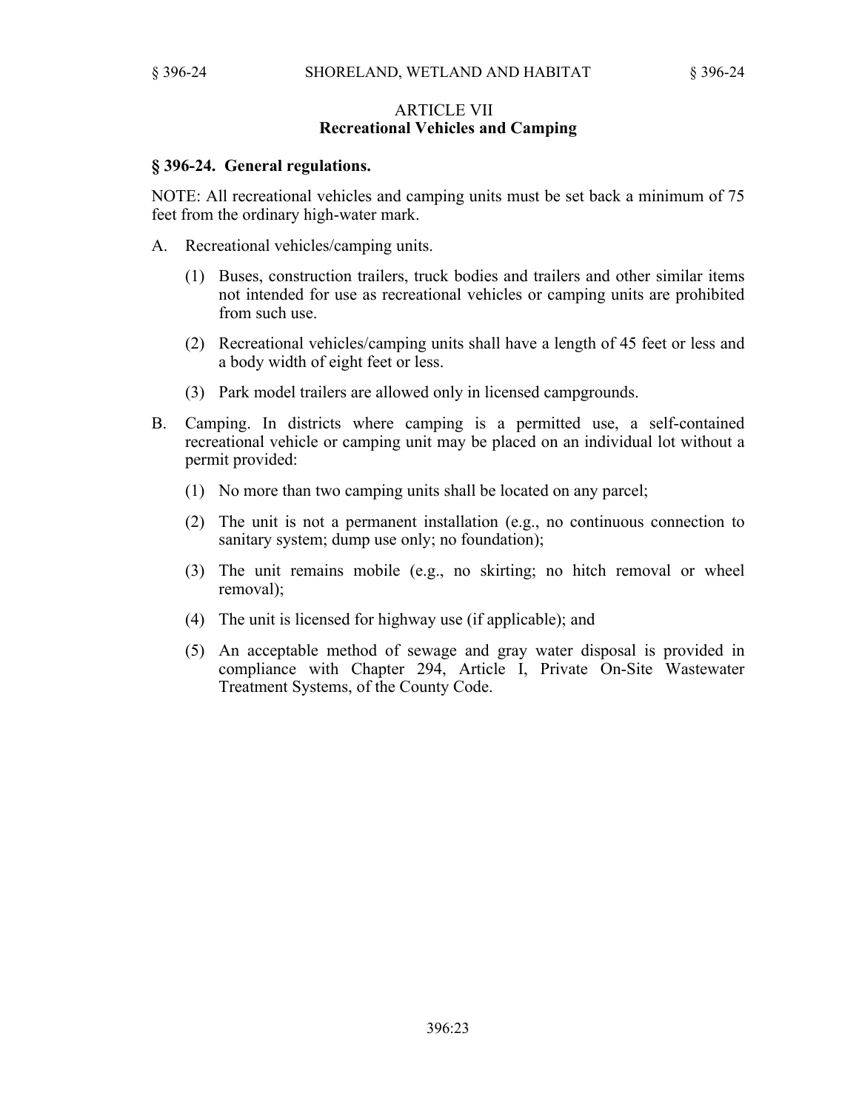#### ARTICLE VII **Recreational Vehicles and Camping**

#### **§ 396-24. General regulations.**

NOTE: All recreational vehicles and camping units must be set back a minimum of 75 feet from the ordinary high-water mark.

- A. Recreational vehicles/camping units.
	- (1) Buses, construction trailers, truck bodies and trailers and other similar items not intended for use as recreational vehicles or camping units are prohibited from such use.
	- (2) Recreational vehicles/camping units shall have a length of 45 feet or less and a body width of eight feet or less.
	- (3) Park model trailers are allowed only in licensed campgrounds.
- B. Camping. In districts where camping is a permitted use, a self-contained recreational vehicle or camping unit may be placed on an individual lot without a permit provided:
	- (1) No more than two camping units shall be located on any parcel;
	- (2) The unit is not a permanent installation (e.g., no continuous connection to sanitary system; dump use only; no foundation);
	- (3) The unit remains mobile (e.g., no skirting; no hitch removal or wheel removal);
	- (4) The unit is licensed for highway use (if applicable); and
	- (5) An acceptable method of sewage and gray water disposal is provided in compliance with Chapter 294, Article I, Private On-Site Wastewater Treatment Systems, of the County Code.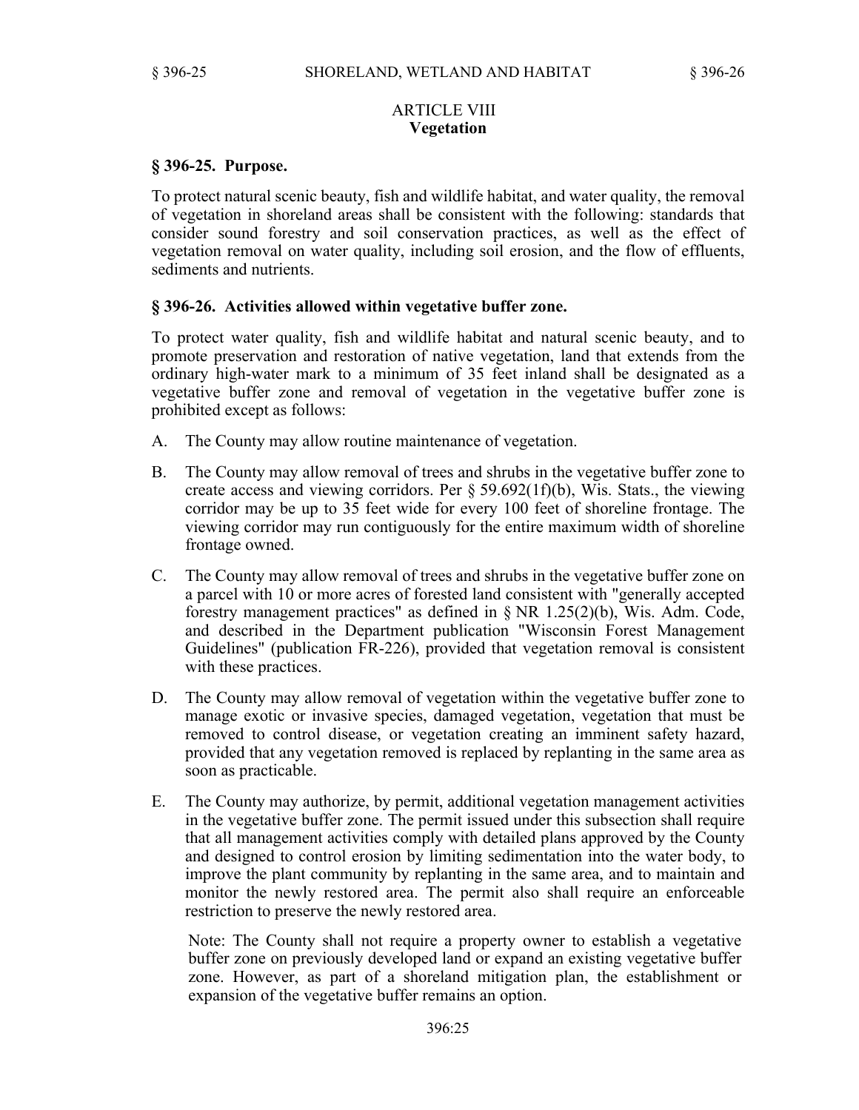## ARTICLE VIII **Vegetation**

## **§ 396-25. Purpose.**

To protect natural scenic beauty, fish and wildlife habitat, and water quality, the removal of vegetation in shoreland areas shall be consistent with the following: standards that consider sound forestry and soil conservation practices, as well as the effect of vegetation removal on water quality, including soil erosion, and the flow of effluents, sediments and nutrients.

## **§ 396-26. Activities allowed within vegetative buffer zone.**

To protect water quality, fish and wildlife habitat and natural scenic beauty, and to promote preservation and restoration of native vegetation, land that extends from the ordinary high-water mark to a minimum of 35 feet inland shall be designated as a vegetative buffer zone and removal of vegetation in the vegetative buffer zone is prohibited except as follows:

- A. The County may allow routine maintenance of vegetation.
- B. The County may allow removal of trees and shrubs in the vegetative buffer zone to create access and viewing corridors. Per  $\S 59.692(1f)(b)$ , Wis. Stats., the viewing corridor may be up to 35 feet wide for every 100 feet of shoreline frontage. The viewing corridor may run contiguously for the entire maximum width of shoreline frontage owned.
- C. The County may allow removal of trees and shrubs in the vegetative buffer zone on a parcel with 10 or more acres of forested land consistent with "generally accepted forestry management practices" as defined in § NR 1.25(2)(b), Wis. Adm. Code, and described in the Department publication "Wisconsin Forest Management Guidelines" (publication FR-226), provided that vegetation removal is consistent with these practices.
- D. The County may allow removal of vegetation within the vegetative buffer zone to manage exotic or invasive species, damaged vegetation, vegetation that must be removed to control disease, or vegetation creating an imminent safety hazard, provided that any vegetation removed is replaced by replanting in the same area as soon as practicable.
- E. The County may authorize, by permit, additional vegetation management activities in the vegetative buffer zone. The permit issued under this subsection shall require that all management activities comply with detailed plans approved by the County and designed to control erosion by limiting sedimentation into the water body, to improve the plant community by replanting in the same area, and to maintain and monitor the newly restored area. The permit also shall require an enforceable restriction to preserve the newly restored area.

Note: The County shall not require a property owner to establish a vegetative buffer zone on previously developed land or expand an existing vegetative buffer zone. However, as part of a shoreland mitigation plan, the establishment or expansion of the vegetative buffer remains an option.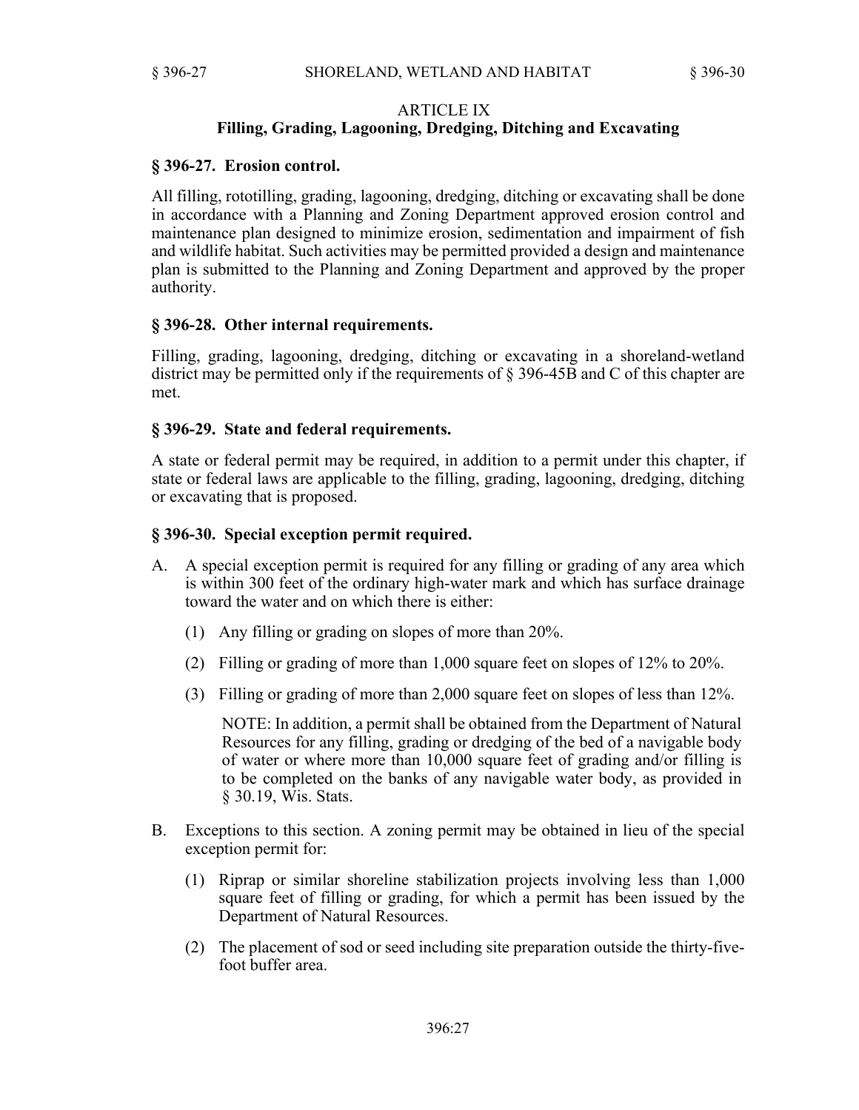## ARTICLE IX **Filling, Grading, Lagooning, Dredging, Ditching and Excavating**

## **§ 396-27. Erosion control.**

All filling, rototilling, grading, lagooning, dredging, ditching or excavating shall be done in accordance with a Planning and Zoning Department approved erosion control and maintenance plan designed to minimize erosion, sedimentation and impairment of fish and wildlife habitat. Such activities may be permitted provided a design and maintenance plan is submitted to the Planning and Zoning Department and approved by the proper authority.

## **§ 396-28. Other internal requirements.**

Filling, grading, lagooning, dredging, ditching or excavating in a shoreland-wetland district may be permitted only if the requirements of § 396-45B and C of this chapter are met.

## **§ 396-29. State and federal requirements.**

A state or federal permit may be required, in addition to a permit under this chapter, if state or federal laws are applicable to the filling, grading, lagooning, dredging, ditching or excavating that is proposed.

## **§ 396-30. Special exception permit required.**

- A. A special exception permit is required for any filling or grading of any area which is within 300 feet of the ordinary high-water mark and which has surface drainage toward the water and on which there is either:
	- (1) Any filling or grading on slopes of more than 20%.
	- (2) Filling or grading of more than 1,000 square feet on slopes of 12% to 20%.
	- (3) Filling or grading of more than 2,000 square feet on slopes of less than 12%.

NOTE: In addition, a permit shall be obtained from the Department of Natural Resources for any filling, grading or dredging of the bed of a navigable body of water or where more than 10,000 square feet of grading and/or filling is to be completed on the banks of any navigable water body, as provided in § 30.19, Wis. Stats.

- B. Exceptions to this section. A zoning permit may be obtained in lieu of the special exception permit for:
	- (1) Riprap or similar shoreline stabilization projects involving less than 1,000 square feet of filling or grading, for which a permit has been issued by the Department of Natural Resources.
	- (2) The placement of sod or seed including site preparation outside the thirty-fivefoot buffer area.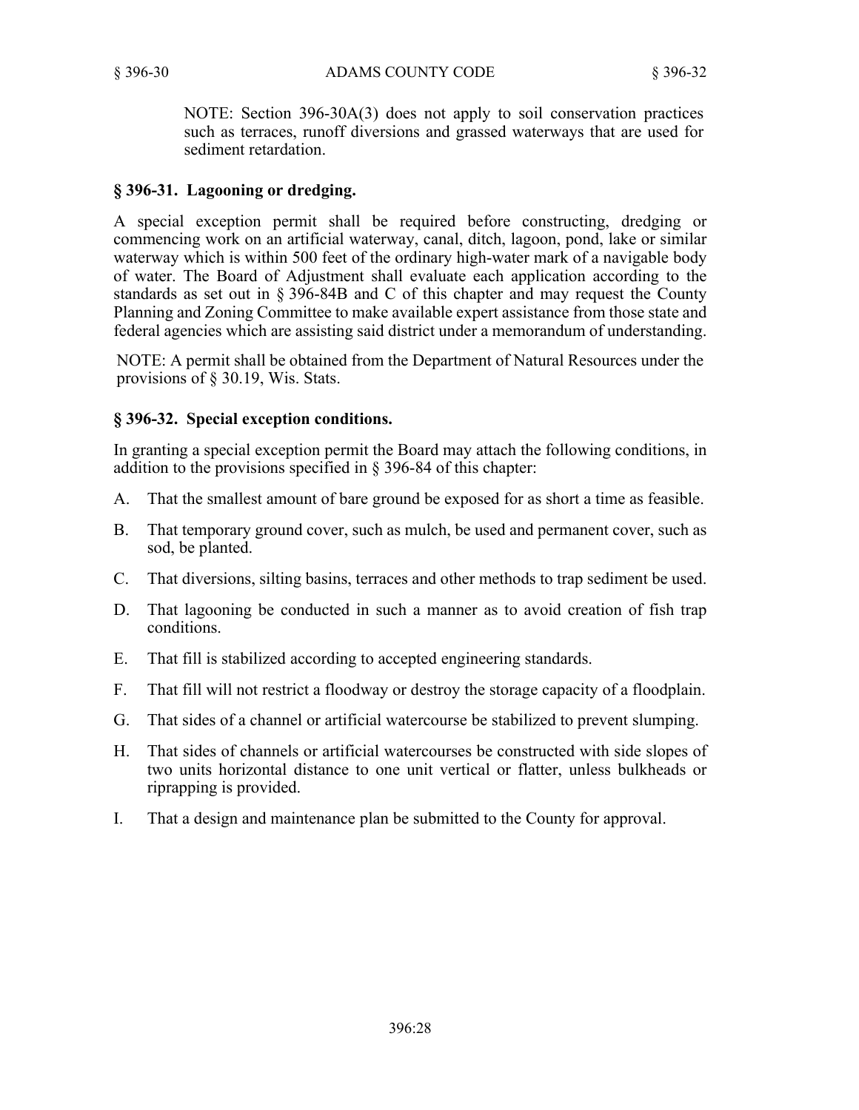NOTE: Section 396-30A(3) does not apply to soil conservation practices such as terraces, runoff diversions and grassed waterways that are used for sediment retardation.

# **§ 396-31. Lagooning or dredging.**

A special exception permit shall be required before constructing, dredging or commencing work on an artificial waterway, canal, ditch, lagoon, pond, lake or similar waterway which is within 500 feet of the ordinary high-water mark of a navigable body of water. The Board of Adjustment shall evaluate each application according to the standards as set out in § 396-84B and C of this chapter and may request the County Planning and Zoning Committee to make available expert assistance from those state and federal agencies which are assisting said district under a memorandum of understanding.

NOTE: A permit shall be obtained from the Department of Natural Resources under the provisions of § 30.19, Wis. Stats.

# **§ 396-32. Special exception conditions.**

In granting a special exception permit the Board may attach the following conditions, in addition to the provisions specified in § 396-84 of this chapter:

- A. That the smallest amount of bare ground be exposed for as short a time as feasible.
- B. That temporary ground cover, such as mulch, be used and permanent cover, such as sod, be planted.
- C. That diversions, silting basins, terraces and other methods to trap sediment be used.
- D. That lagooning be conducted in such a manner as to avoid creation of fish trap conditions.
- E. That fill is stabilized according to accepted engineering standards.
- F. That fill will not restrict a floodway or destroy the storage capacity of a floodplain.
- G. That sides of a channel or artificial watercourse be stabilized to prevent slumping.
- H. That sides of channels or artificial watercourses be constructed with side slopes of two units horizontal distance to one unit vertical or flatter, unless bulkheads or riprapping is provided.
- I. That a design and maintenance plan be submitted to the County for approval.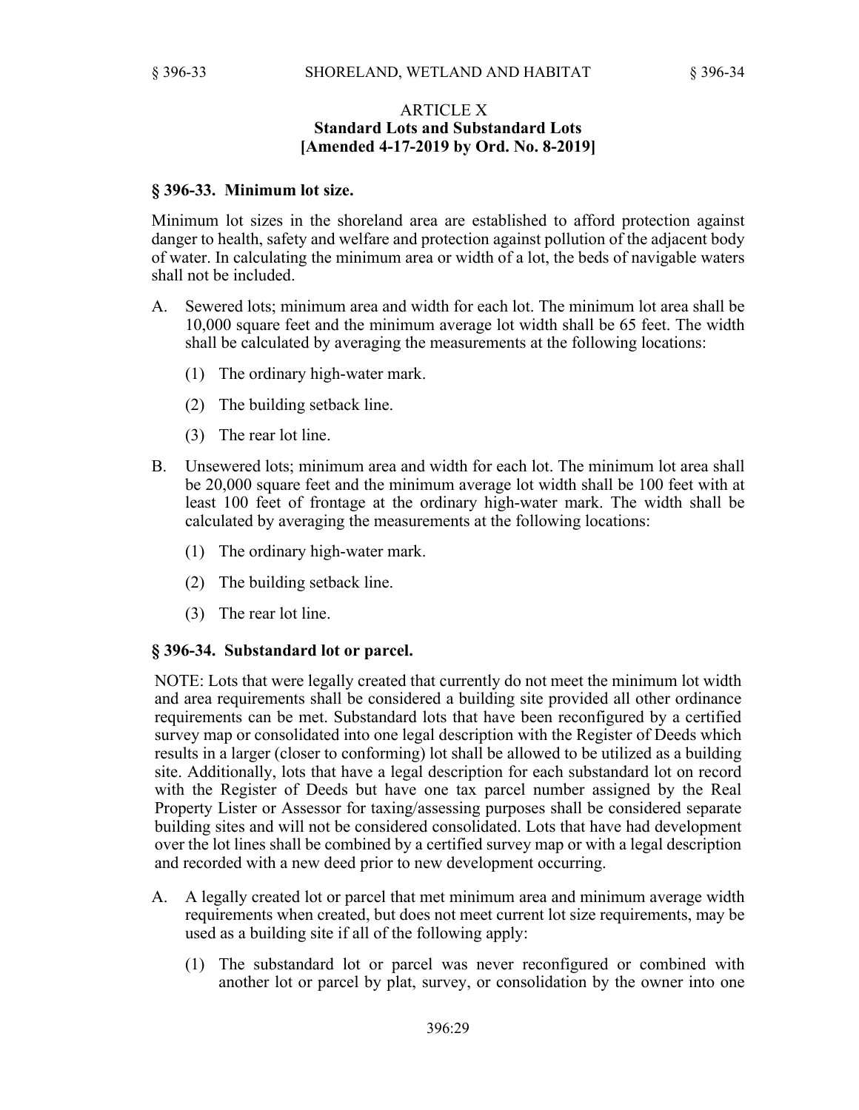## ARTICLE X **Standard Lots and Substandard Lots [Amended 4-17-2019 by Ord. No. 8-2019]**

### **§ 396-33. Minimum lot size.**

Minimum lot sizes in the shoreland area are established to afford protection against danger to health, safety and welfare and protection against pollution of the adjacent body of water. In calculating the minimum area or width of a lot, the beds of navigable waters shall not be included.

- A. Sewered lots; minimum area and width for each lot. The minimum lot area shall be 10,000 square feet and the minimum average lot width shall be 65 feet. The width shall be calculated by averaging the measurements at the following locations:
	- (1) The ordinary high-water mark.
	- (2) The building setback line.
	- (3) The rear lot line.
- B. Unsewered lots; minimum area and width for each lot. The minimum lot area shall be 20,000 square feet and the minimum average lot width shall be 100 feet with at least 100 feet of frontage at the ordinary high-water mark. The width shall be calculated by averaging the measurements at the following locations:
	- (1) The ordinary high-water mark.
	- (2) The building setback line.
	- (3) The rear lot line.

#### **§ 396-34. Substandard lot or parcel.**

NOTE: Lots that were legally created that currently do not meet the minimum lot width and area requirements shall be considered a building site provided all other ordinance requirements can be met. Substandard lots that have been reconfigured by a certified survey map or consolidated into one legal description with the Register of Deeds which results in a larger (closer to conforming) lot shall be allowed to be utilized as a building site. Additionally, lots that have a legal description for each substandard lot on record with the Register of Deeds but have one tax parcel number assigned by the Real Property Lister or Assessor for taxing/assessing purposes shall be considered separate building sites and will not be considered consolidated. Lots that have had development over the lot lines shall be combined by a certified survey map or with a legal description and recorded with a new deed prior to new development occurring.

- A. A legally created lot or parcel that met minimum area and minimum average width requirements when created, but does not meet current lot size requirements, may be used as a building site if all of the following apply:
	- (1) The substandard lot or parcel was never reconfigured or combined with another lot or parcel by plat, survey, or consolidation by the owner into one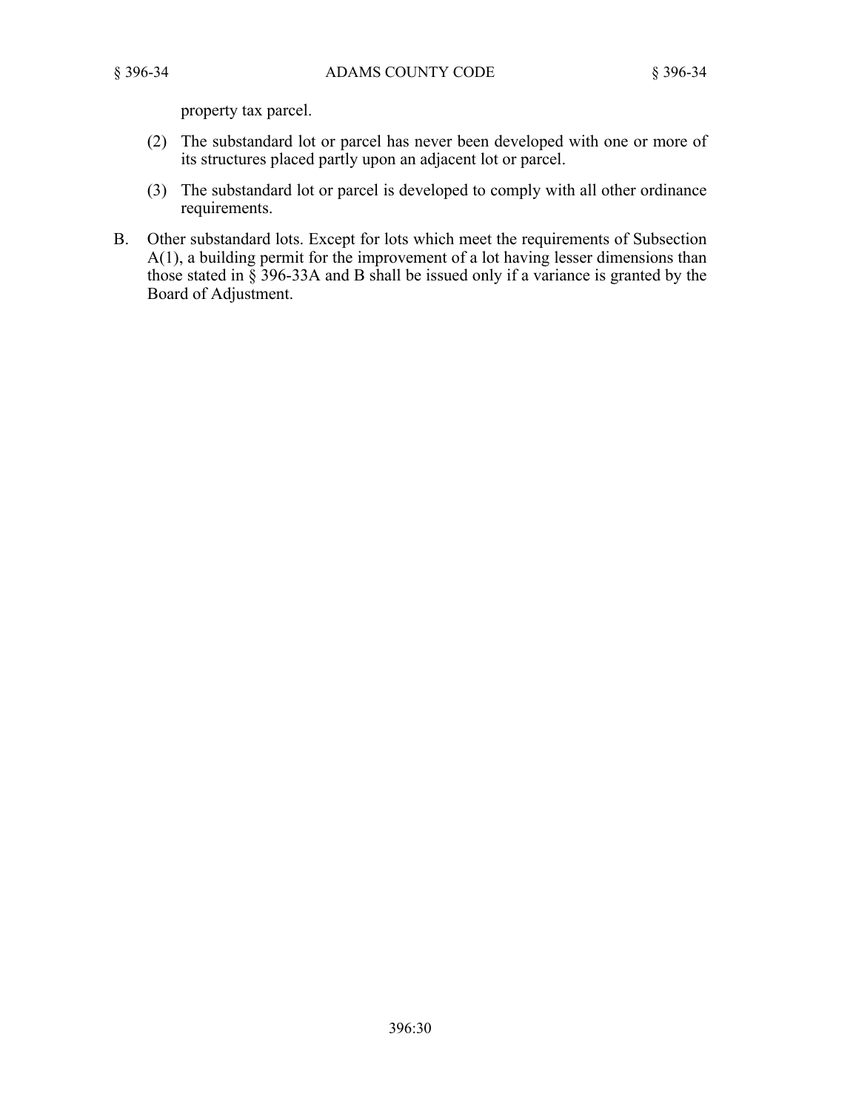property tax parcel.

- (2) The substandard lot or parcel has never been developed with one or more of its structures placed partly upon an adjacent lot or parcel.
- (3) The substandard lot or parcel is developed to comply with all other ordinance requirements.
- B. Other substandard lots. Except for lots which meet the requirements of Subsection A(1), a building permit for the improvement of a lot having lesser dimensions than those stated in § 396-33A and B shall be issued only if a variance is granted by the Board of Adjustment.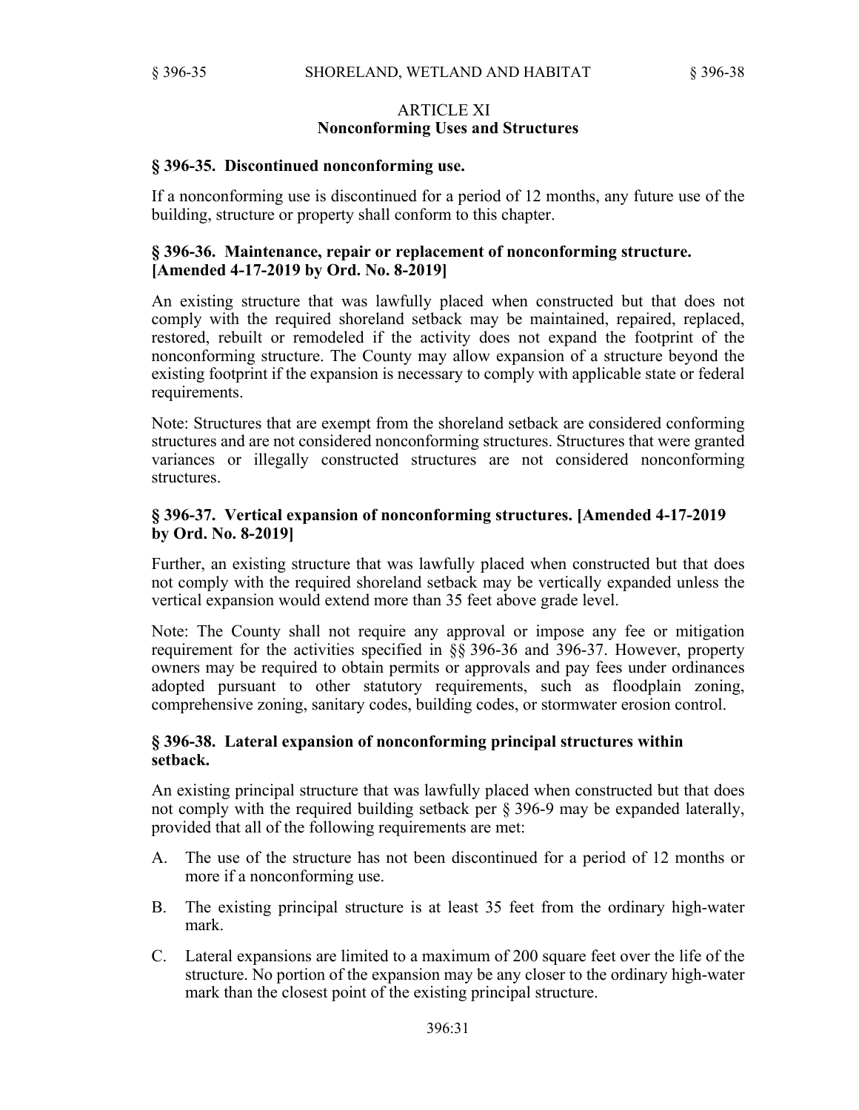### ARTICLE XI **Nonconforming Uses and Structures**

### **§ 396-35. Discontinued nonconforming use.**

If a nonconforming use is discontinued for a period of 12 months, any future use of the building, structure or property shall conform to this chapter.

### **§ 396-36. Maintenance, repair or replacement of nonconforming structure. [Amended 4-17-2019 by Ord. No. 8-2019]**

An existing structure that was lawfully placed when constructed but that does not comply with the required shoreland setback may be maintained, repaired, replaced, restored, rebuilt or remodeled if the activity does not expand the footprint of the nonconforming structure. The County may allow expansion of a structure beyond the existing footprint if the expansion is necessary to comply with applicable state or federal requirements.

Note: Structures that are exempt from the shoreland setback are considered conforming structures and are not considered nonconforming structures. Structures that were granted variances or illegally constructed structures are not considered nonconforming structures.

## **§ 396-37. Vertical expansion of nonconforming structures. [Amended 4-17-2019 by Ord. No. 8-2019]**

Further, an existing structure that was lawfully placed when constructed but that does not comply with the required shoreland setback may be vertically expanded unless the vertical expansion would extend more than 35 feet above grade level.

Note: The County shall not require any approval or impose any fee or mitigation requirement for the activities specified in §§ 396-36 and 396-37. However, property owners may be required to obtain permits or approvals and pay fees under ordinances adopted pursuant to other statutory requirements, such as floodplain zoning, comprehensive zoning, sanitary codes, building codes, or stormwater erosion control.

## **§ 396-38. Lateral expansion of nonconforming principal structures within setback.**

An existing principal structure that was lawfully placed when constructed but that does not comply with the required building setback per § 396-9 may be expanded laterally, provided that all of the following requirements are met:

- A. The use of the structure has not been discontinued for a period of 12 months or more if a nonconforming use.
- B. The existing principal structure is at least 35 feet from the ordinary high-water mark.
- C. Lateral expansions are limited to a maximum of 200 square feet over the life of the structure. No portion of the expansion may be any closer to the ordinary high-water mark than the closest point of the existing principal structure.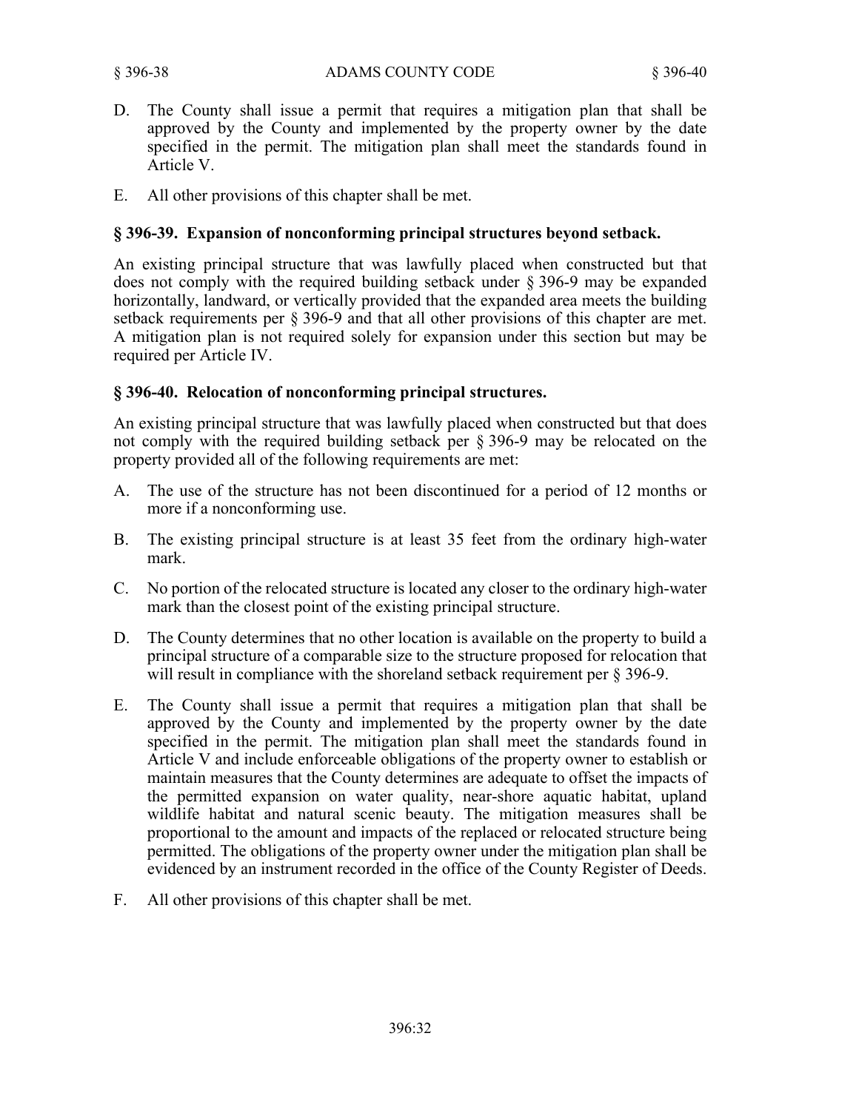- D. The County shall issue a permit that requires a mitigation plan that shall be approved by the County and implemented by the property owner by the date specified in the permit. The mitigation plan shall meet the standards found in Article V.
- E. All other provisions of this chapter shall be met.

# **§ 396-39. Expansion of nonconforming principal structures beyond setback.**

An existing principal structure that was lawfully placed when constructed but that does not comply with the required building setback under § 396-9 may be expanded horizontally, landward, or vertically provided that the expanded area meets the building setback requirements per § 396-9 and that all other provisions of this chapter are met. A mitigation plan is not required solely for expansion under this section but may be required per Article IV.

## **§ 396-40. Relocation of nonconforming principal structures.**

An existing principal structure that was lawfully placed when constructed but that does not comply with the required building setback per § 396-9 may be relocated on the property provided all of the following requirements are met:

- A. The use of the structure has not been discontinued for a period of 12 months or more if a nonconforming use.
- B. The existing principal structure is at least 35 feet from the ordinary high-water mark.
- C. No portion of the relocated structure is located any closer to the ordinary high-water mark than the closest point of the existing principal structure.
- D. The County determines that no other location is available on the property to build a principal structure of a comparable size to the structure proposed for relocation that will result in compliance with the shoreland setback requirement per § 396-9.
- E. The County shall issue a permit that requires a mitigation plan that shall be approved by the County and implemented by the property owner by the date specified in the permit. The mitigation plan shall meet the standards found in Article V and include enforceable obligations of the property owner to establish or maintain measures that the County determines are adequate to offset the impacts of the permitted expansion on water quality, near-shore aquatic habitat, upland wildlife habitat and natural scenic beauty. The mitigation measures shall be proportional to the amount and impacts of the replaced or relocated structure being permitted. The obligations of the property owner under the mitigation plan shall be evidenced by an instrument recorded in the office of the County Register of Deeds.
- F. All other provisions of this chapter shall be met.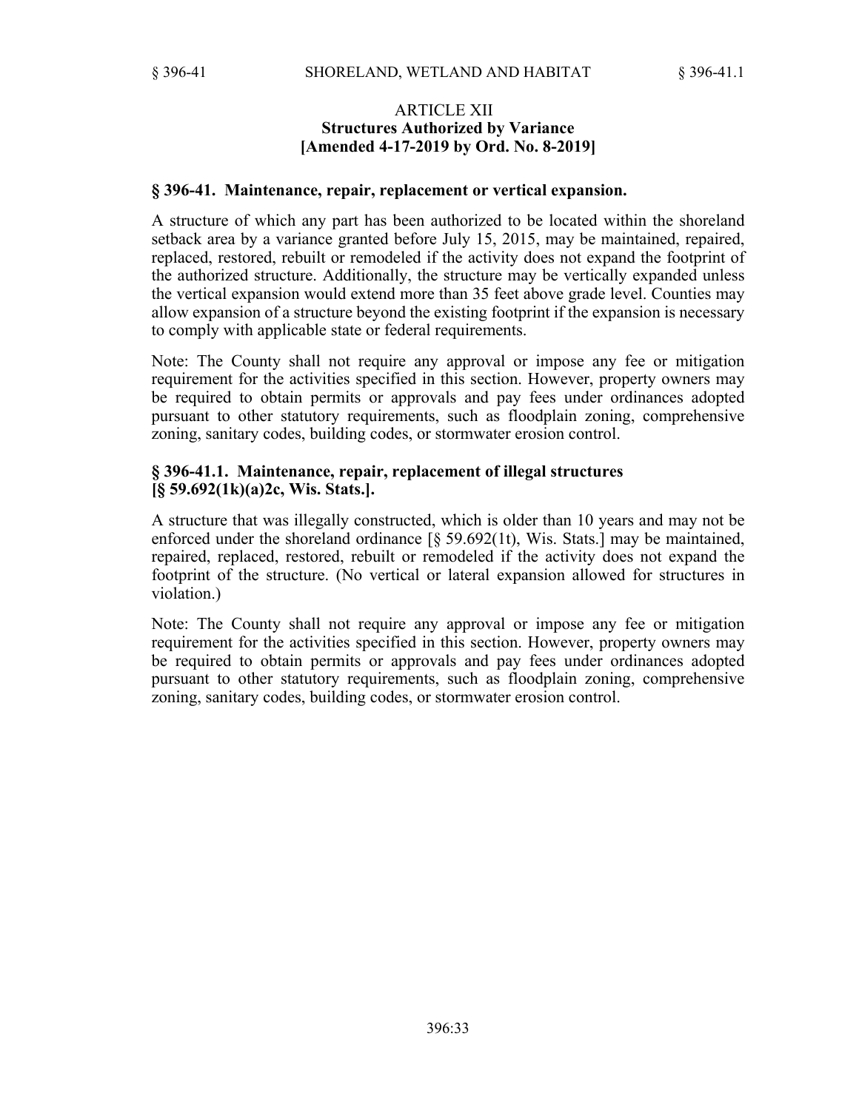### ARTICLE XII **Structures Authorized by Variance [Amended 4-17-2019 by Ord. No. 8-2019]**

#### **§ 396-41. Maintenance, repair, replacement or vertical expansion.**

A structure of which any part has been authorized to be located within the shoreland setback area by a variance granted before July 15, 2015, may be maintained, repaired, replaced, restored, rebuilt or remodeled if the activity does not expand the footprint of the authorized structure. Additionally, the structure may be vertically expanded unless the vertical expansion would extend more than 35 feet above grade level. Counties may allow expansion of a structure beyond the existing footprint if the expansion is necessary to comply with applicable state or federal requirements.

Note: The County shall not require any approval or impose any fee or mitigation requirement for the activities specified in this section. However, property owners may be required to obtain permits or approvals and pay fees under ordinances adopted pursuant to other statutory requirements, such as floodplain zoning, comprehensive zoning, sanitary codes, building codes, or stormwater erosion control.

#### **§ 396-41.1. Maintenance, repair, replacement of illegal structures [§ 59.692(1k)(a)2c, Wis. Stats.].**

A structure that was illegally constructed, which is older than 10 years and may not be enforced under the shoreland ordinance [§ 59.692(1t), Wis. Stats.] may be maintained, repaired, replaced, restored, rebuilt or remodeled if the activity does not expand the footprint of the structure. (No vertical or lateral expansion allowed for structures in violation.)

Note: The County shall not require any approval or impose any fee or mitigation requirement for the activities specified in this section. However, property owners may be required to obtain permits or approvals and pay fees under ordinances adopted pursuant to other statutory requirements, such as floodplain zoning, comprehensive zoning, sanitary codes, building codes, or stormwater erosion control.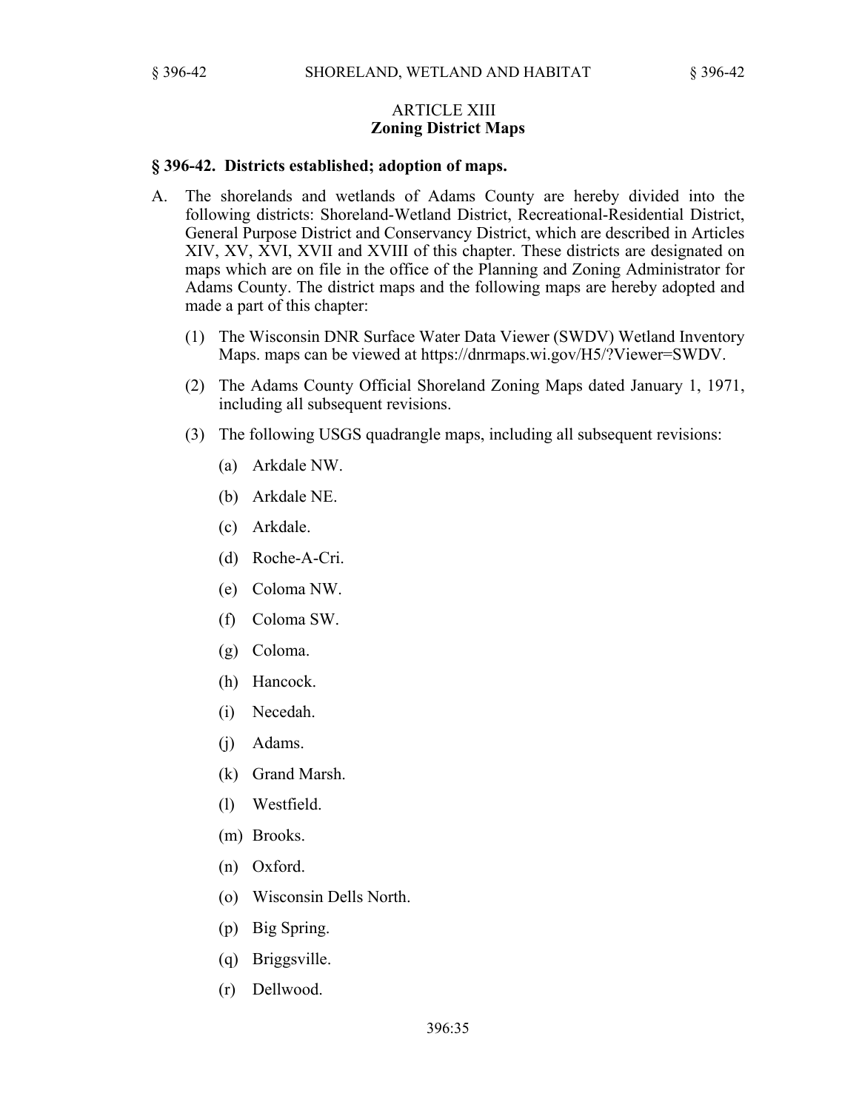#### ARTICLE XIII **Zoning District Maps**

#### **§ 396-42. Districts established; adoption of maps.**

- A. The shorelands and wetlands of Adams County are hereby divided into the following districts: Shoreland-Wetland District, Recreational-Residential District, General Purpose District and Conservancy District, which are described in Articles XIV, XV, XVI, XVII and XVIII of this chapter. These districts are designated on maps which are on file in the office of the Planning and Zoning Administrator for Adams County. The district maps and the following maps are hereby adopted and made a part of this chapter:
	- (1) The Wisconsin DNR Surface Water Data Viewer (SWDV) Wetland Inventory Maps. maps can be viewed at https://dnrmaps.wi.gov/H5/?Viewer=SWDV.
	- (2) The Adams County Official Shoreland Zoning Maps dated January 1, 1971, including all subsequent revisions.
	- (3) The following USGS quadrangle maps, including all subsequent revisions:
		- (a) Arkdale NW.
		- (b) Arkdale NE.
		- (c) Arkdale.
		- (d) Roche-A-Cri.
		- (e) Coloma NW.
		- (f) Coloma SW.
		- (g) Coloma.
		- (h) Hancock.
		- (i) Necedah.
		- (j) Adams.
		- (k) Grand Marsh.
		- (l) Westfield.
		- (m) Brooks.
		- (n) Oxford.
		- (o) Wisconsin Dells North.
		- (p) Big Spring.
		- (q) Briggsville.
		- (r) Dellwood.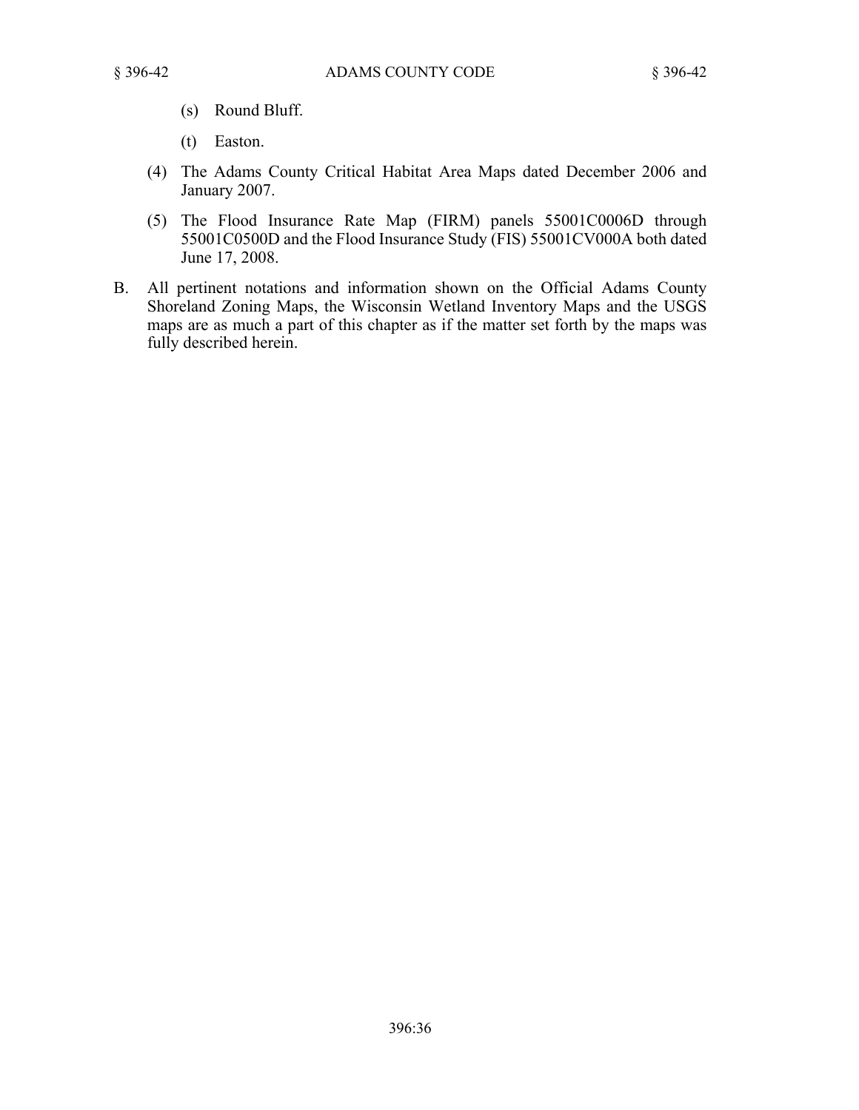- 
- (s) Round Bluff.
- (t) Easton.
- (4) The Adams County Critical Habitat Area Maps dated December 2006 and January 2007.
- (5) The Flood Insurance Rate Map (FIRM) panels 55001C0006D through 55001C0500D and the Flood Insurance Study (FIS) 55001CV000A both dated June 17, 2008.
- B. All pertinent notations and information shown on the Official Adams County Shoreland Zoning Maps, the Wisconsin Wetland Inventory Maps and the USGS maps are as much a part of this chapter as if the matter set forth by the maps was fully described herein.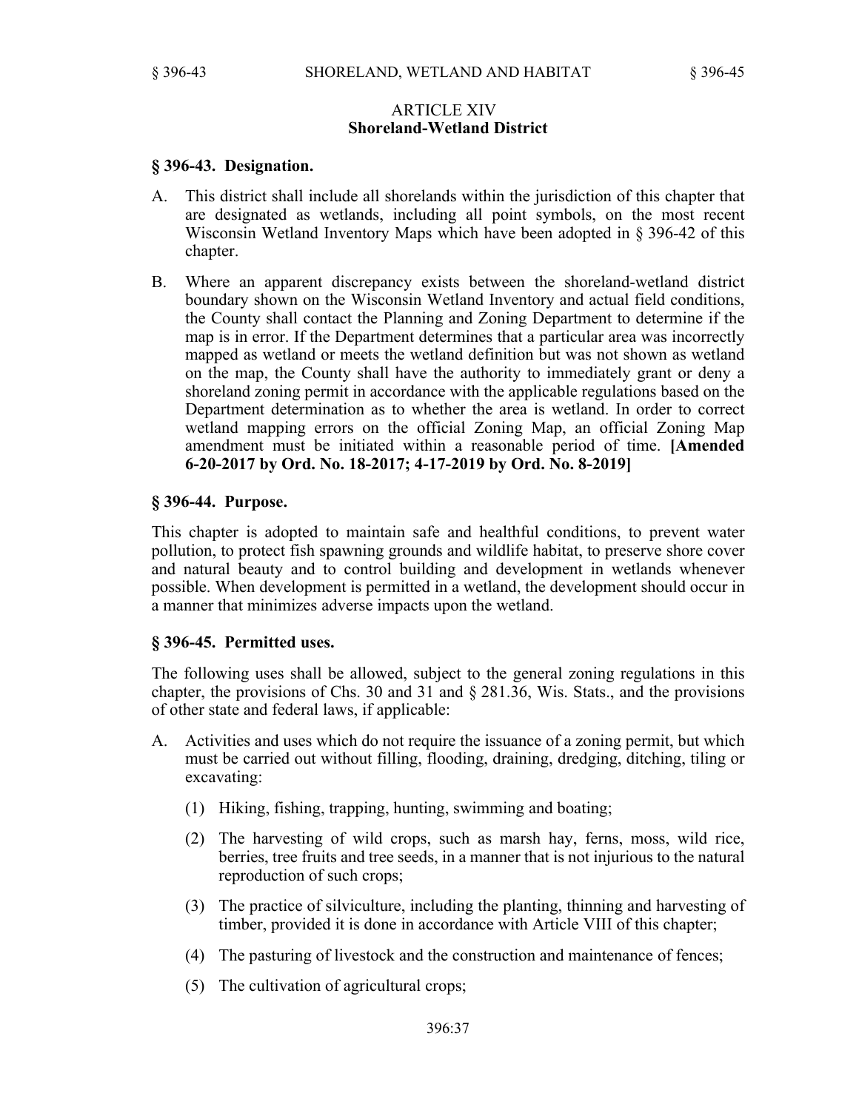### ARTICLE XIV **Shoreland-Wetland District**

#### **§ 396-43. Designation.**

- A. This district shall include all shorelands within the jurisdiction of this chapter that are designated as wetlands, including all point symbols, on the most recent Wisconsin Wetland Inventory Maps which have been adopted in § 396-42 of this chapter.
- B. Where an apparent discrepancy exists between the shoreland-wetland district boundary shown on the Wisconsin Wetland Inventory and actual field conditions, the County shall contact the Planning and Zoning Department to determine if the map is in error. If the Department determines that a particular area was incorrectly mapped as wetland or meets the wetland definition but was not shown as wetland on the map, the County shall have the authority to immediately grant or deny a shoreland zoning permit in accordance with the applicable regulations based on the Department determination as to whether the area is wetland. In order to correct wetland mapping errors on the official Zoning Map, an official Zoning Map amendment must be initiated within a reasonable period of time. **[Amended 6-20-2017 by Ord. No. 18-2017; 4-17-2019 by Ord. No. 8-2019]**

### **§ 396-44. Purpose.**

This chapter is adopted to maintain safe and healthful conditions, to prevent water pollution, to protect fish spawning grounds and wildlife habitat, to preserve shore cover and natural beauty and to control building and development in wetlands whenever possible. When development is permitted in a wetland, the development should occur in a manner that minimizes adverse impacts upon the wetland.

#### **§ 396-45. Permitted uses.**

The following uses shall be allowed, subject to the general zoning regulations in this chapter, the provisions of Chs. 30 and 31 and § 281.36, Wis. Stats., and the provisions of other state and federal laws, if applicable:

- A. Activities and uses which do not require the issuance of a zoning permit, but which must be carried out without filling, flooding, draining, dredging, ditching, tiling or excavating:
	- (1) Hiking, fishing, trapping, hunting, swimming and boating;
	- (2) The harvesting of wild crops, such as marsh hay, ferns, moss, wild rice, berries, tree fruits and tree seeds, in a manner that is not injurious to the natural reproduction of such crops;
	- (3) The practice of silviculture, including the planting, thinning and harvesting of timber, provided it is done in accordance with Article VIII of this chapter;
	- (4) The pasturing of livestock and the construction and maintenance of fences;
	- (5) The cultivation of agricultural crops;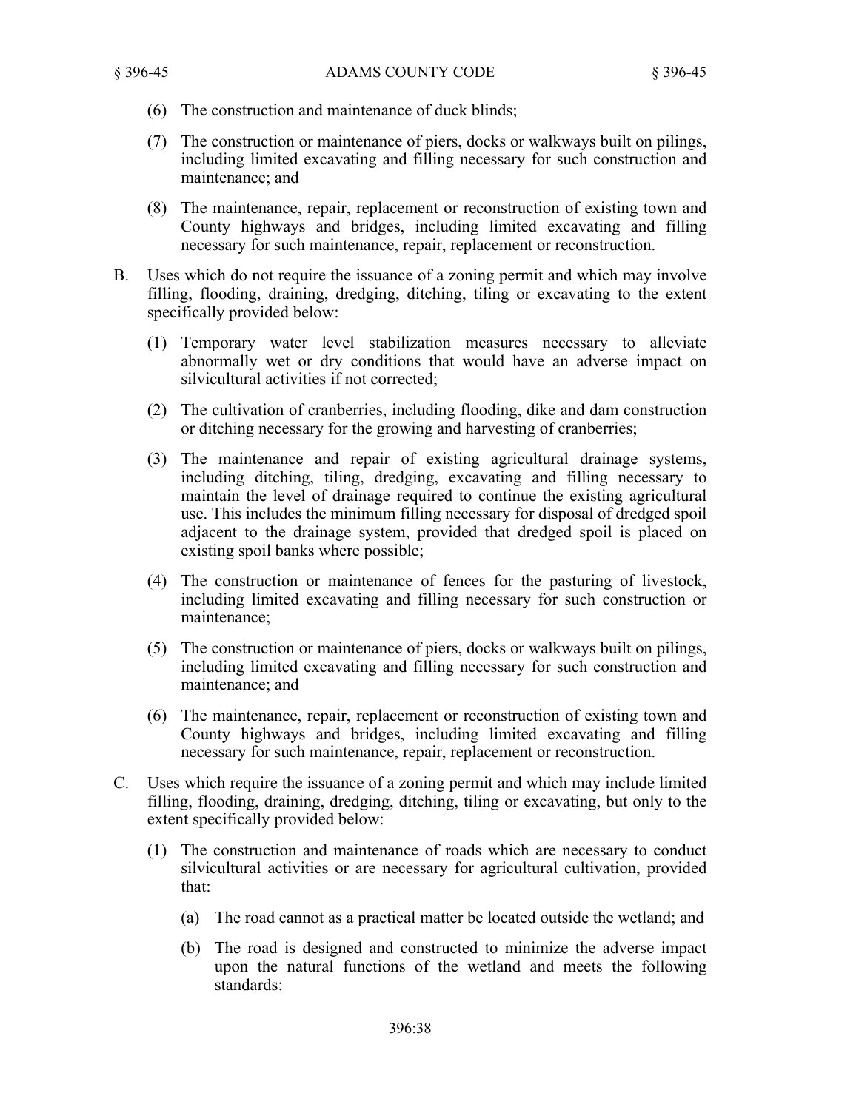- (6) The construction and maintenance of duck blinds;
- (7) The construction or maintenance of piers, docks or walkways built on pilings, including limited excavating and filling necessary for such construction and maintenance; and
- (8) The maintenance, repair, replacement or reconstruction of existing town and County highways and bridges, including limited excavating and filling necessary for such maintenance, repair, replacement or reconstruction.
- B. Uses which do not require the issuance of a zoning permit and which may involve filling, flooding, draining, dredging, ditching, tiling or excavating to the extent specifically provided below:
	- (1) Temporary water level stabilization measures necessary to alleviate abnormally wet or dry conditions that would have an adverse impact on silvicultural activities if not corrected;
	- (2) The cultivation of cranberries, including flooding, dike and dam construction or ditching necessary for the growing and harvesting of cranberries;
	- (3) The maintenance and repair of existing agricultural drainage systems, including ditching, tiling, dredging, excavating and filling necessary to maintain the level of drainage required to continue the existing agricultural use. This includes the minimum filling necessary for disposal of dredged spoil adjacent to the drainage system, provided that dredged spoil is placed on existing spoil banks where possible;
	- (4) The construction or maintenance of fences for the pasturing of livestock, including limited excavating and filling necessary for such construction or maintenance;
	- (5) The construction or maintenance of piers, docks or walkways built on pilings, including limited excavating and filling necessary for such construction and maintenance; and
	- (6) The maintenance, repair, replacement or reconstruction of existing town and County highways and bridges, including limited excavating and filling necessary for such maintenance, repair, replacement or reconstruction.
- C. Uses which require the issuance of a zoning permit and which may include limited filling, flooding, draining, dredging, ditching, tiling or excavating, but only to the extent specifically provided below:
	- (1) The construction and maintenance of roads which are necessary to conduct silvicultural activities or are necessary for agricultural cultivation, provided that:
		- (a) The road cannot as a practical matter be located outside the wetland; and
		- (b) The road is designed and constructed to minimize the adverse impact upon the natural functions of the wetland and meets the following standards: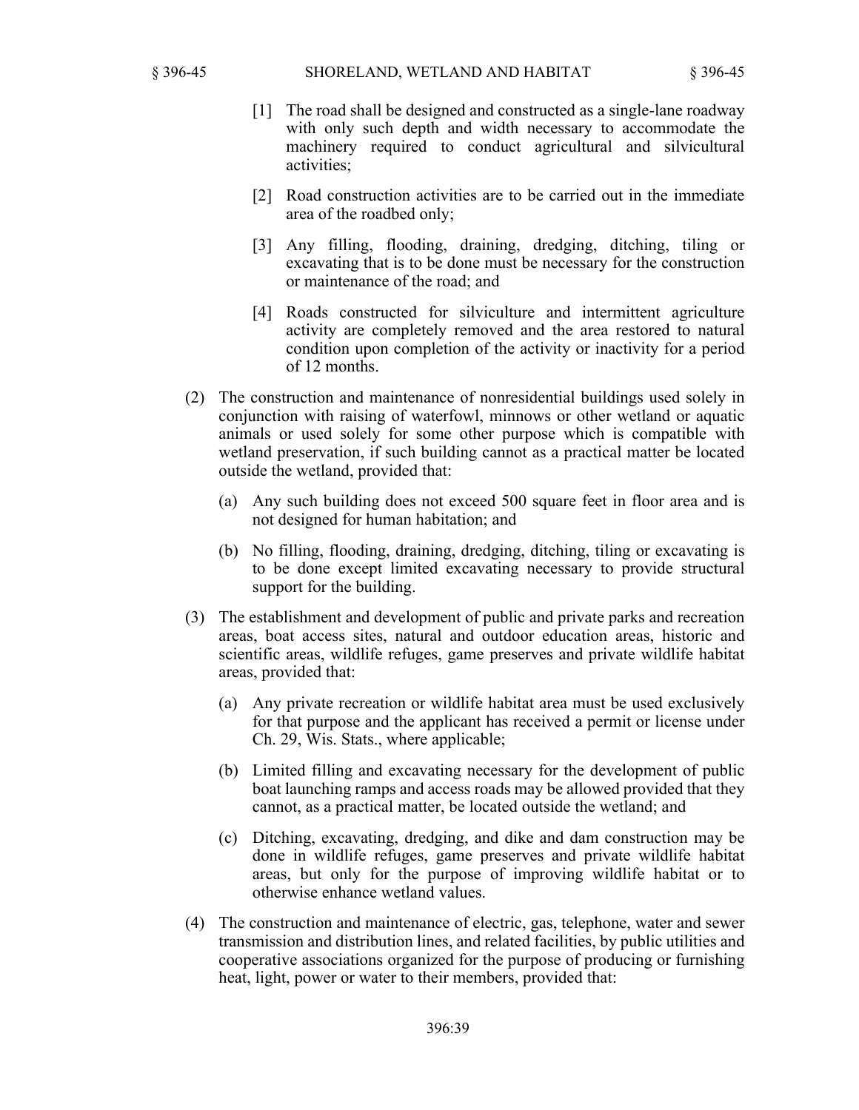- [1] The road shall be designed and constructed as a single-lane roadway with only such depth and width necessary to accommodate the machinery required to conduct agricultural and silvicultural activities;
- [2] Road construction activities are to be carried out in the immediate area of the roadbed only;
- [3] Any filling, flooding, draining, dredging, ditching, tiling or excavating that is to be done must be necessary for the construction or maintenance of the road; and
- [4] Roads constructed for silviculture and intermittent agriculture activity are completely removed and the area restored to natural condition upon completion of the activity or inactivity for a period of 12 months.
- (2) The construction and maintenance of nonresidential buildings used solely in conjunction with raising of waterfowl, minnows or other wetland or aquatic animals or used solely for some other purpose which is compatible with wetland preservation, if such building cannot as a practical matter be located outside the wetland, provided that:
	- (a) Any such building does not exceed 500 square feet in floor area and is not designed for human habitation; and
	- (b) No filling, flooding, draining, dredging, ditching, tiling or excavating is to be done except limited excavating necessary to provide structural support for the building.
- (3) The establishment and development of public and private parks and recreation areas, boat access sites, natural and outdoor education areas, historic and scientific areas, wildlife refuges, game preserves and private wildlife habitat areas, provided that:
	- (a) Any private recreation or wildlife habitat area must be used exclusively for that purpose and the applicant has received a permit or license under Ch. 29, Wis. Stats., where applicable;
	- (b) Limited filling and excavating necessary for the development of public boat launching ramps and access roads may be allowed provided that they cannot, as a practical matter, be located outside the wetland; and
	- (c) Ditching, excavating, dredging, and dike and dam construction may be done in wildlife refuges, game preserves and private wildlife habitat areas, but only for the purpose of improving wildlife habitat or to otherwise enhance wetland values.
- (4) The construction and maintenance of electric, gas, telephone, water and sewer transmission and distribution lines, and related facilities, by public utilities and cooperative associations organized for the purpose of producing or furnishing heat, light, power or water to their members, provided that: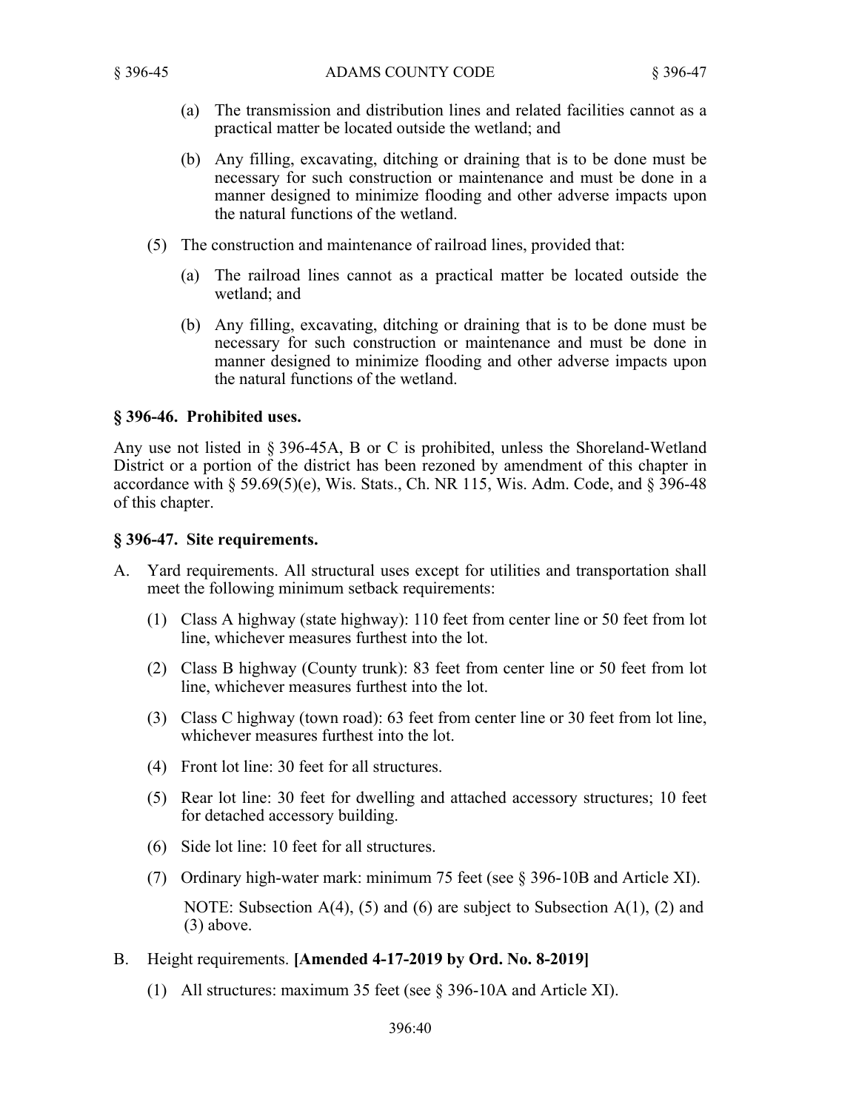- (a) The transmission and distribution lines and related facilities cannot as a practical matter be located outside the wetland; and
- (b) Any filling, excavating, ditching or draining that is to be done must be necessary for such construction or maintenance and must be done in a manner designed to minimize flooding and other adverse impacts upon the natural functions of the wetland.
- (5) The construction and maintenance of railroad lines, provided that:
	- (a) The railroad lines cannot as a practical matter be located outside the wetland; and
	- (b) Any filling, excavating, ditching or draining that is to be done must be necessary for such construction or maintenance and must be done in manner designed to minimize flooding and other adverse impacts upon the natural functions of the wetland.

## **§ 396-46. Prohibited uses.**

Any use not listed in § 396-45A, B or C is prohibited, unless the Shoreland-Wetland District or a portion of the district has been rezoned by amendment of this chapter in accordance with  $\S 59.69(5)(e)$ , Wis. Stats., Ch. NR 115, Wis. Adm. Code, and  $\S 396-48$ of this chapter.

## **§ 396-47. Site requirements.**

- A. Yard requirements. All structural uses except for utilities and transportation shall meet the following minimum setback requirements:
	- (1) Class A highway (state highway): 110 feet from center line or 50 feet from lot line, whichever measures furthest into the lot.
	- (2) Class B highway (County trunk): 83 feet from center line or 50 feet from lot line, whichever measures furthest into the lot.
	- (3) Class C highway (town road): 63 feet from center line or 30 feet from lot line, whichever measures furthest into the lot.
	- (4) Front lot line: 30 feet for all structures.
	- (5) Rear lot line: 30 feet for dwelling and attached accessory structures; 10 feet for detached accessory building.
	- (6) Side lot line: 10 feet for all structures.
	- (7) Ordinary high-water mark: minimum 75 feet (see § 396-10B and Article XI).

NOTE: Subsection  $A(4)$ , (5) and (6) are subject to Subsection  $A(1)$ , (2) and (3) above.

- B. Height requirements. **[Amended 4-17-2019 by Ord. No. 8-2019]**
	- (1) All structures: maximum 35 feet (see § 396-10A and Article XI).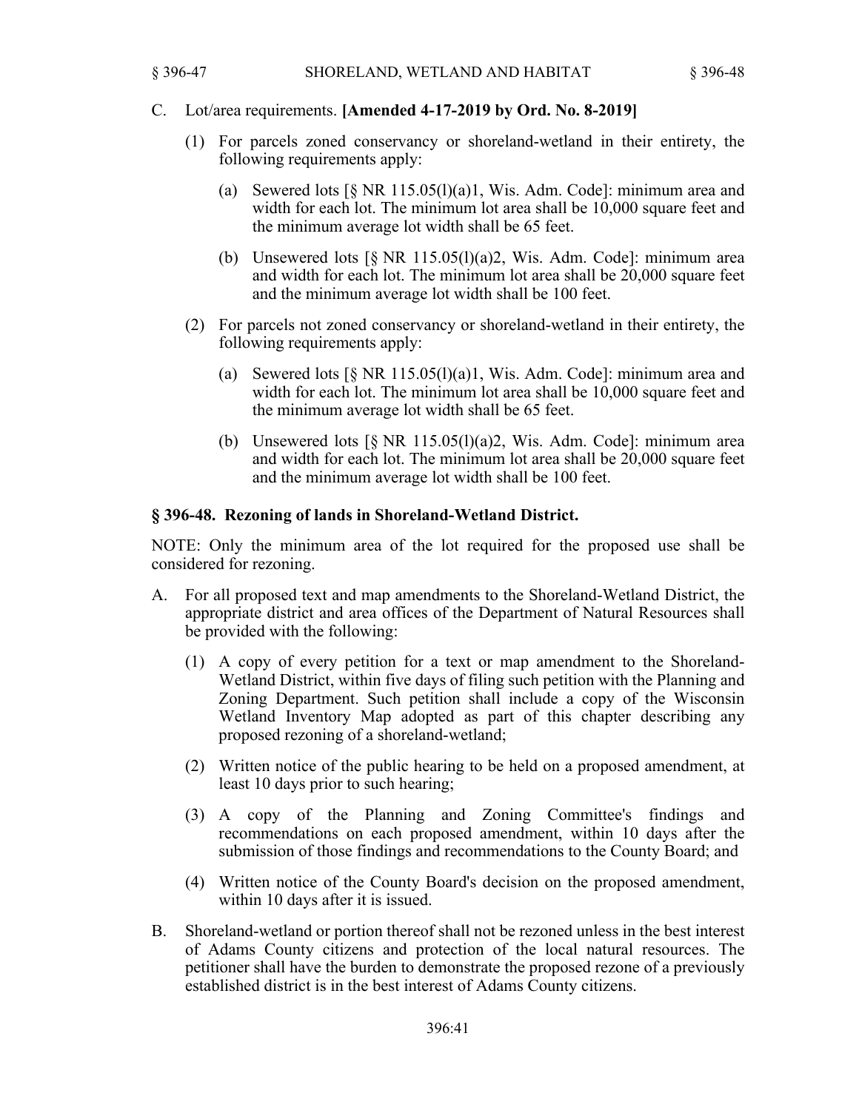### C. Lot/area requirements. **[Amended 4-17-2019 by Ord. No. 8-2019]**

- (1) For parcels zoned conservancy or shoreland-wetland in their entirety, the following requirements apply:
	- (a) Sewered lots  $\lceil \S$  NR 115.05(l)(a)1, Wis. Adm. Code]: minimum area and width for each lot. The minimum lot area shall be 10,000 square feet and the minimum average lot width shall be 65 feet.
	- (b) Unsewered lots  $[\S$  NR 115.05(l)(a)2, Wis. Adm. Code]: minimum area and width for each lot. The minimum lot area shall be 20,000 square feet and the minimum average lot width shall be 100 feet.
- (2) For parcels not zoned conservancy or shoreland-wetland in their entirety, the following requirements apply:
	- (a) Sewered lots  $\lceil \S$  NR 115.05(l)(a)1, Wis. Adm. Code]: minimum area and width for each lot. The minimum lot area shall be 10,000 square feet and the minimum average lot width shall be 65 feet.
	- (b) Unsewered lots  $\lceil \S$  NR 115.05(1)(a)2, Wis. Adm. Code]: minimum area and width for each lot. The minimum lot area shall be 20,000 square feet and the minimum average lot width shall be 100 feet.

#### **§ 396-48. Rezoning of lands in Shoreland-Wetland District.**

NOTE: Only the minimum area of the lot required for the proposed use shall be considered for rezoning.

- A. For all proposed text and map amendments to the Shoreland-Wetland District, the appropriate district and area offices of the Department of Natural Resources shall be provided with the following:
	- (1) A copy of every petition for a text or map amendment to the Shoreland-Wetland District, within five days of filing such petition with the Planning and Zoning Department. Such petition shall include a copy of the Wisconsin Wetland Inventory Map adopted as part of this chapter describing any proposed rezoning of a shoreland-wetland;
	- (2) Written notice of the public hearing to be held on a proposed amendment, at least 10 days prior to such hearing;
	- (3) A copy of the Planning and Zoning Committee's findings and recommendations on each proposed amendment, within 10 days after the submission of those findings and recommendations to the County Board; and
	- (4) Written notice of the County Board's decision on the proposed amendment, within 10 days after it is issued.
- B. Shoreland-wetland or portion thereof shall not be rezoned unless in the best interest of Adams County citizens and protection of the local natural resources. The petitioner shall have the burden to demonstrate the proposed rezone of a previously established district is in the best interest of Adams County citizens.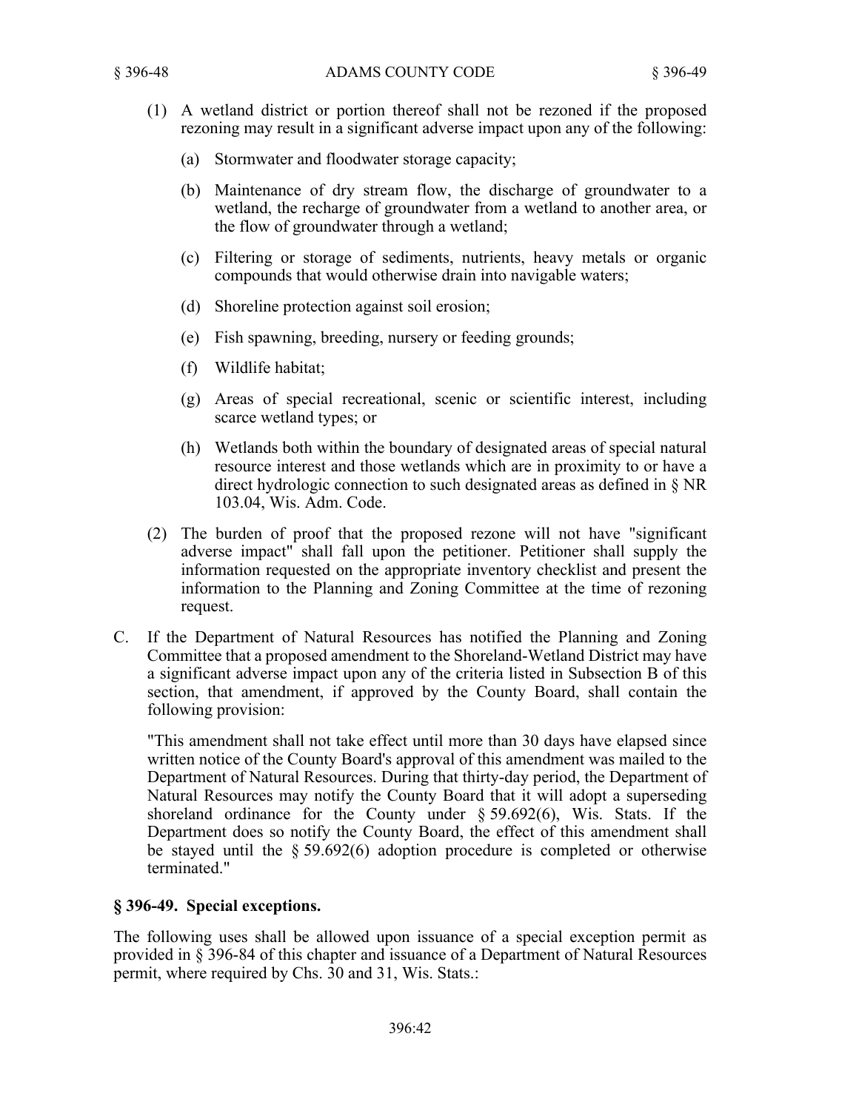- (1) A wetland district or portion thereof shall not be rezoned if the proposed rezoning may result in a significant adverse impact upon any of the following:
	- (a) Stormwater and floodwater storage capacity;
	- (b) Maintenance of dry stream flow, the discharge of groundwater to a wetland, the recharge of groundwater from a wetland to another area, or the flow of groundwater through a wetland;
	- (c) Filtering or storage of sediments, nutrients, heavy metals or organic compounds that would otherwise drain into navigable waters;
	- (d) Shoreline protection against soil erosion;
	- (e) Fish spawning, breeding, nursery or feeding grounds;
	- (f) Wildlife habitat;
	- (g) Areas of special recreational, scenic or scientific interest, including scarce wetland types; or
	- (h) Wetlands both within the boundary of designated areas of special natural resource interest and those wetlands which are in proximity to or have a direct hydrologic connection to such designated areas as defined in § NR 103.04, Wis. Adm. Code.
- (2) The burden of proof that the proposed rezone will not have "significant adverse impact" shall fall upon the petitioner. Petitioner shall supply the information requested on the appropriate inventory checklist and present the information to the Planning and Zoning Committee at the time of rezoning request.
- C. If the Department of Natural Resources has notified the Planning and Zoning Committee that a proposed amendment to the Shoreland-Wetland District may have a significant adverse impact upon any of the criteria listed in Subsection B of this section, that amendment, if approved by the County Board, shall contain the following provision:

"This amendment shall not take effect until more than 30 days have elapsed since written notice of the County Board's approval of this amendment was mailed to the Department of Natural Resources. During that thirty-day period, the Department of Natural Resources may notify the County Board that it will adopt a superseding shoreland ordinance for the County under § 59.692(6), Wis. Stats. If the Department does so notify the County Board, the effect of this amendment shall be stayed until the § 59.692(6) adoption procedure is completed or otherwise terminated."

# **§ 396-49. Special exceptions.**

The following uses shall be allowed upon issuance of a special exception permit as provided in § 396-84 of this chapter and issuance of a Department of Natural Resources permit, where required by Chs. 30 and 31, Wis. Stats.: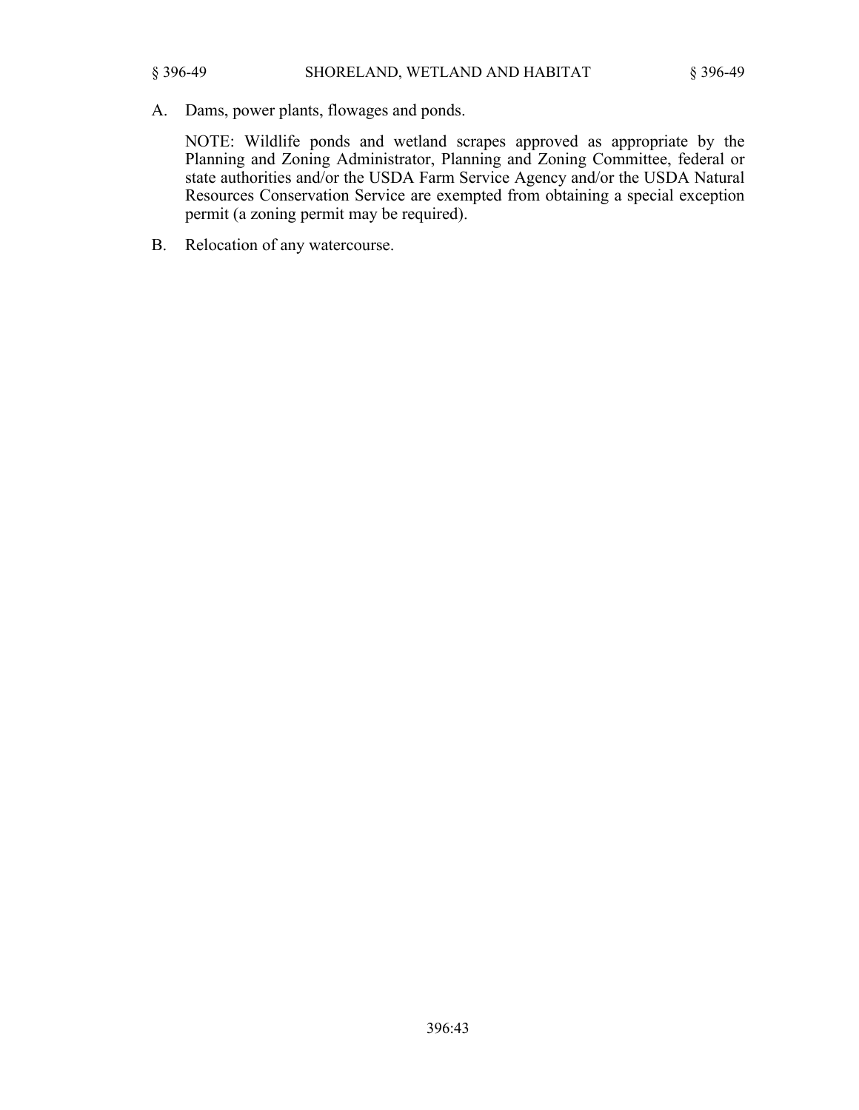A. Dams, power plants, flowages and ponds.

NOTE: Wildlife ponds and wetland scrapes approved as appropriate by the Planning and Zoning Administrator, Planning and Zoning Committee, federal or state authorities and/or the USDA Farm Service Agency and/or the USDA Natural Resources Conservation Service are exempted from obtaining a special exception permit (a zoning permit may be required).

B. Relocation of any watercourse.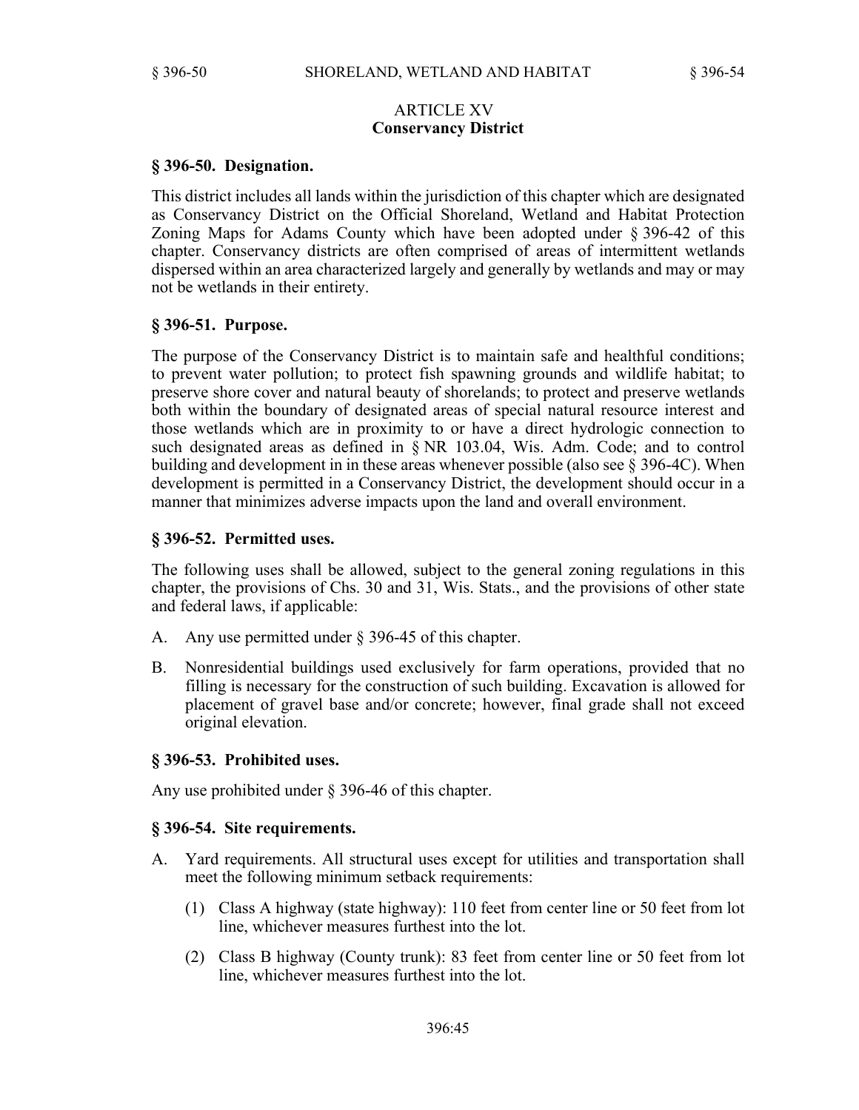## ARTICLE XV **Conservancy District**

## **§ 396-50. Designation.**

This district includes all lands within the jurisdiction of this chapter which are designated as Conservancy District on the Official Shoreland, Wetland and Habitat Protection Zoning Maps for Adams County which have been adopted under § 396-42 of this chapter. Conservancy districts are often comprised of areas of intermittent wetlands dispersed within an area characterized largely and generally by wetlands and may or may not be wetlands in their entirety.

## **§ 396-51. Purpose.**

The purpose of the Conservancy District is to maintain safe and healthful conditions; to prevent water pollution; to protect fish spawning grounds and wildlife habitat; to preserve shore cover and natural beauty of shorelands; to protect and preserve wetlands both within the boundary of designated areas of special natural resource interest and those wetlands which are in proximity to or have a direct hydrologic connection to such designated areas as defined in § NR 103.04, Wis. Adm. Code; and to control building and development in in these areas whenever possible (also see § 396-4C). When development is permitted in a Conservancy District, the development should occur in a manner that minimizes adverse impacts upon the land and overall environment.

## **§ 396-52. Permitted uses.**

The following uses shall be allowed, subject to the general zoning regulations in this chapter, the provisions of Chs. 30 and 31, Wis. Stats., and the provisions of other state and federal laws, if applicable:

- A. Any use permitted under § 396-45 of this chapter.
- B. Nonresidential buildings used exclusively for farm operations, provided that no filling is necessary for the construction of such building. Excavation is allowed for placement of gravel base and/or concrete; however, final grade shall not exceed original elevation.

#### **§ 396-53. Prohibited uses.**

Any use prohibited under § 396-46 of this chapter.

#### **§ 396-54. Site requirements.**

- A. Yard requirements. All structural uses except for utilities and transportation shall meet the following minimum setback requirements:
	- (1) Class A highway (state highway): 110 feet from center line or 50 feet from lot line, whichever measures furthest into the lot.
	- (2) Class B highway (County trunk): 83 feet from center line or 50 feet from lot line, whichever measures furthest into the lot.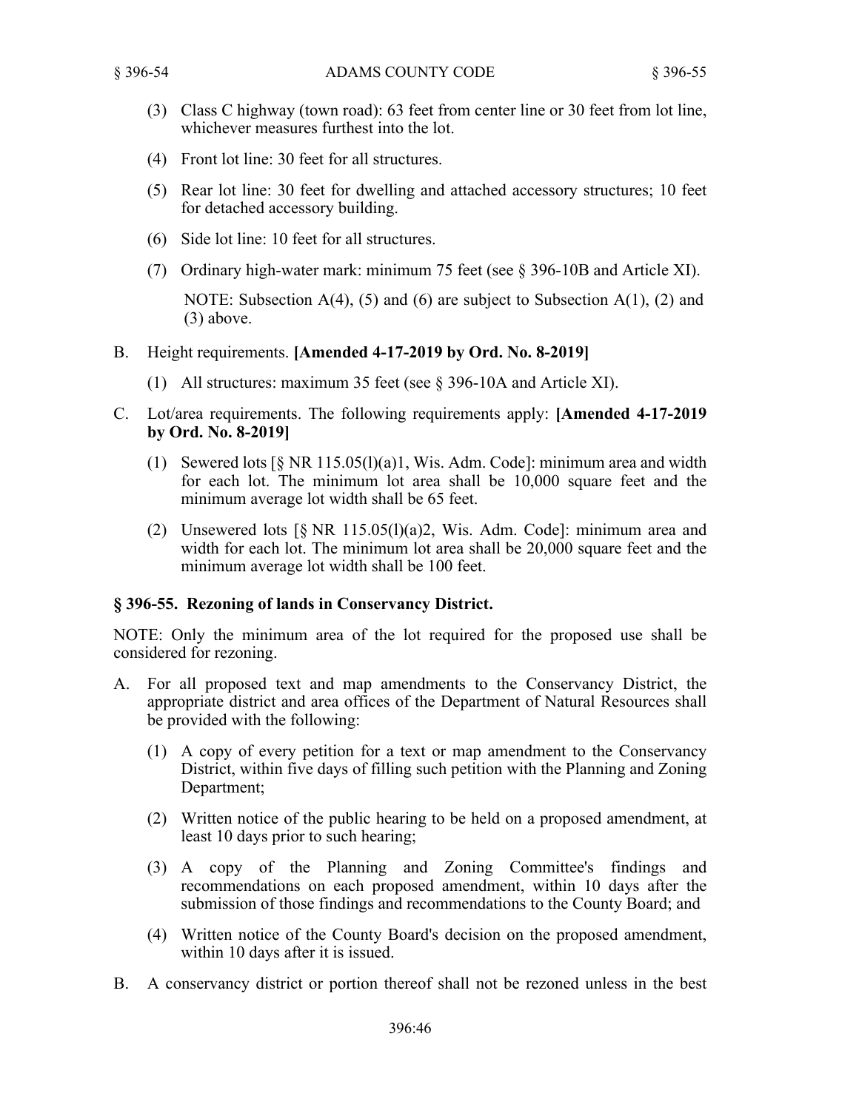- (3) Class C highway (town road): 63 feet from center line or 30 feet from lot line, whichever measures furthest into the lot.
- (4) Front lot line: 30 feet for all structures.
- (5) Rear lot line: 30 feet for dwelling and attached accessory structures; 10 feet for detached accessory building.
- (6) Side lot line: 10 feet for all structures.
- (7) Ordinary high-water mark: minimum 75 feet (see § 396-10B and Article XI).

NOTE: Subsection  $A(4)$ , (5) and (6) are subject to Subsection  $A(1)$ , (2) and (3) above.

- B. Height requirements. **[Amended 4-17-2019 by Ord. No. 8-2019]**
	- (1) All structures: maximum 35 feet (see § 396-10A and Article XI).
- C. Lot/area requirements. The following requirements apply: **[Amended 4-17-2019 by Ord. No. 8-2019]**
	- (1) Sewered lots [§ NR 115.05(l)(a)1, Wis. Adm. Code]: minimum area and width for each lot. The minimum lot area shall be 10,000 square feet and the minimum average lot width shall be 65 feet.
	- (2) Unsewered lots  $\lceil \S \text{ NR } 115.05 \rceil \rceil$  (a) 2, Wis. Adm. Code]: minimum area and width for each lot. The minimum lot area shall be 20,000 square feet and the minimum average lot width shall be 100 feet.

## **§ 396-55. Rezoning of lands in Conservancy District.**

NOTE: Only the minimum area of the lot required for the proposed use shall be considered for rezoning.

- A. For all proposed text and map amendments to the Conservancy District, the appropriate district and area offices of the Department of Natural Resources shall be provided with the following:
	- (1) A copy of every petition for a text or map amendment to the Conservancy District, within five days of filling such petition with the Planning and Zoning Department;
	- (2) Written notice of the public hearing to be held on a proposed amendment, at least 10 days prior to such hearing;
	- (3) A copy of the Planning and Zoning Committee's findings and recommendations on each proposed amendment, within 10 days after the submission of those findings and recommendations to the County Board; and
	- (4) Written notice of the County Board's decision on the proposed amendment, within 10 days after it is issued.
- B. A conservancy district or portion thereof shall not be rezoned unless in the best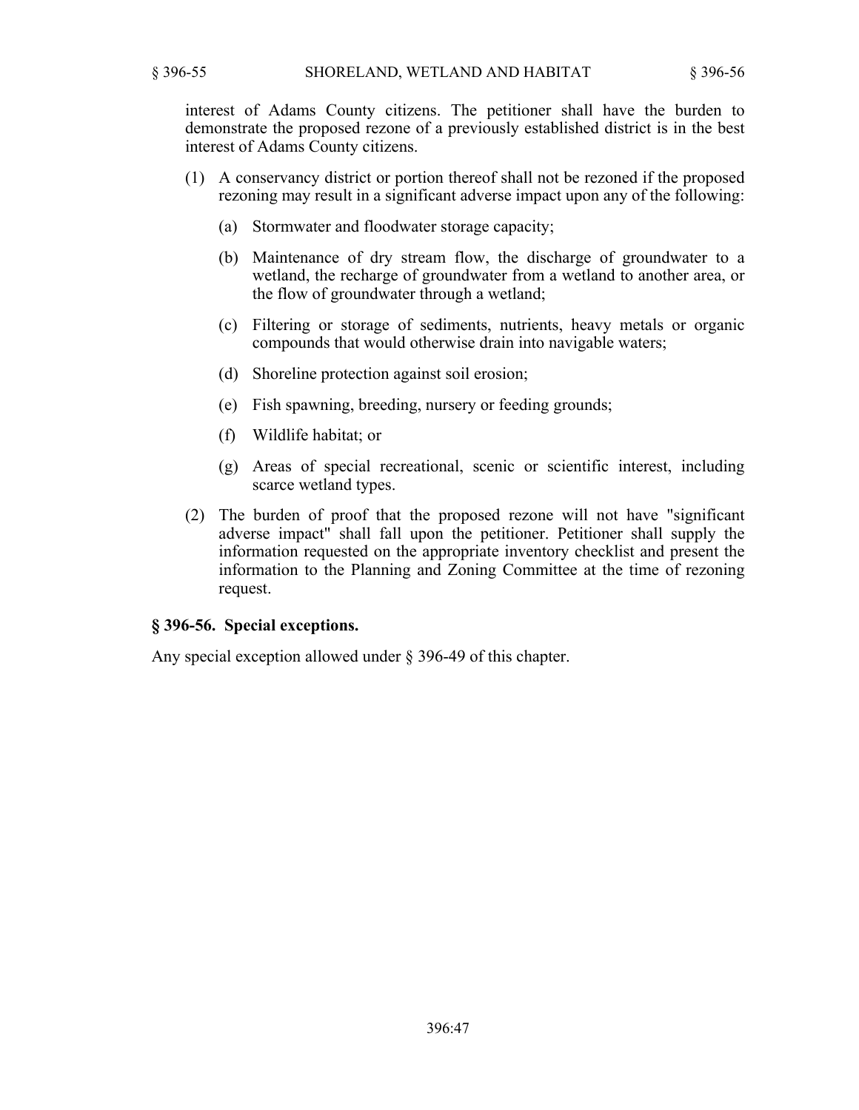interest of Adams County citizens. The petitioner shall have the burden to demonstrate the proposed rezone of a previously established district is in the best interest of Adams County citizens.

- (1) A conservancy district or portion thereof shall not be rezoned if the proposed rezoning may result in a significant adverse impact upon any of the following:
	- (a) Stormwater and floodwater storage capacity;
	- (b) Maintenance of dry stream flow, the discharge of groundwater to a wetland, the recharge of groundwater from a wetland to another area, or the flow of groundwater through a wetland;
	- (c) Filtering or storage of sediments, nutrients, heavy metals or organic compounds that would otherwise drain into navigable waters;
	- (d) Shoreline protection against soil erosion;
	- (e) Fish spawning, breeding, nursery or feeding grounds;
	- (f) Wildlife habitat; or
	- (g) Areas of special recreational, scenic or scientific interest, including scarce wetland types.
- (2) The burden of proof that the proposed rezone will not have "significant adverse impact" shall fall upon the petitioner. Petitioner shall supply the information requested on the appropriate inventory checklist and present the information to the Planning and Zoning Committee at the time of rezoning request.

## **§ 396-56. Special exceptions.**

Any special exception allowed under § 396-49 of this chapter.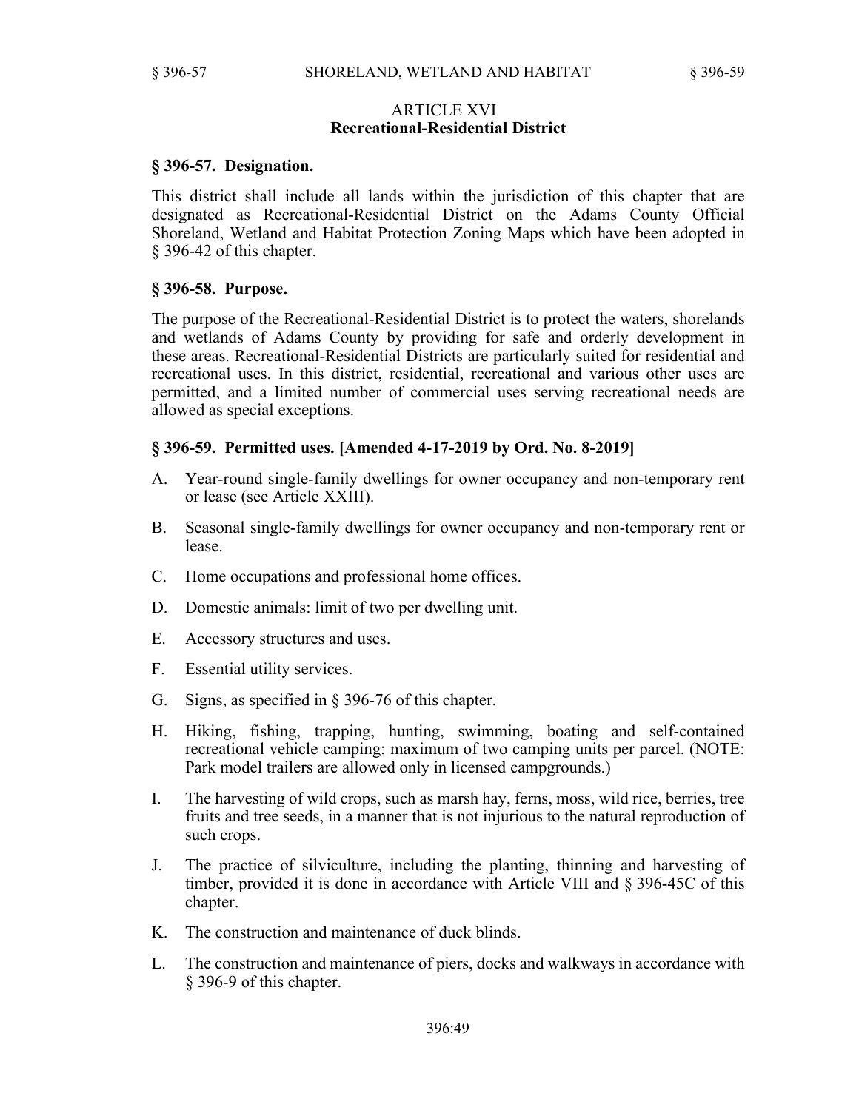## ARTICLE XVI **Recreational-Residential District**

## **§ 396-57. Designation.**

This district shall include all lands within the jurisdiction of this chapter that are designated as Recreational-Residential District on the Adams County Official Shoreland, Wetland and Habitat Protection Zoning Maps which have been adopted in § 396-42 of this chapter.

## **§ 396-58. Purpose.**

The purpose of the Recreational-Residential District is to protect the waters, shorelands and wetlands of Adams County by providing for safe and orderly development in these areas. Recreational-Residential Districts are particularly suited for residential and recreational uses. In this district, residential, recreational and various other uses are permitted, and a limited number of commercial uses serving recreational needs are allowed as special exceptions.

## **§ 396-59. Permitted uses. [Amended 4-17-2019 by Ord. No. 8-2019]**

- A. Year-round single-family dwellings for owner occupancy and non-temporary rent or lease (see Article XXIII).
- B. Seasonal single-family dwellings for owner occupancy and non-temporary rent or lease.
- C. Home occupations and professional home offices.
- D. Domestic animals: limit of two per dwelling unit.
- E. Accessory structures and uses.
- F. Essential utility services.
- G. Signs, as specified in § 396-76 of this chapter.
- H. Hiking, fishing, trapping, hunting, swimming, boating and self-contained recreational vehicle camping: maximum of two camping units per parcel. (NOTE: Park model trailers are allowed only in licensed campgrounds.)
- I. The harvesting of wild crops, such as marsh hay, ferns, moss, wild rice, berries, tree fruits and tree seeds, in a manner that is not injurious to the natural reproduction of such crops.
- J. The practice of silviculture, including the planting, thinning and harvesting of timber, provided it is done in accordance with Article VIII and § 396-45C of this chapter.
- K. The construction and maintenance of duck blinds.
- L. The construction and maintenance of piers, docks and walkways in accordance with § 396-9 of this chapter.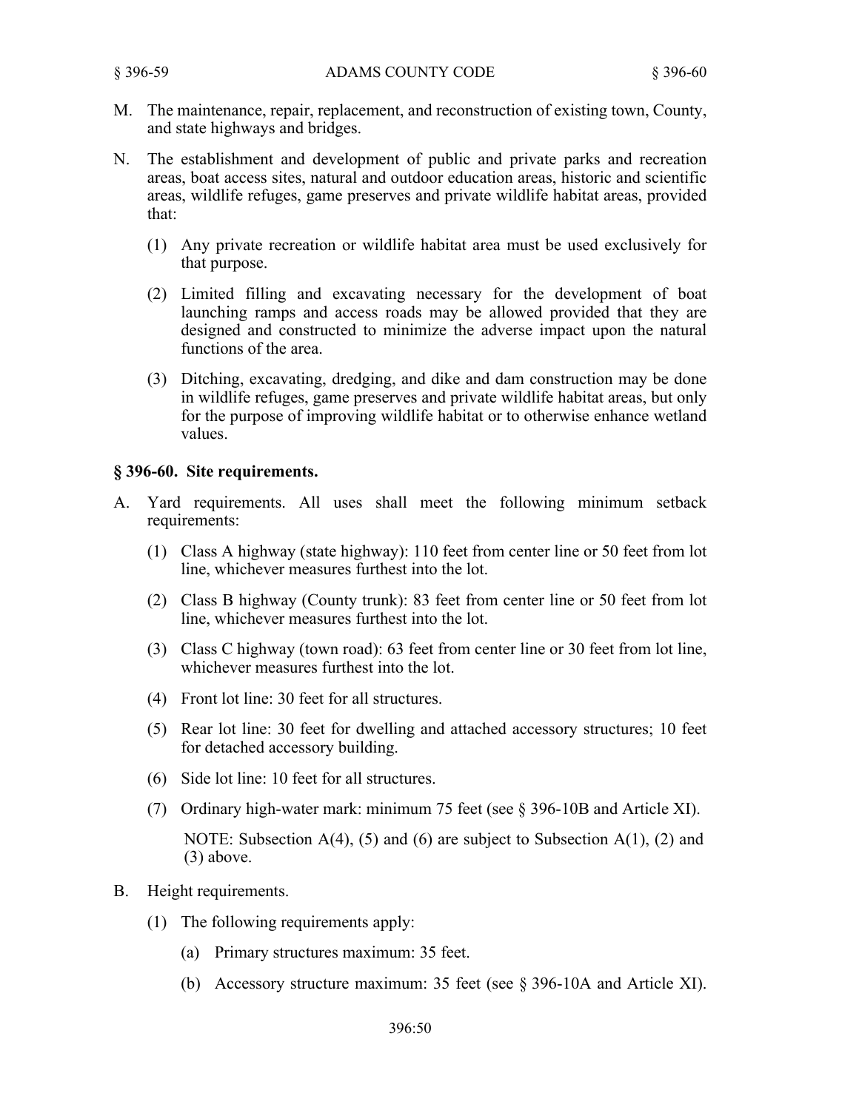- M. The maintenance, repair, replacement, and reconstruction of existing town, County, and state highways and bridges.
- N. The establishment and development of public and private parks and recreation areas, boat access sites, natural and outdoor education areas, historic and scientific areas, wildlife refuges, game preserves and private wildlife habitat areas, provided that:
	- (1) Any private recreation or wildlife habitat area must be used exclusively for that purpose.
	- (2) Limited filling and excavating necessary for the development of boat launching ramps and access roads may be allowed provided that they are designed and constructed to minimize the adverse impact upon the natural functions of the area.
	- (3) Ditching, excavating, dredging, and dike and dam construction may be done in wildlife refuges, game preserves and private wildlife habitat areas, but only for the purpose of improving wildlife habitat or to otherwise enhance wetland values.

## **§ 396-60. Site requirements.**

- A. Yard requirements. All uses shall meet the following minimum setback requirements:
	- (1) Class A highway (state highway): 110 feet from center line or 50 feet from lot line, whichever measures furthest into the lot.
	- (2) Class B highway (County trunk): 83 feet from center line or 50 feet from lot line, whichever measures furthest into the lot.
	- (3) Class C highway (town road): 63 feet from center line or 30 feet from lot line, whichever measures furthest into the lot.
	- (4) Front lot line: 30 feet for all structures.
	- (5) Rear lot line: 30 feet for dwelling and attached accessory structures; 10 feet for detached accessory building.
	- (6) Side lot line: 10 feet for all structures.
	- (7) Ordinary high-water mark: minimum 75 feet (see § 396-10B and Article XI).
		- NOTE: Subsection  $A(4)$ , (5) and (6) are subject to Subsection  $A(1)$ , (2) and (3) above.
- B. Height requirements.
	- (1) The following requirements apply:
		- (a) Primary structures maximum: 35 feet.
		- (b) Accessory structure maximum: 35 feet (see § 396-10A and Article XI).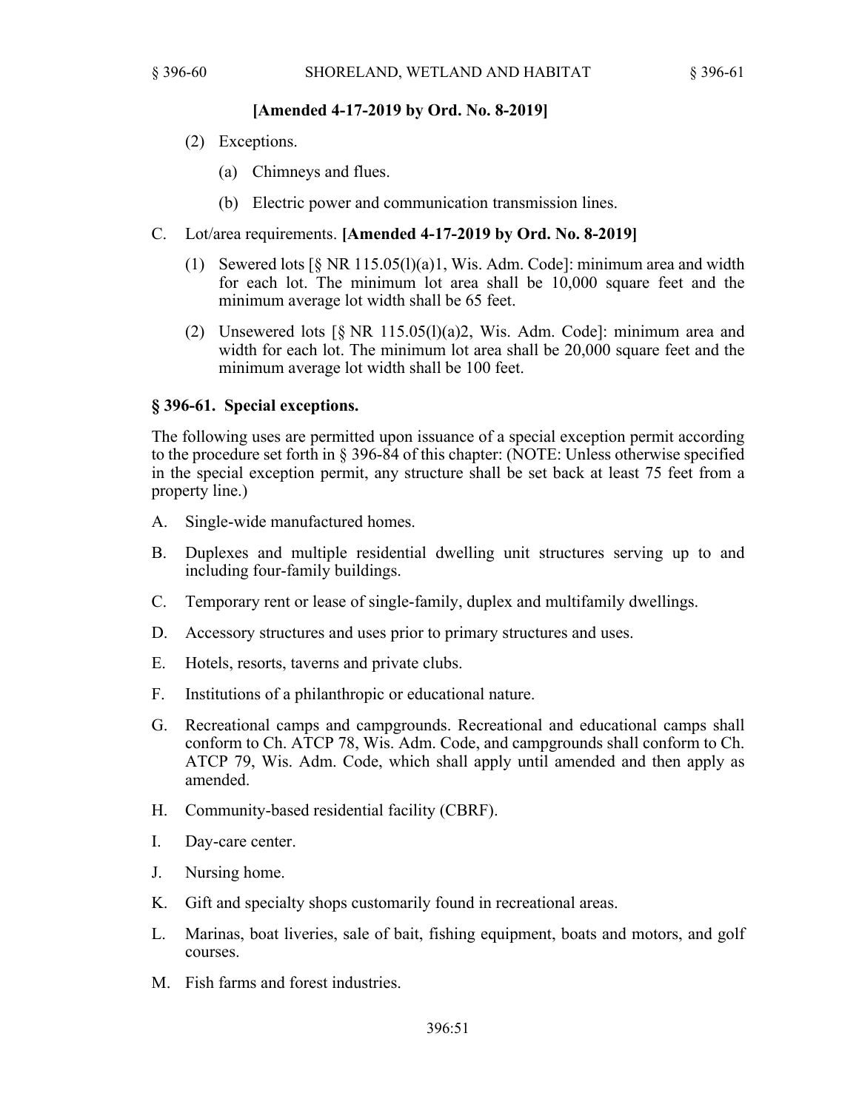## **[Amended 4-17-2019 by Ord. No. 8-2019]**

- (2) Exceptions.
	- (a) Chimneys and flues.
	- (b) Electric power and communication transmission lines.
- C. Lot/area requirements. **[Amended 4-17-2019 by Ord. No. 8-2019]**
	- (1) Sewered lots  $\lceil \S \text{ NR } 115.05 \rceil$  (1)(a)1, Wis. Adm. Code]: minimum area and width for each lot. The minimum lot area shall be 10,000 square feet and the minimum average lot width shall be 65 feet.
	- (2) Unsewered lots  $\lceil \S$  NR 115.05(1)(a)2, Wis. Adm. Code]: minimum area and width for each lot. The minimum lot area shall be 20,000 square feet and the minimum average lot width shall be 100 feet.

## **§ 396-61. Special exceptions.**

The following uses are permitted upon issuance of a special exception permit according to the procedure set forth in § 396-84 of this chapter: (NOTE: Unless otherwise specified in the special exception permit, any structure shall be set back at least 75 feet from a property line.)

- A. Single-wide manufactured homes.
- B. Duplexes and multiple residential dwelling unit structures serving up to and including four-family buildings.
- C. Temporary rent or lease of single-family, duplex and multifamily dwellings.
- D. Accessory structures and uses prior to primary structures and uses.
- E. Hotels, resorts, taverns and private clubs.
- F. Institutions of a philanthropic or educational nature.
- G. Recreational camps and campgrounds. Recreational and educational camps shall conform to Ch. ATCP 78, Wis. Adm. Code, and campgrounds shall conform to Ch. ATCP 79, Wis. Adm. Code, which shall apply until amended and then apply as amended.
- H. Community-based residential facility (CBRF).
- I. Day-care center.
- J. Nursing home.
- K. Gift and specialty shops customarily found in recreational areas.
- L. Marinas, boat liveries, sale of bait, fishing equipment, boats and motors, and golf courses.
- M. Fish farms and forest industries.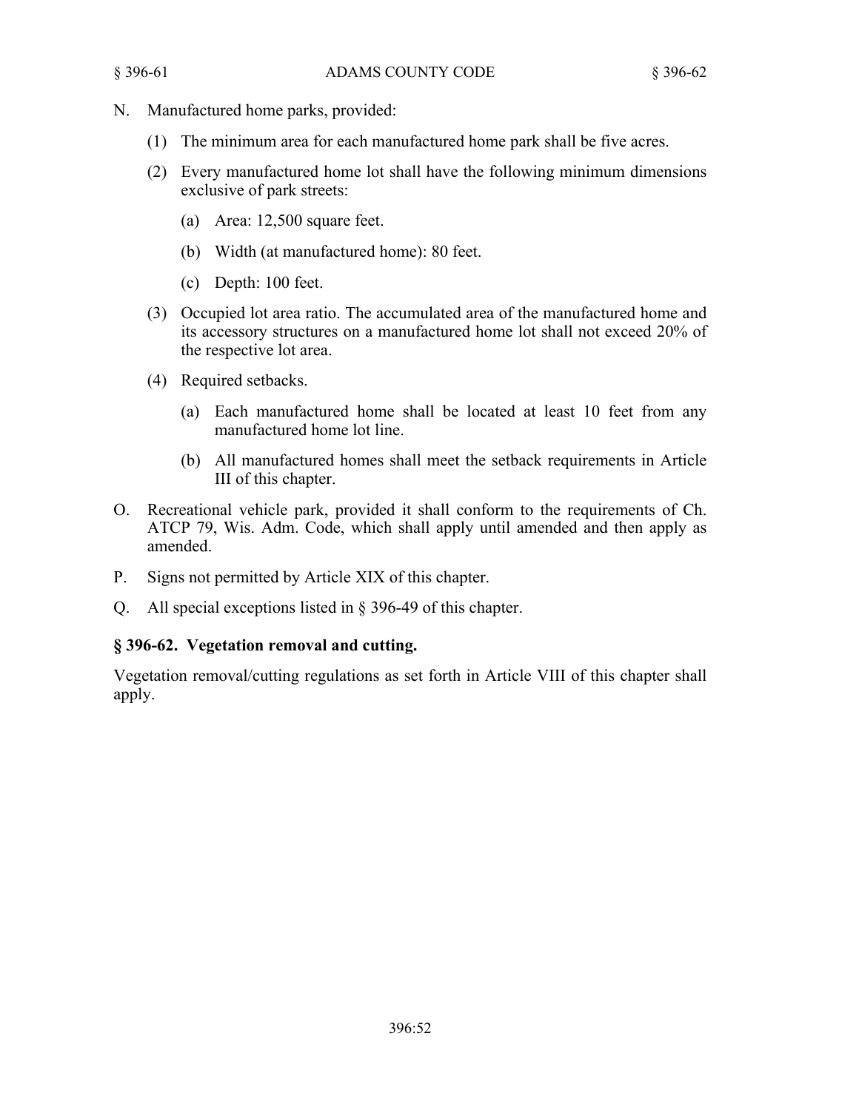- N. Manufactured home parks, provided:
	- (1) The minimum area for each manufactured home park shall be five acres.
	- (2) Every manufactured home lot shall have the following minimum dimensions exclusive of park streets:
		- (a) Area: 12,500 square feet.
		- (b) Width (at manufactured home): 80 feet.
		- (c) Depth: 100 feet.
	- (3) Occupied lot area ratio. The accumulated area of the manufactured home and its accessory structures on a manufactured home lot shall not exceed 20% of the respective lot area.
	- (4) Required setbacks.
		- (a) Each manufactured home shall be located at least 10 feet from any manufactured home lot line.
		- (b) All manufactured homes shall meet the setback requirements in Article III of this chapter.
- O. Recreational vehicle park, provided it shall conform to the requirements of Ch. ATCP 79, Wis. Adm. Code, which shall apply until amended and then apply as amended.
- P. Signs not permitted by Article XIX of this chapter.
- Q. All special exceptions listed in § 396-49 of this chapter.

# **§ 396-62. Vegetation removal and cutting.**

Vegetation removal/cutting regulations as set forth in Article VIII of this chapter shall apply.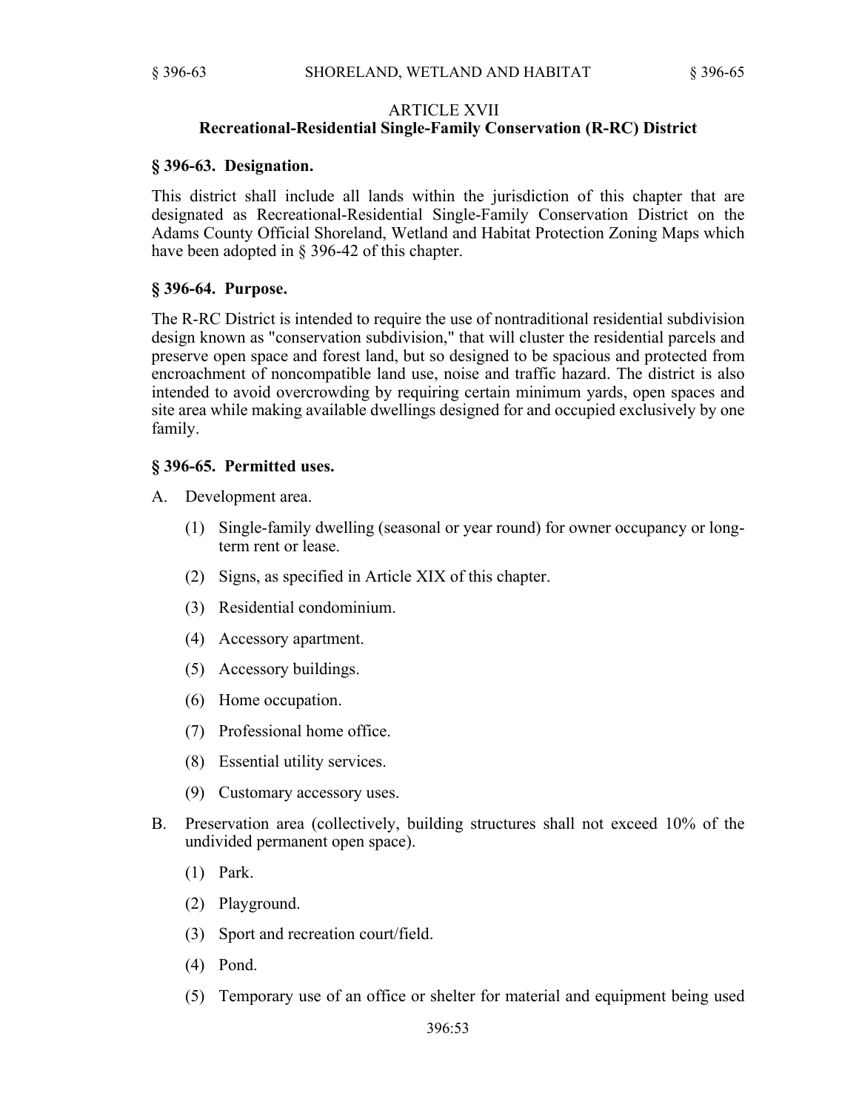#### ARTICLE XVII

### **Recreational-Residential Single-Family Conservation (R-RC) District**

#### **§ 396-63. Designation.**

This district shall include all lands within the jurisdiction of this chapter that are designated as Recreational-Residential Single-Family Conservation District on the Adams County Official Shoreland, Wetland and Habitat Protection Zoning Maps which have been adopted in § 396-42 of this chapter.

#### **§ 396-64. Purpose.**

The R-RC District is intended to require the use of nontraditional residential subdivision design known as "conservation subdivision," that will cluster the residential parcels and preserve open space and forest land, but so designed to be spacious and protected from encroachment of noncompatible land use, noise and traffic hazard. The district is also intended to avoid overcrowding by requiring certain minimum yards, open spaces and site area while making available dwellings designed for and occupied exclusively by one family.

## **§ 396-65. Permitted uses.**

- A. Development area.
	- (1) Single-family dwelling (seasonal or year round) for owner occupancy or longterm rent or lease.
	- (2) Signs, as specified in Article XIX of this chapter.
	- (3) Residential condominium.
	- (4) Accessory apartment.
	- (5) Accessory buildings.
	- (6) Home occupation.
	- (7) Professional home office.
	- (8) Essential utility services.
	- (9) Customary accessory uses.
- B. Preservation area (collectively, building structures shall not exceed 10% of the undivided permanent open space).
	- (1) Park.
	- (2) Playground.
	- (3) Sport and recreation court/field.
	- (4) Pond.
	- (5) Temporary use of an office or shelter for material and equipment being used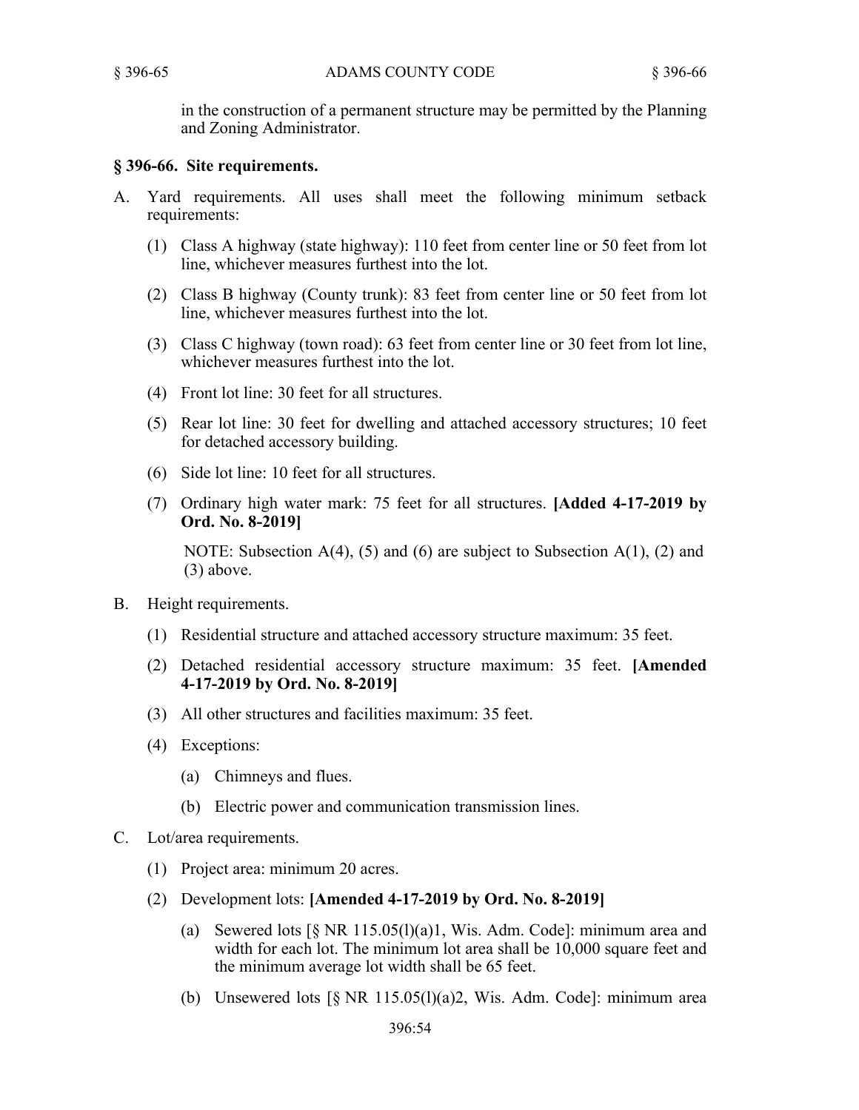in the construction of a permanent structure may be permitted by the Planning and Zoning Administrator.

## **§ 396-66. Site requirements.**

- A. Yard requirements. All uses shall meet the following minimum setback requirements:
	- (1) Class A highway (state highway): 110 feet from center line or 50 feet from lot line, whichever measures furthest into the lot.
	- (2) Class B highway (County trunk): 83 feet from center line or 50 feet from lot line, whichever measures furthest into the lot.
	- (3) Class C highway (town road): 63 feet from center line or 30 feet from lot line, whichever measures furthest into the lot.
	- (4) Front lot line: 30 feet for all structures.
	- (5) Rear lot line: 30 feet for dwelling and attached accessory structures; 10 feet for detached accessory building.
	- (6) Side lot line: 10 feet for all structures.
	- (7) Ordinary high water mark: 75 feet for all structures. **[Added 4-17-2019 by Ord. No. 8-2019]**

NOTE: Subsection  $A(4)$ , (5) and (6) are subject to Subsection  $A(1)$ , (2) and (3) above.

- B. Height requirements.
	- (1) Residential structure and attached accessory structure maximum: 35 feet.
	- (2) Detached residential accessory structure maximum: 35 feet. **[Amended 4-17-2019 by Ord. No. 8-2019]**
	- (3) All other structures and facilities maximum: 35 feet.
	- (4) Exceptions:
		- (a) Chimneys and flues.
		- (b) Electric power and communication transmission lines.
- C. Lot/area requirements.
	- (1) Project area: minimum 20 acres.
	- (2) Development lots: **[Amended 4-17-2019 by Ord. No. 8-2019]**
		- (a) Sewered lots  $\lceil \S \rceil$  NR 115.05(l)(a)1, Wis. Adm. Code]: minimum area and width for each lot. The minimum lot area shall be 10,000 square feet and the minimum average lot width shall be 65 feet.
		- (b) Unsewered lots  $\lceil \S$  NR 115.05(l)(a)2, Wis. Adm. Code]: minimum area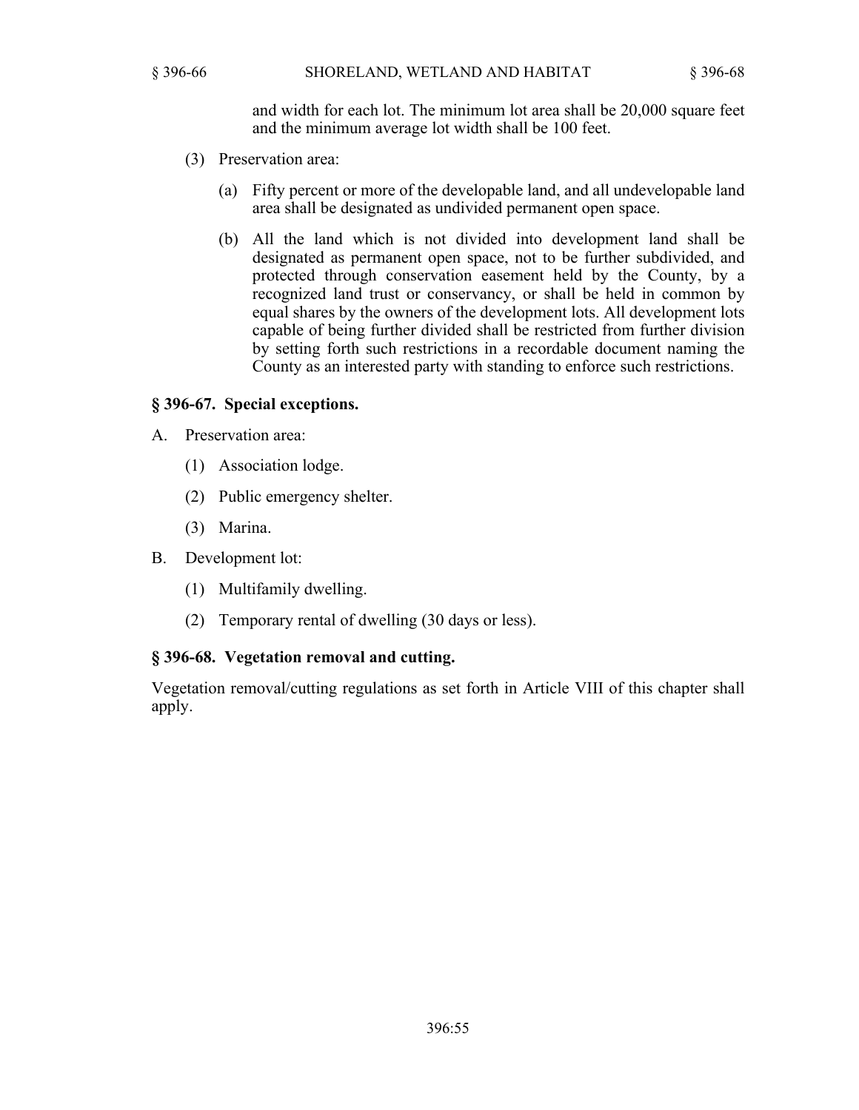and width for each lot. The minimum lot area shall be 20,000 square feet and the minimum average lot width shall be 100 feet.

- (3) Preservation area:
	- (a) Fifty percent or more of the developable land, and all undevelopable land area shall be designated as undivided permanent open space.
	- (b) All the land which is not divided into development land shall be designated as permanent open space, not to be further subdivided, and protected through conservation easement held by the County, by a recognized land trust or conservancy, or shall be held in common by equal shares by the owners of the development lots. All development lots capable of being further divided shall be restricted from further division by setting forth such restrictions in a recordable document naming the County as an interested party with standing to enforce such restrictions.

## **§ 396-67. Special exceptions.**

- A. Preservation area:
	- (1) Association lodge.
	- (2) Public emergency shelter.
	- (3) Marina.
- B. Development lot:
	- (1) Multifamily dwelling.
	- (2) Temporary rental of dwelling (30 days or less).

## **§ 396-68. Vegetation removal and cutting.**

Vegetation removal/cutting regulations as set forth in Article VIII of this chapter shall apply.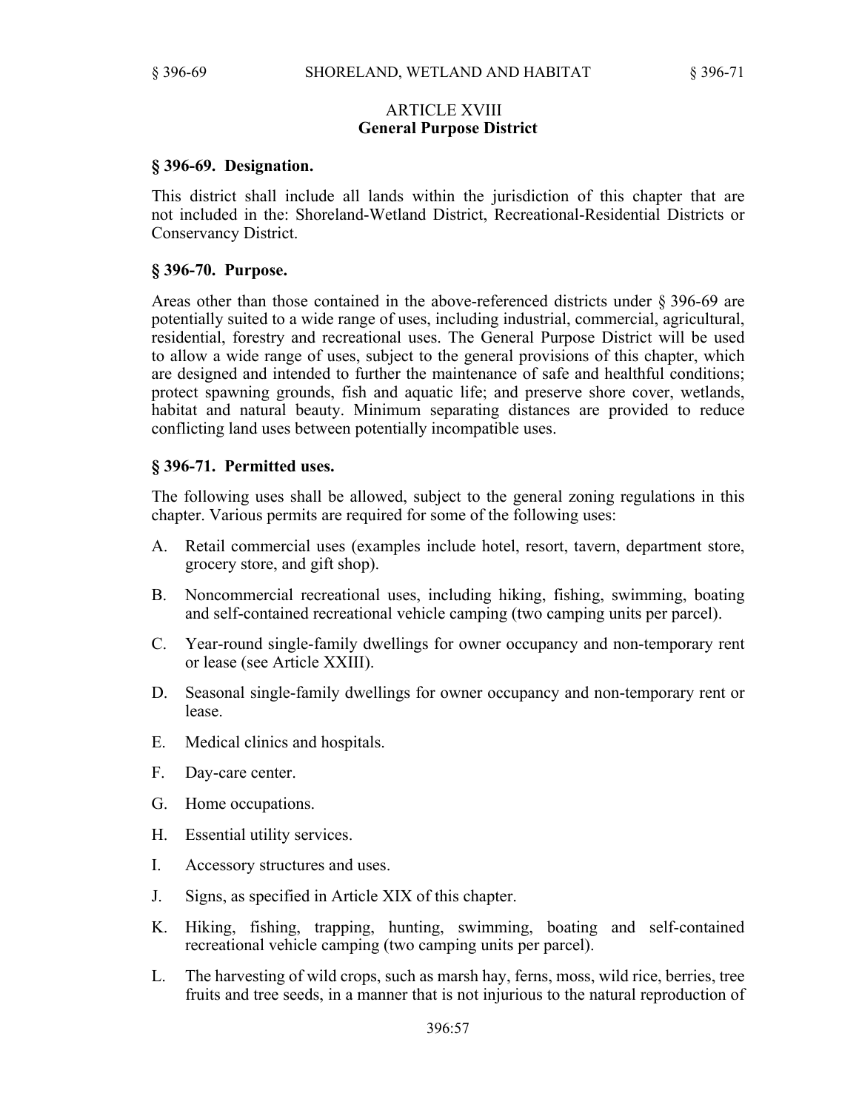## ARTICLE XVIII **General Purpose District**

## **§ 396-69. Designation.**

This district shall include all lands within the jurisdiction of this chapter that are not included in the: Shoreland-Wetland District, Recreational-Residential Districts or Conservancy District.

#### **§ 396-70. Purpose.**

Areas other than those contained in the above-referenced districts under § 396-69 are potentially suited to a wide range of uses, including industrial, commercial, agricultural, residential, forestry and recreational uses. The General Purpose District will be used to allow a wide range of uses, subject to the general provisions of this chapter, which are designed and intended to further the maintenance of safe and healthful conditions; protect spawning grounds, fish and aquatic life; and preserve shore cover, wetlands, habitat and natural beauty. Minimum separating distances are provided to reduce conflicting land uses between potentially incompatible uses.

## **§ 396-71. Permitted uses.**

The following uses shall be allowed, subject to the general zoning regulations in this chapter. Various permits are required for some of the following uses:

- A. Retail commercial uses (examples include hotel, resort, tavern, department store, grocery store, and gift shop).
- B. Noncommercial recreational uses, including hiking, fishing, swimming, boating and self-contained recreational vehicle camping (two camping units per parcel).
- C. Year-round single-family dwellings for owner occupancy and non-temporary rent or lease (see Article XXIII).
- D. Seasonal single-family dwellings for owner occupancy and non-temporary rent or lease.
- E. Medical clinics and hospitals.
- F. Day-care center.
- G. Home occupations.
- H. Essential utility services.
- I. Accessory structures and uses.
- J. Signs, as specified in Article XIX of this chapter.
- K. Hiking, fishing, trapping, hunting, swimming, boating and self-contained recreational vehicle camping (two camping units per parcel).
- L. The harvesting of wild crops, such as marsh hay, ferns, moss, wild rice, berries, tree fruits and tree seeds, in a manner that is not injurious to the natural reproduction of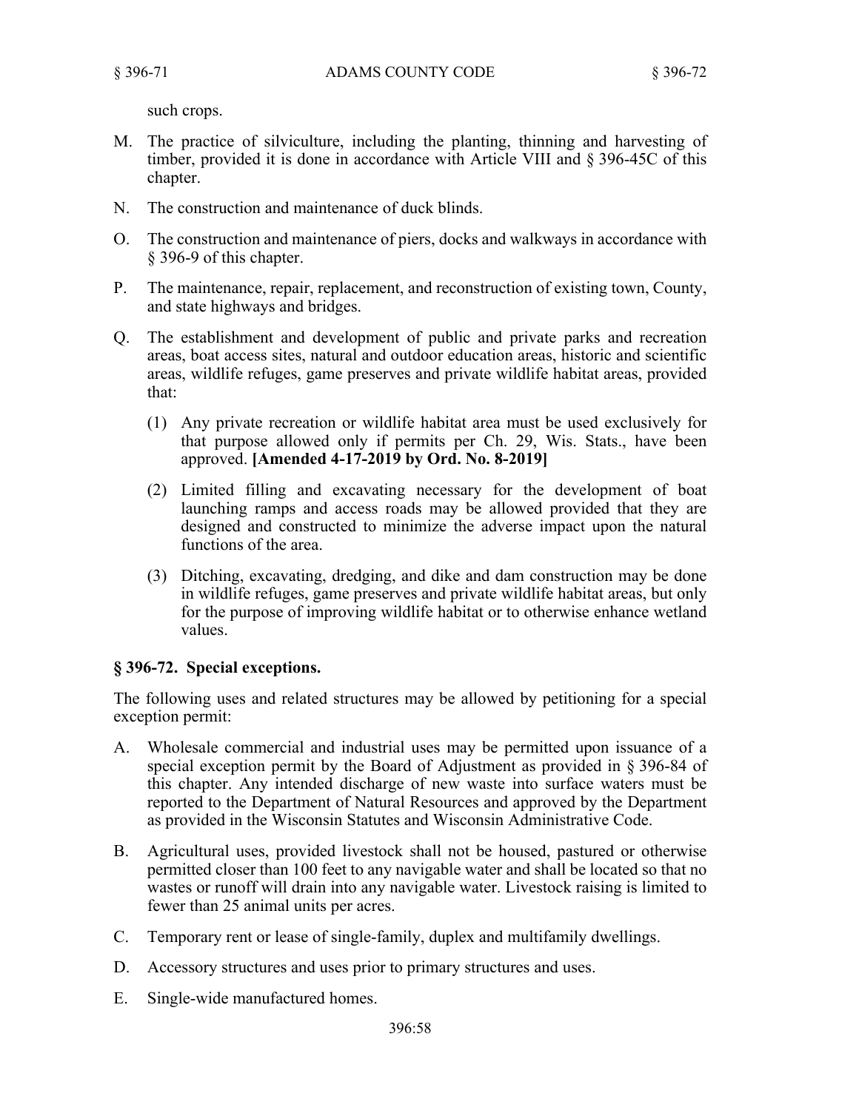such crops.

- M. The practice of silviculture, including the planting, thinning and harvesting of timber, provided it is done in accordance with Article VIII and § 396-45C of this chapter.
- N. The construction and maintenance of duck blinds.
- O. The construction and maintenance of piers, docks and walkways in accordance with § 396-9 of this chapter.
- P. The maintenance, repair, replacement, and reconstruction of existing town, County, and state highways and bridges.
- Q. The establishment and development of public and private parks and recreation areas, boat access sites, natural and outdoor education areas, historic and scientific areas, wildlife refuges, game preserves and private wildlife habitat areas, provided that:
	- (1) Any private recreation or wildlife habitat area must be used exclusively for that purpose allowed only if permits per Ch. 29, Wis. Stats., have been approved. **[Amended 4-17-2019 by Ord. No. 8-2019]**
	- (2) Limited filling and excavating necessary for the development of boat launching ramps and access roads may be allowed provided that they are designed and constructed to minimize the adverse impact upon the natural functions of the area.
	- (3) Ditching, excavating, dredging, and dike and dam construction may be done in wildlife refuges, game preserves and private wildlife habitat areas, but only for the purpose of improving wildlife habitat or to otherwise enhance wetland values.

# **§ 396-72. Special exceptions.**

The following uses and related structures may be allowed by petitioning for a special exception permit:

- A. Wholesale commercial and industrial uses may be permitted upon issuance of a special exception permit by the Board of Adjustment as provided in § 396-84 of this chapter. Any intended discharge of new waste into surface waters must be reported to the Department of Natural Resources and approved by the Department as provided in the Wisconsin Statutes and Wisconsin Administrative Code.
- B. Agricultural uses, provided livestock shall not be housed, pastured or otherwise permitted closer than 100 feet to any navigable water and shall be located so that no wastes or runoff will drain into any navigable water. Livestock raising is limited to fewer than 25 animal units per acres.
- C. Temporary rent or lease of single-family, duplex and multifamily dwellings.
- D. Accessory structures and uses prior to primary structures and uses.
- E. Single-wide manufactured homes.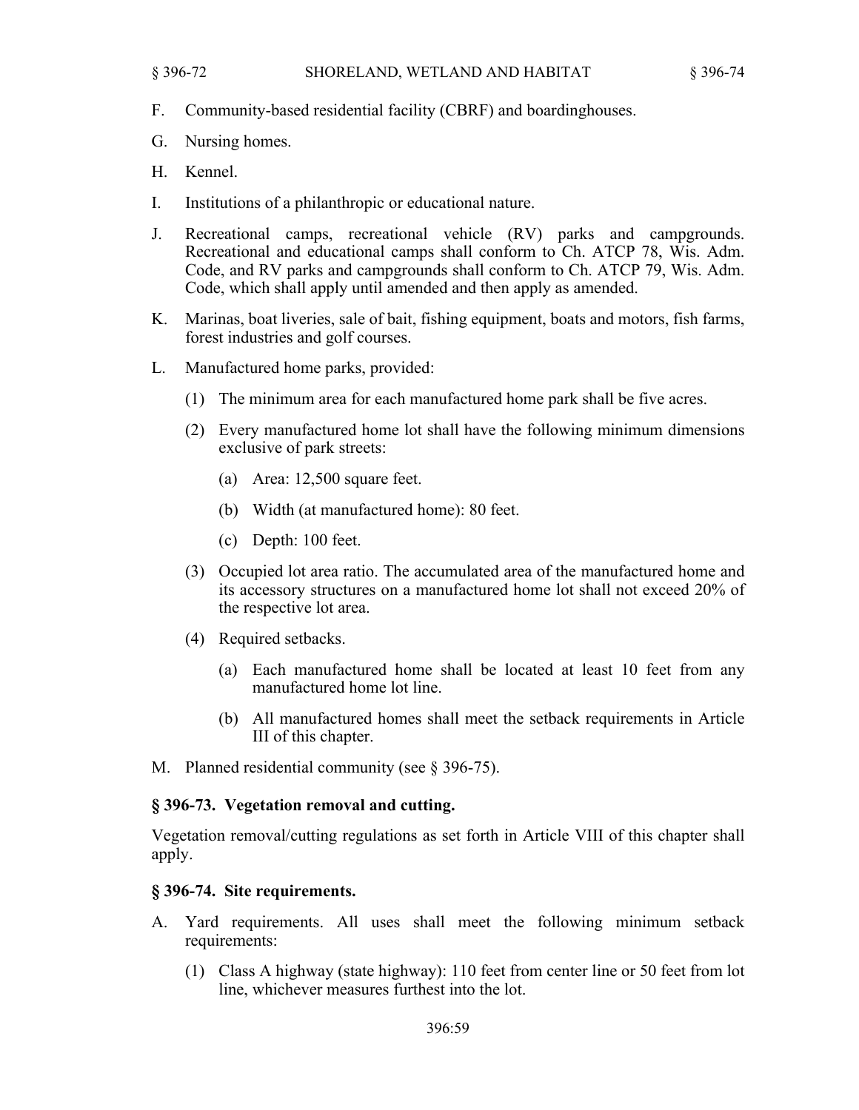- F. Community-based residential facility (CBRF) and boardinghouses.
- G. Nursing homes.
- H. Kennel.
- I. Institutions of a philanthropic or educational nature.
- J. Recreational camps, recreational vehicle (RV) parks and campgrounds. Recreational and educational camps shall conform to Ch. ATCP 78, Wis. Adm. Code, and RV parks and campgrounds shall conform to Ch. ATCP 79, Wis. Adm. Code, which shall apply until amended and then apply as amended.
- K. Marinas, boat liveries, sale of bait, fishing equipment, boats and motors, fish farms, forest industries and golf courses.
- L. Manufactured home parks, provided:
	- (1) The minimum area for each manufactured home park shall be five acres.
	- (2) Every manufactured home lot shall have the following minimum dimensions exclusive of park streets:
		- (a) Area: 12,500 square feet.
		- (b) Width (at manufactured home): 80 feet.
		- (c) Depth: 100 feet.
	- (3) Occupied lot area ratio. The accumulated area of the manufactured home and its accessory structures on a manufactured home lot shall not exceed 20% of the respective lot area.
	- (4) Required setbacks.
		- (a) Each manufactured home shall be located at least 10 feet from any manufactured home lot line.
		- (b) All manufactured homes shall meet the setback requirements in Article III of this chapter.
- M. Planned residential community (see § 396-75).

## **§ 396-73. Vegetation removal and cutting.**

Vegetation removal/cutting regulations as set forth in Article VIII of this chapter shall apply.

## **§ 396-74. Site requirements.**

- A. Yard requirements. All uses shall meet the following minimum setback requirements:
	- (1) Class A highway (state highway): 110 feet from center line or 50 feet from lot line, whichever measures furthest into the lot.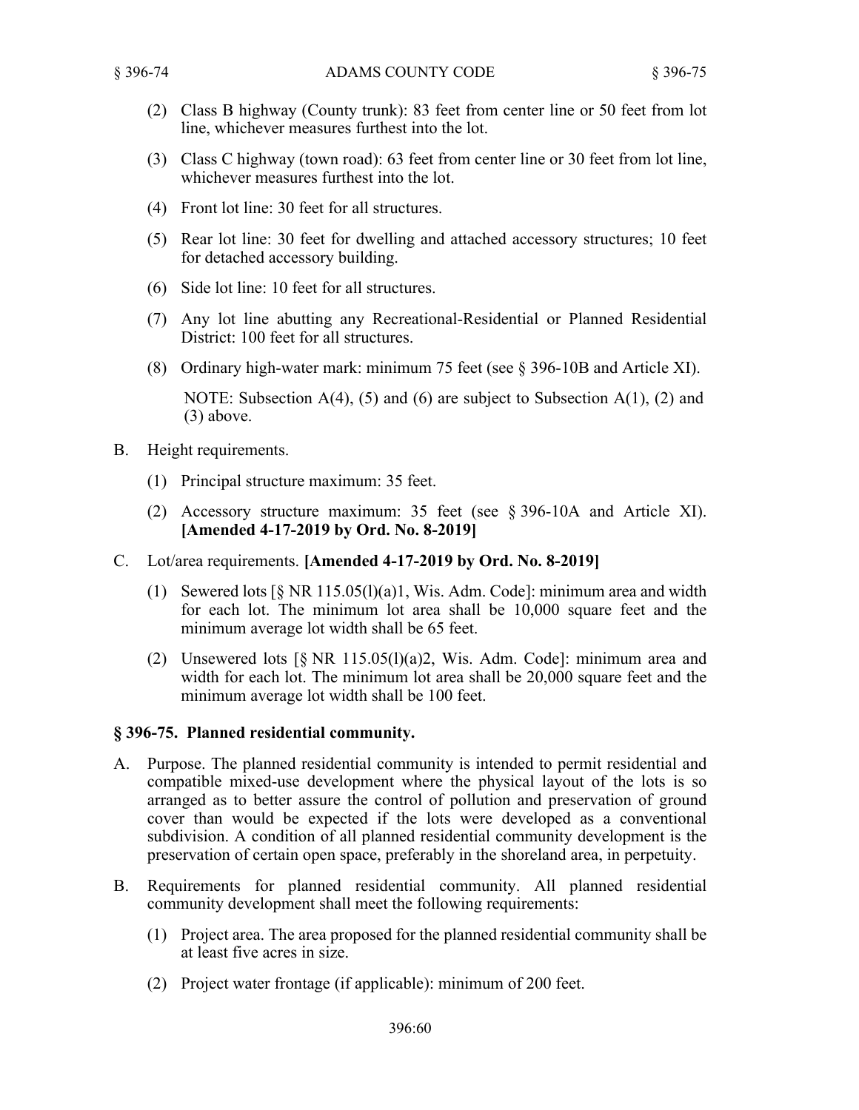- (2) Class B highway (County trunk): 83 feet from center line or 50 feet from lot line, whichever measures furthest into the lot.
- (3) Class C highway (town road): 63 feet from center line or 30 feet from lot line, whichever measures furthest into the lot.
- (4) Front lot line: 30 feet for all structures.
- (5) Rear lot line: 30 feet for dwelling and attached accessory structures; 10 feet for detached accessory building.
- (6) Side lot line: 10 feet for all structures.
- (7) Any lot line abutting any Recreational-Residential or Planned Residential District: 100 feet for all structures.
- (8) Ordinary high-water mark: minimum 75 feet (see § 396-10B and Article XI).

NOTE: Subsection  $A(4)$ , (5) and (6) are subject to Subsection  $A(1)$ , (2) and (3) above.

- B. Height requirements.
	- (1) Principal structure maximum: 35 feet.
	- (2) Accessory structure maximum: 35 feet (see § 396-10A and Article XI). **[Amended 4-17-2019 by Ord. No. 8-2019]**
- C. Lot/area requirements. **[Amended 4-17-2019 by Ord. No. 8-2019]**
	- (1) Sewered lots [§ NR 115.05(l)(a)1, Wis. Adm. Code]: minimum area and width for each lot. The minimum lot area shall be 10,000 square feet and the minimum average lot width shall be 65 feet.
	- (2) Unsewered lots  $[\S$  NR 115.05(l)(a)2, Wis. Adm. Code]: minimum area and width for each lot. The minimum lot area shall be 20,000 square feet and the minimum average lot width shall be 100 feet.

## **§ 396-75. Planned residential community.**

- A. Purpose. The planned residential community is intended to permit residential and compatible mixed-use development where the physical layout of the lots is so arranged as to better assure the control of pollution and preservation of ground cover than would be expected if the lots were developed as a conventional subdivision. A condition of all planned residential community development is the preservation of certain open space, preferably in the shoreland area, in perpetuity.
- B. Requirements for planned residential community. All planned residential community development shall meet the following requirements:
	- (1) Project area. The area proposed for the planned residential community shall be at least five acres in size.
	- (2) Project water frontage (if applicable): minimum of 200 feet.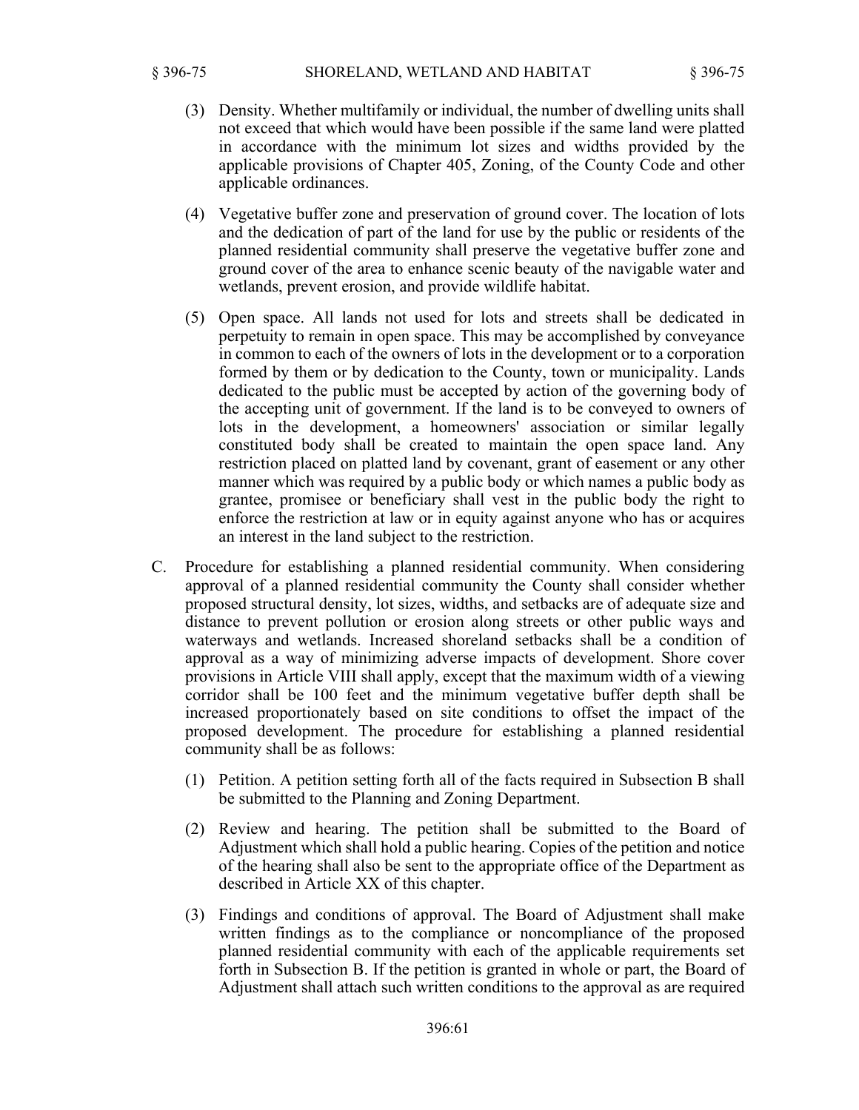- (3) Density. Whether multifamily or individual, the number of dwelling units shall not exceed that which would have been possible if the same land were platted in accordance with the minimum lot sizes and widths provided by the applicable provisions of Chapter 405, Zoning, of the County Code and other applicable ordinances.
- (4) Vegetative buffer zone and preservation of ground cover. The location of lots and the dedication of part of the land for use by the public or residents of the planned residential community shall preserve the vegetative buffer zone and ground cover of the area to enhance scenic beauty of the navigable water and wetlands, prevent erosion, and provide wildlife habitat.
- (5) Open space. All lands not used for lots and streets shall be dedicated in perpetuity to remain in open space. This may be accomplished by conveyance in common to each of the owners of lots in the development or to a corporation formed by them or by dedication to the County, town or municipality. Lands dedicated to the public must be accepted by action of the governing body of the accepting unit of government. If the land is to be conveyed to owners of lots in the development, a homeowners' association or similar legally constituted body shall be created to maintain the open space land. Any restriction placed on platted land by covenant, grant of easement or any other manner which was required by a public body or which names a public body as grantee, promisee or beneficiary shall vest in the public body the right to enforce the restriction at law or in equity against anyone who has or acquires an interest in the land subject to the restriction.
- C. Procedure for establishing a planned residential community. When considering approval of a planned residential community the County shall consider whether proposed structural density, lot sizes, widths, and setbacks are of adequate size and distance to prevent pollution or erosion along streets or other public ways and waterways and wetlands. Increased shoreland setbacks shall be a condition of approval as a way of minimizing adverse impacts of development. Shore cover provisions in Article VIII shall apply, except that the maximum width of a viewing corridor shall be 100 feet and the minimum vegetative buffer depth shall be increased proportionately based on site conditions to offset the impact of the proposed development. The procedure for establishing a planned residential community shall be as follows:
	- (1) Petition. A petition setting forth all of the facts required in Subsection B shall be submitted to the Planning and Zoning Department.
	- (2) Review and hearing. The petition shall be submitted to the Board of Adjustment which shall hold a public hearing. Copies of the petition and notice of the hearing shall also be sent to the appropriate office of the Department as described in Article XX of this chapter.
	- (3) Findings and conditions of approval. The Board of Adjustment shall make written findings as to the compliance or noncompliance of the proposed planned residential community with each of the applicable requirements set forth in Subsection B. If the petition is granted in whole or part, the Board of Adjustment shall attach such written conditions to the approval as are required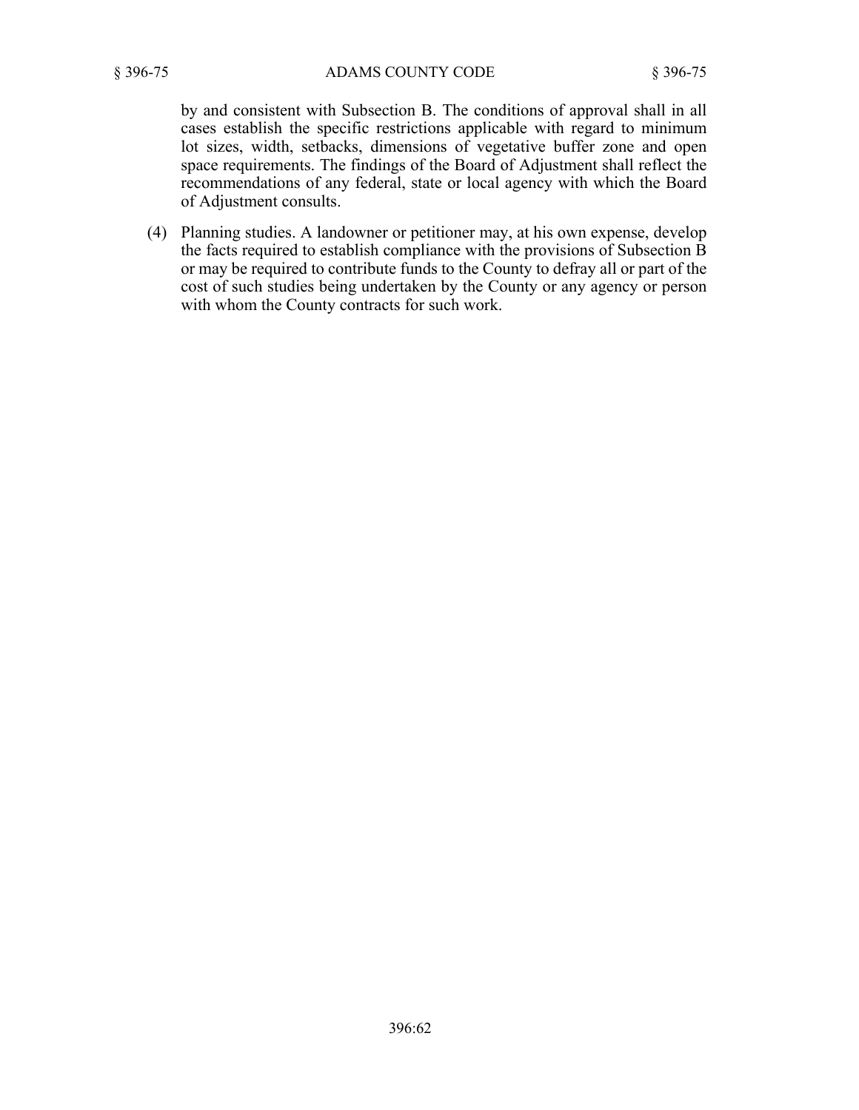by and consistent with Subsection B. The conditions of approval shall in all cases establish the specific restrictions applicable with regard to minimum lot sizes, width, setbacks, dimensions of vegetative buffer zone and open space requirements. The findings of the Board of Adjustment shall reflect the recommendations of any federal, state or local agency with which the Board of Adjustment consults.

(4) Planning studies. A landowner or petitioner may, at his own expense, develop the facts required to establish compliance with the provisions of Subsection B or may be required to contribute funds to the County to defray all or part of the cost of such studies being undertaken by the County or any agency or person with whom the County contracts for such work.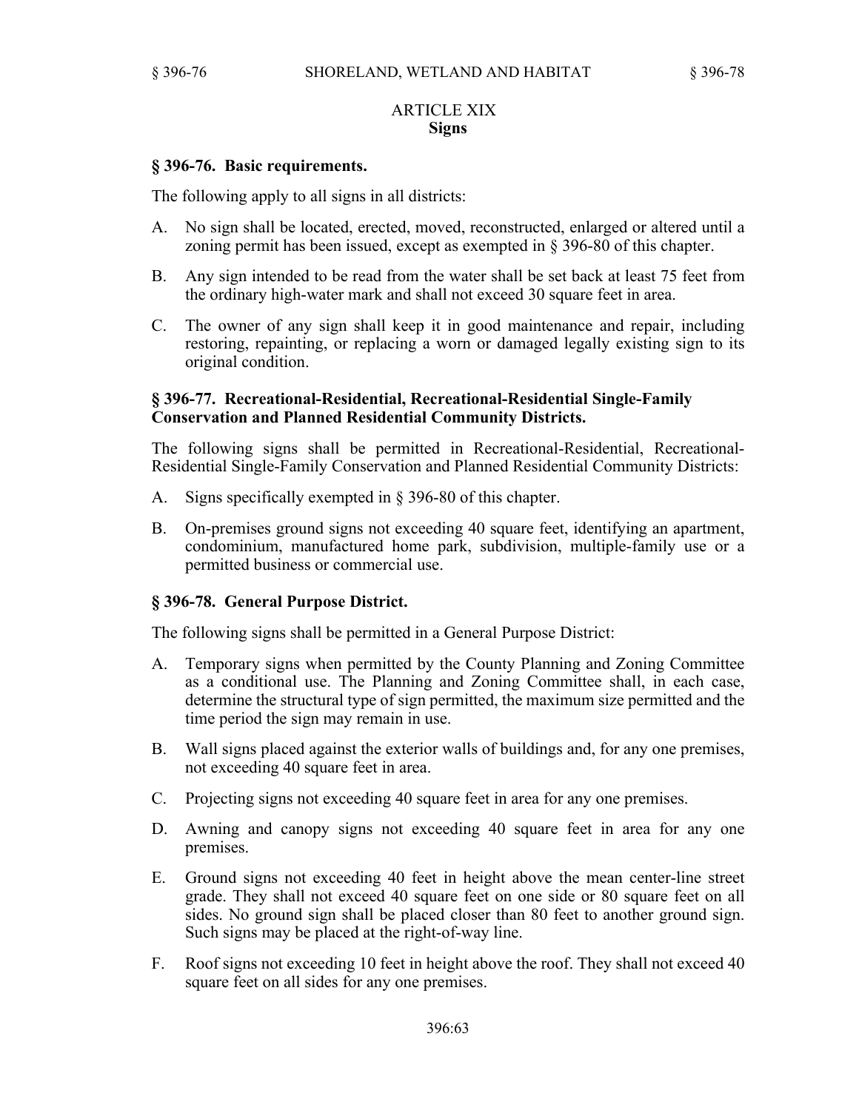## ARTICLE XIX **Signs**

## **§ 396-76. Basic requirements.**

The following apply to all signs in all districts:

- A. No sign shall be located, erected, moved, reconstructed, enlarged or altered until a zoning permit has been issued, except as exempted in § 396-80 of this chapter.
- B. Any sign intended to be read from the water shall be set back at least 75 feet from the ordinary high-water mark and shall not exceed 30 square feet in area.
- C. The owner of any sign shall keep it in good maintenance and repair, including restoring, repainting, or replacing a worn or damaged legally existing sign to its original condition.

#### **§ 396-77. Recreational-Residential, Recreational-Residential Single-Family Conservation and Planned Residential Community Districts.**

The following signs shall be permitted in Recreational-Residential, Recreational-Residential Single-Family Conservation and Planned Residential Community Districts:

- A. Signs specifically exempted in § 396-80 of this chapter.
- B. On-premises ground signs not exceeding 40 square feet, identifying an apartment, condominium, manufactured home park, subdivision, multiple-family use or a permitted business or commercial use.

## **§ 396-78. General Purpose District.**

The following signs shall be permitted in a General Purpose District:

- A. Temporary signs when permitted by the County Planning and Zoning Committee as a conditional use. The Planning and Zoning Committee shall, in each case, determine the structural type of sign permitted, the maximum size permitted and the time period the sign may remain in use.
- B. Wall signs placed against the exterior walls of buildings and, for any one premises, not exceeding 40 square feet in area.
- C. Projecting signs not exceeding 40 square feet in area for any one premises.
- D. Awning and canopy signs not exceeding 40 square feet in area for any one premises.
- E. Ground signs not exceeding 40 feet in height above the mean center-line street grade. They shall not exceed 40 square feet on one side or 80 square feet on all sides. No ground sign shall be placed closer than 80 feet to another ground sign. Such signs may be placed at the right-of-way line.
- F. Roof signs not exceeding 10 feet in height above the roof. They shall not exceed 40 square feet on all sides for any one premises.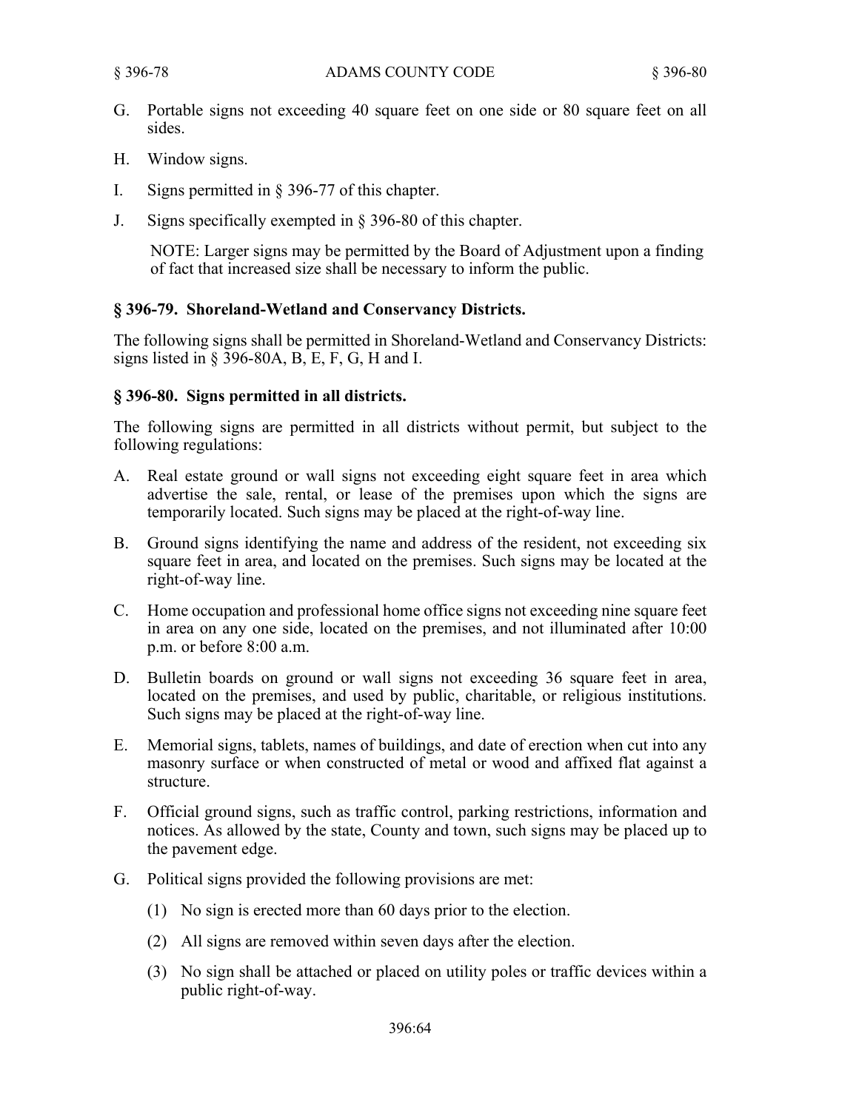- G. Portable signs not exceeding 40 square feet on one side or 80 square feet on all sides.
- H. Window signs.
- I. Signs permitted in § 396-77 of this chapter.
- J. Signs specifically exempted in § 396-80 of this chapter.

NOTE: Larger signs may be permitted by the Board of Adjustment upon a finding of fact that increased size shall be necessary to inform the public.

# **§ 396-79. Shoreland-Wetland and Conservancy Districts.**

The following signs shall be permitted in Shoreland-Wetland and Conservancy Districts: signs listed in § 396-80A,  $B$ , E, F, G, H and I.

## **§ 396-80. Signs permitted in all districts.**

The following signs are permitted in all districts without permit, but subject to the following regulations:

- A. Real estate ground or wall signs not exceeding eight square feet in area which advertise the sale, rental, or lease of the premises upon which the signs are temporarily located. Such signs may be placed at the right-of-way line.
- B. Ground signs identifying the name and address of the resident, not exceeding six square feet in area, and located on the premises. Such signs may be located at the right-of-way line.
- C. Home occupation and professional home office signs not exceeding nine square feet in area on any one side, located on the premises, and not illuminated after 10:00 p.m. or before 8:00 a.m.
- D. Bulletin boards on ground or wall signs not exceeding 36 square feet in area, located on the premises, and used by public, charitable, or religious institutions. Such signs may be placed at the right-of-way line.
- E. Memorial signs, tablets, names of buildings, and date of erection when cut into any masonry surface or when constructed of metal or wood and affixed flat against a structure.
- F. Official ground signs, such as traffic control, parking restrictions, information and notices. As allowed by the state, County and town, such signs may be placed up to the pavement edge.
- G. Political signs provided the following provisions are met:
	- (1) No sign is erected more than 60 days prior to the election.
	- (2) All signs are removed within seven days after the election.
	- (3) No sign shall be attached or placed on utility poles or traffic devices within a public right-of-way.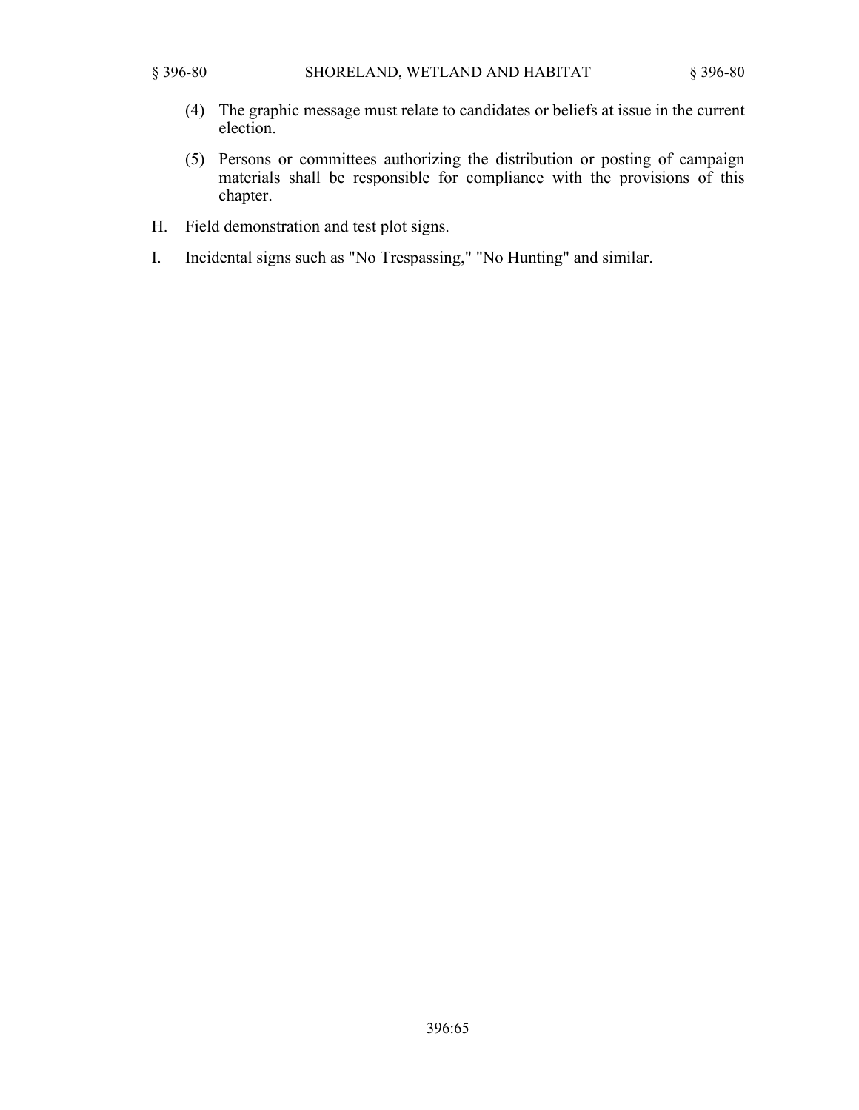- (4) The graphic message must relate to candidates or beliefs at issue in the current election.
- (5) Persons or committees authorizing the distribution or posting of campaign materials shall be responsible for compliance with the provisions of this chapter.
- H. Field demonstration and test plot signs.
- I. Incidental signs such as "No Trespassing," "No Hunting" and similar.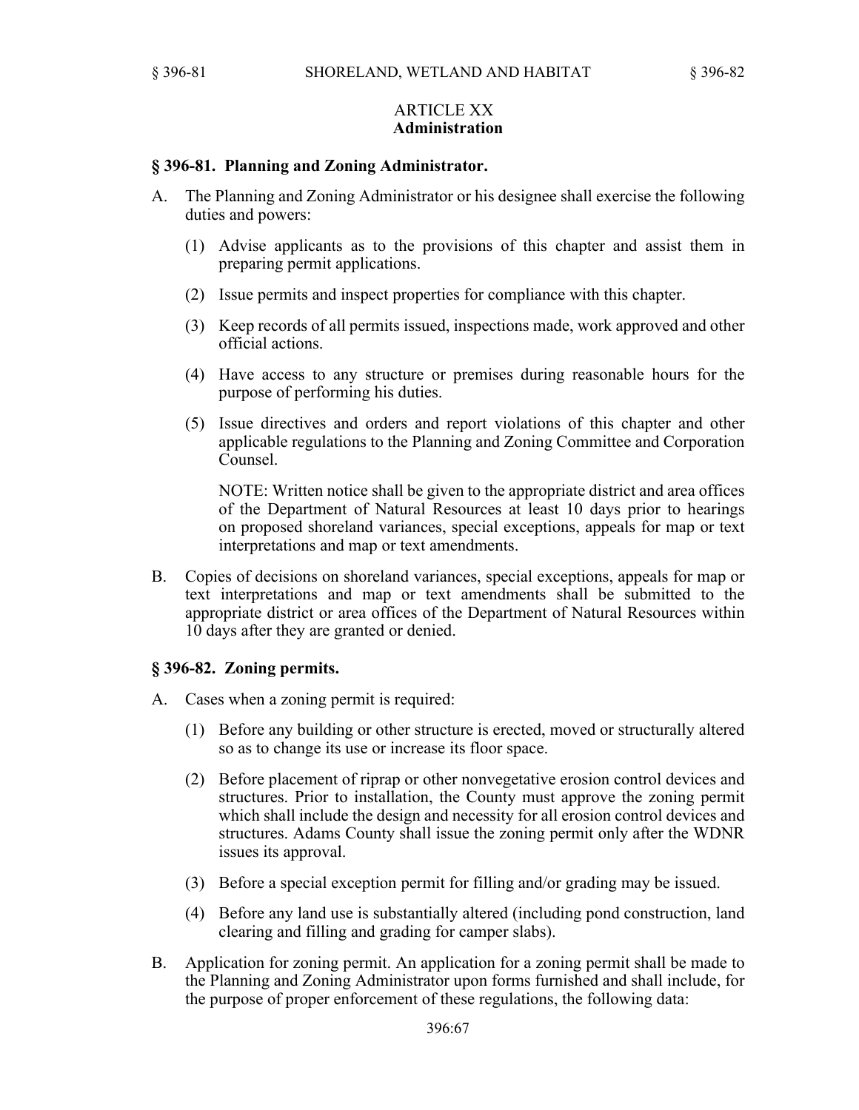## ARTICLE XX **Administration**

## **§ 396-81. Planning and Zoning Administrator.**

- A. The Planning and Zoning Administrator or his designee shall exercise the following duties and powers:
	- (1) Advise applicants as to the provisions of this chapter and assist them in preparing permit applications.
	- (2) Issue permits and inspect properties for compliance with this chapter.
	- (3) Keep records of all permits issued, inspections made, work approved and other official actions.
	- (4) Have access to any structure or premises during reasonable hours for the purpose of performing his duties.
	- (5) Issue directives and orders and report violations of this chapter and other applicable regulations to the Planning and Zoning Committee and Corporation Counsel.

NOTE: Written notice shall be given to the appropriate district and area offices of the Department of Natural Resources at least 10 days prior to hearings on proposed shoreland variances, special exceptions, appeals for map or text interpretations and map or text amendments.

B. Copies of decisions on shoreland variances, special exceptions, appeals for map or text interpretations and map or text amendments shall be submitted to the appropriate district or area offices of the Department of Natural Resources within 10 days after they are granted or denied.

#### **§ 396-82. Zoning permits.**

- A. Cases when a zoning permit is required:
	- (1) Before any building or other structure is erected, moved or structurally altered so as to change its use or increase its floor space.
	- (2) Before placement of riprap or other nonvegetative erosion control devices and structures. Prior to installation, the County must approve the zoning permit which shall include the design and necessity for all erosion control devices and structures. Adams County shall issue the zoning permit only after the WDNR issues its approval.
	- (3) Before a special exception permit for filling and/or grading may be issued.
	- (4) Before any land use is substantially altered (including pond construction, land clearing and filling and grading for camper slabs).
- B. Application for zoning permit. An application for a zoning permit shall be made to the Planning and Zoning Administrator upon forms furnished and shall include, for the purpose of proper enforcement of these regulations, the following data: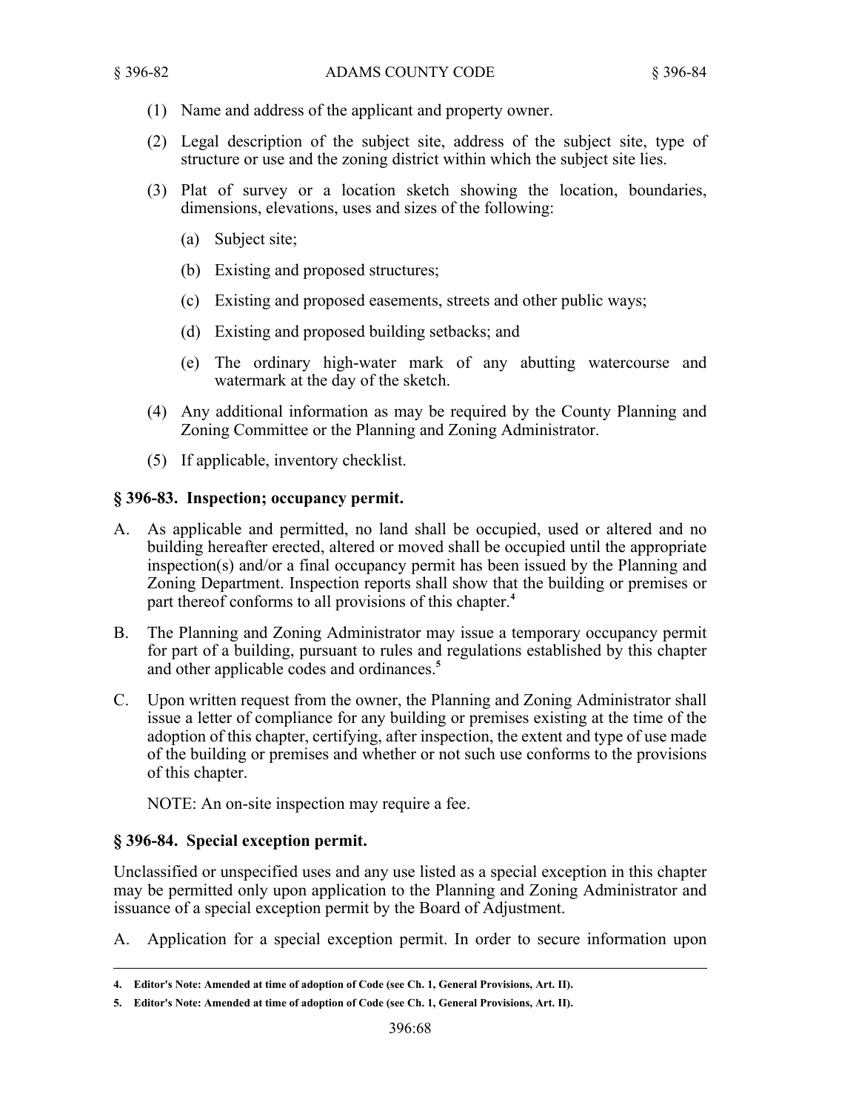- (1) Name and address of the applicant and property owner.
- (2) Legal description of the subject site, address of the subject site, type of structure or use and the zoning district within which the subject site lies.
- (3) Plat of survey or a location sketch showing the location, boundaries, dimensions, elevations, uses and sizes of the following:
	- (a) Subject site;
	- (b) Existing and proposed structures;
	- (c) Existing and proposed easements, streets and other public ways;
	- (d) Existing and proposed building setbacks; and
	- (e) The ordinary high-water mark of any abutting watercourse and watermark at the day of the sketch.
- (4) Any additional information as may be required by the County Planning and Zoning Committee or the Planning and Zoning Administrator.
- (5) If applicable, inventory checklist.

# **§ 396-83. Inspection; occupancy permit.**

- A. As applicable and permitted, no land shall be occupied, used or altered and no building hereafter erected, altered or moved shall be occupied until the appropriate inspection(s) and/or a final occupancy permit has been issued by the Planning and Zoning Department. Inspection reports shall show that the building or premises or part thereof conforms to all provisions of this chapter.**<sup>4</sup>**
- B. The Planning and Zoning Administrator may issue a temporary occupancy permit for part of a building, pursuant to rules and regulations established by this chapter and other applicable codes and ordinances.**<sup>5</sup>**
- C. Upon written request from the owner, the Planning and Zoning Administrator shall issue a letter of compliance for any building or premises existing at the time of the adoption of this chapter, certifying, after inspection, the extent and type of use made of the building or premises and whether or not such use conforms to the provisions of this chapter.

NOTE: An on-site inspection may require a fee.

# **§ 396-84. Special exception permit.**

Unclassified or unspecified uses and any use listed as a special exception in this chapter may be permitted only upon application to the Planning and Zoning Administrator and issuance of a special exception permit by the Board of Adjustment.

A. Application for a special exception permit. In order to secure information upon

**<sup>4.</sup> Editor's Note: Amended at time of adoption of Code (see Ch. 1, General Provisions, Art. II).**

**<sup>5.</sup> Editor's Note: Amended at time of adoption of Code (see Ch. 1, General Provisions, Art. II).**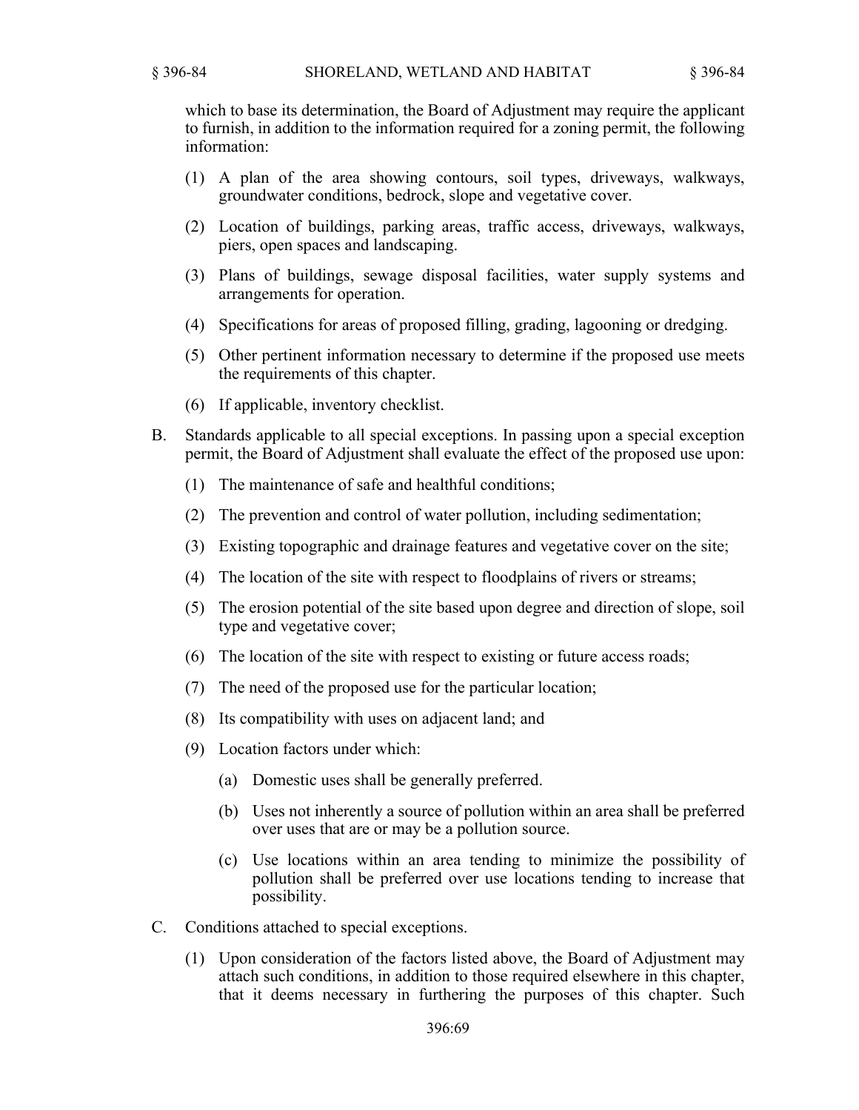which to base its determination, the Board of Adjustment may require the applicant to furnish, in addition to the information required for a zoning permit, the following information:

- (1) A plan of the area showing contours, soil types, driveways, walkways, groundwater conditions, bedrock, slope and vegetative cover.
- (2) Location of buildings, parking areas, traffic access, driveways, walkways, piers, open spaces and landscaping.
- (3) Plans of buildings, sewage disposal facilities, water supply systems and arrangements for operation.
- (4) Specifications for areas of proposed filling, grading, lagooning or dredging.
- (5) Other pertinent information necessary to determine if the proposed use meets the requirements of this chapter.
- (6) If applicable, inventory checklist.
- B. Standards applicable to all special exceptions. In passing upon a special exception permit, the Board of Adjustment shall evaluate the effect of the proposed use upon:
	- (1) The maintenance of safe and healthful conditions;
	- (2) The prevention and control of water pollution, including sedimentation;
	- (3) Existing topographic and drainage features and vegetative cover on the site;
	- (4) The location of the site with respect to floodplains of rivers or streams;
	- (5) The erosion potential of the site based upon degree and direction of slope, soil type and vegetative cover;
	- (6) The location of the site with respect to existing or future access roads;
	- (7) The need of the proposed use for the particular location;
	- (8) Its compatibility with uses on adjacent land; and
	- (9) Location factors under which:
		- (a) Domestic uses shall be generally preferred.
		- (b) Uses not inherently a source of pollution within an area shall be preferred over uses that are or may be a pollution source.
		- (c) Use locations within an area tending to minimize the possibility of pollution shall be preferred over use locations tending to increase that possibility.
- C. Conditions attached to special exceptions.
	- (1) Upon consideration of the factors listed above, the Board of Adjustment may attach such conditions, in addition to those required elsewhere in this chapter, that it deems necessary in furthering the purposes of this chapter. Such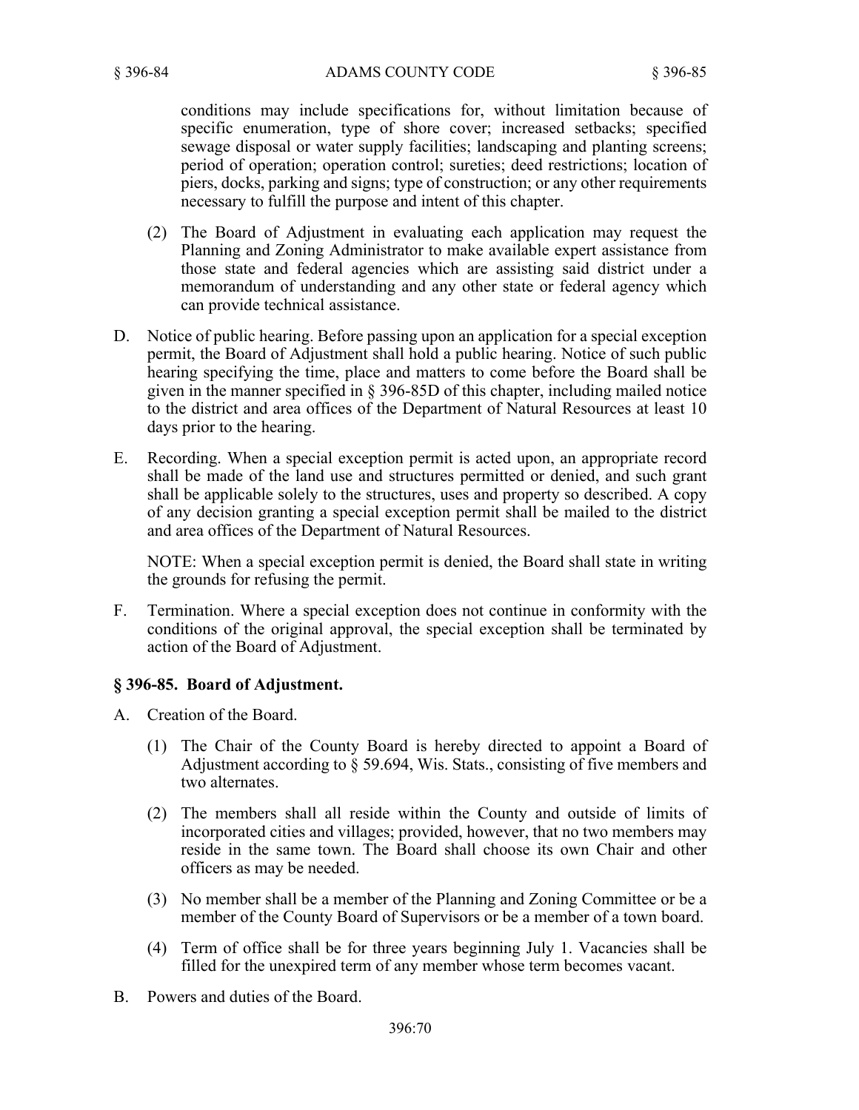conditions may include specifications for, without limitation because of specific enumeration, type of shore cover; increased setbacks; specified sewage disposal or water supply facilities; landscaping and planting screens; period of operation; operation control; sureties; deed restrictions; location of piers, docks, parking and signs; type of construction; or any other requirements necessary to fulfill the purpose and intent of this chapter.

- (2) The Board of Adjustment in evaluating each application may request the Planning and Zoning Administrator to make available expert assistance from those state and federal agencies which are assisting said district under a memorandum of understanding and any other state or federal agency which can provide technical assistance.
- D. Notice of public hearing. Before passing upon an application for a special exception permit, the Board of Adjustment shall hold a public hearing. Notice of such public hearing specifying the time, place and matters to come before the Board shall be given in the manner specified in § 396-85D of this chapter, including mailed notice to the district and area offices of the Department of Natural Resources at least 10 days prior to the hearing.
- E. Recording. When a special exception permit is acted upon, an appropriate record shall be made of the land use and structures permitted or denied, and such grant shall be applicable solely to the structures, uses and property so described. A copy of any decision granting a special exception permit shall be mailed to the district and area offices of the Department of Natural Resources.

NOTE: When a special exception permit is denied, the Board shall state in writing the grounds for refusing the permit.

F. Termination. Where a special exception does not continue in conformity with the conditions of the original approval, the special exception shall be terminated by action of the Board of Adjustment.

## **§ 396-85. Board of Adjustment.**

- A. Creation of the Board.
	- (1) The Chair of the County Board is hereby directed to appoint a Board of Adjustment according to § 59.694, Wis. Stats., consisting of five members and two alternates.
	- (2) The members shall all reside within the County and outside of limits of incorporated cities and villages; provided, however, that no two members may reside in the same town. The Board shall choose its own Chair and other officers as may be needed.
	- (3) No member shall be a member of the Planning and Zoning Committee or be a member of the County Board of Supervisors or be a member of a town board.
	- (4) Term of office shall be for three years beginning July 1. Vacancies shall be filled for the unexpired term of any member whose term becomes vacant.
- B. Powers and duties of the Board.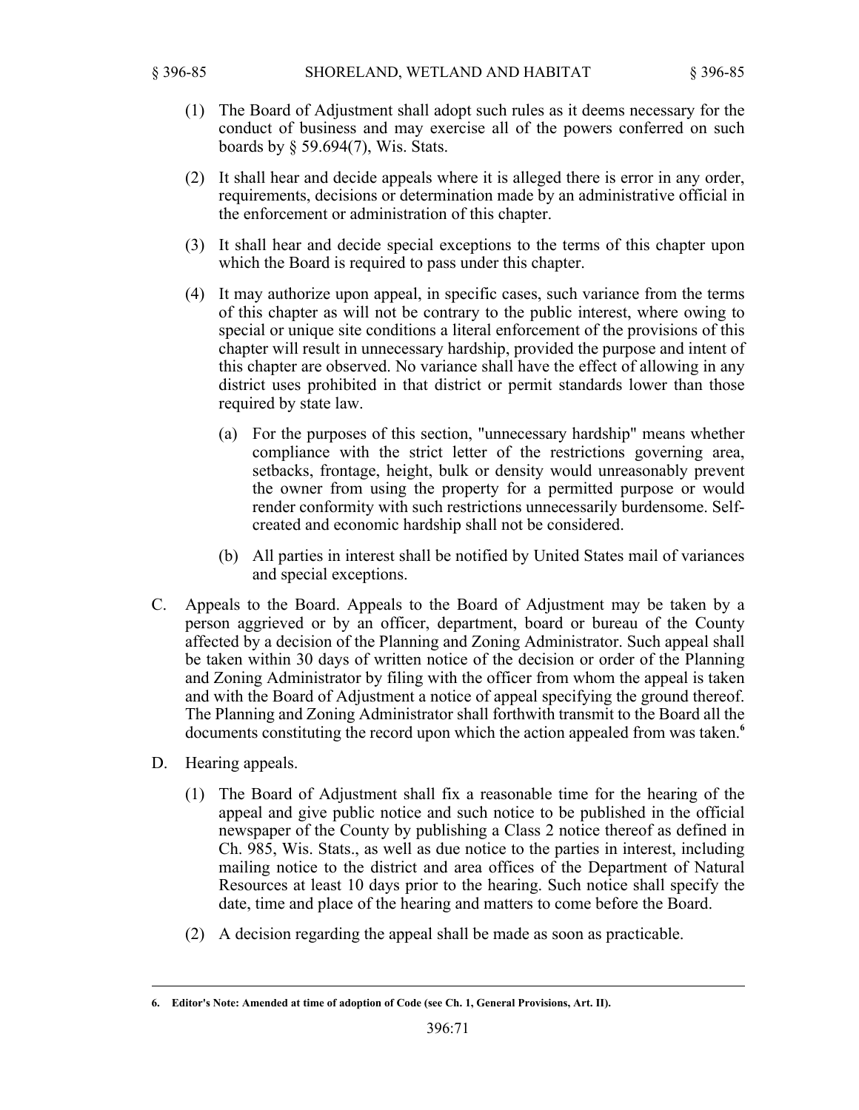- (1) The Board of Adjustment shall adopt such rules as it deems necessary for the conduct of business and may exercise all of the powers conferred on such boards by § 59.694(7), Wis. Stats.
- (2) It shall hear and decide appeals where it is alleged there is error in any order, requirements, decisions or determination made by an administrative official in the enforcement or administration of this chapter.
- (3) It shall hear and decide special exceptions to the terms of this chapter upon which the Board is required to pass under this chapter.
- (4) It may authorize upon appeal, in specific cases, such variance from the terms of this chapter as will not be contrary to the public interest, where owing to special or unique site conditions a literal enforcement of the provisions of this chapter will result in unnecessary hardship, provided the purpose and intent of this chapter are observed. No variance shall have the effect of allowing in any district uses prohibited in that district or permit standards lower than those required by state law.
	- (a) For the purposes of this section, "unnecessary hardship" means whether compliance with the strict letter of the restrictions governing area, setbacks, frontage, height, bulk or density would unreasonably prevent the owner from using the property for a permitted purpose or would render conformity with such restrictions unnecessarily burdensome. Selfcreated and economic hardship shall not be considered.
	- (b) All parties in interest shall be notified by United States mail of variances and special exceptions.
- C. Appeals to the Board. Appeals to the Board of Adjustment may be taken by a person aggrieved or by an officer, department, board or bureau of the County affected by a decision of the Planning and Zoning Administrator. Such appeal shall be taken within 30 days of written notice of the decision or order of the Planning and Zoning Administrator by filing with the officer from whom the appeal is taken and with the Board of Adjustment a notice of appeal specifying the ground thereof. The Planning and Zoning Administrator shall forthwith transmit to the Board all the documents constituting the record upon which the action appealed from was taken.**<sup>6</sup>**
- D. Hearing appeals.
	- (1) The Board of Adjustment shall fix a reasonable time for the hearing of the appeal and give public notice and such notice to be published in the official newspaper of the County by publishing a Class 2 notice thereof as defined in Ch. 985, Wis. Stats., as well as due notice to the parties in interest, including mailing notice to the district and area offices of the Department of Natural Resources at least 10 days prior to the hearing. Such notice shall specify the date, time and place of the hearing and matters to come before the Board.
	- (2) A decision regarding the appeal shall be made as soon as practicable.

**<sup>6.</sup> Editor's Note: Amended at time of adoption of Code (see Ch. 1, General Provisions, Art. II).**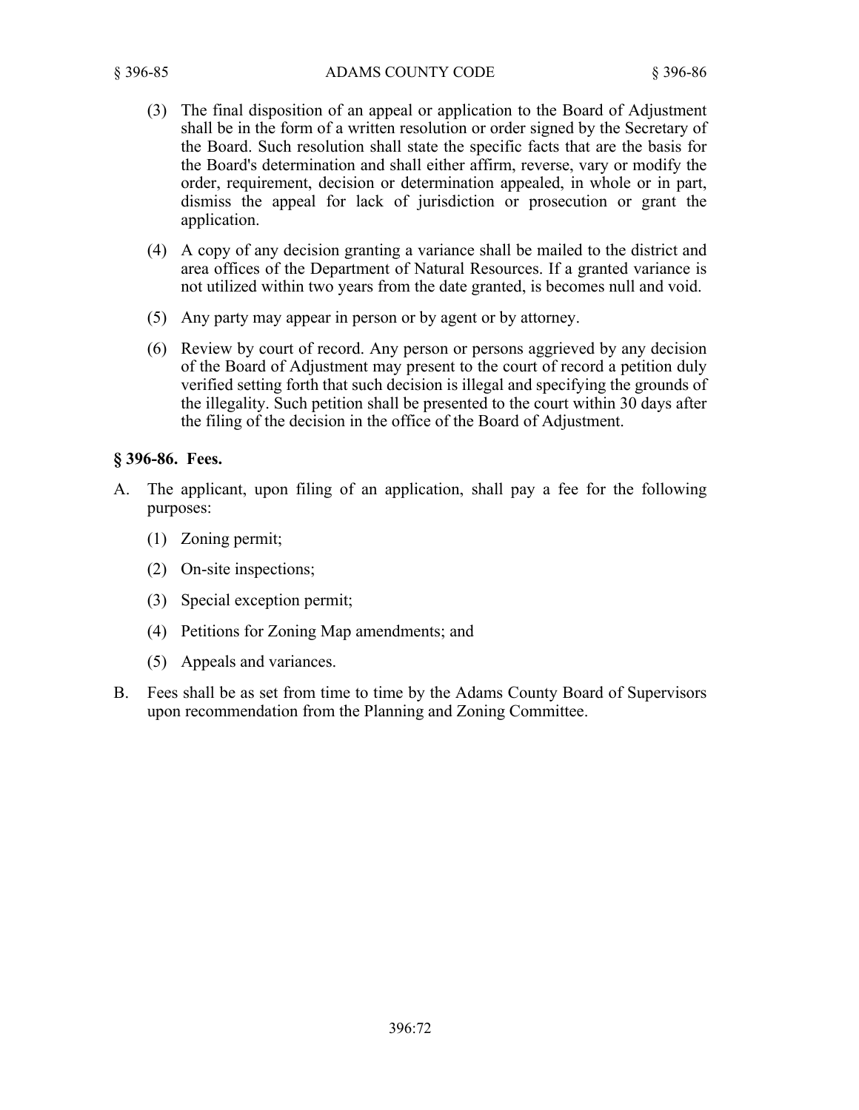- (3) The final disposition of an appeal or application to the Board of Adjustment shall be in the form of a written resolution or order signed by the Secretary of the Board. Such resolution shall state the specific facts that are the basis for the Board's determination and shall either affirm, reverse, vary or modify the order, requirement, decision or determination appealed, in whole or in part, dismiss the appeal for lack of jurisdiction or prosecution or grant the application.
- (4) A copy of any decision granting a variance shall be mailed to the district and area offices of the Department of Natural Resources. If a granted variance is not utilized within two years from the date granted, is becomes null and void.
- (5) Any party may appear in person or by agent or by attorney.
- (6) Review by court of record. Any person or persons aggrieved by any decision of the Board of Adjustment may present to the court of record a petition duly verified setting forth that such decision is illegal and specifying the grounds of the illegality. Such petition shall be presented to the court within 30 days after the filing of the decision in the office of the Board of Adjustment.

# **§ 396-86. Fees.**

- A. The applicant, upon filing of an application, shall pay a fee for the following purposes:
	- (1) Zoning permit;
	- (2) On-site inspections;
	- (3) Special exception permit;
	- (4) Petitions for Zoning Map amendments; and
	- (5) Appeals and variances.
- B. Fees shall be as set from time to time by the Adams County Board of Supervisors upon recommendation from the Planning and Zoning Committee.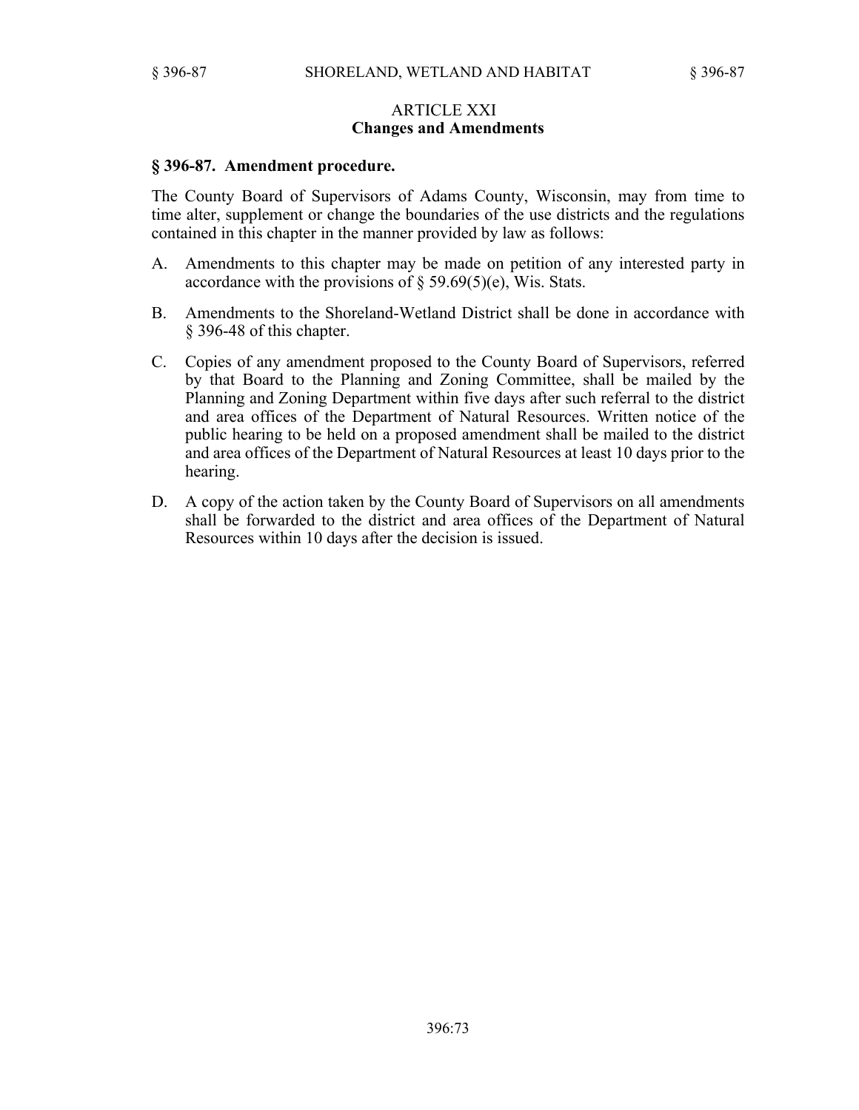### ARTICLE XXI **Changes and Amendments**

#### **§ 396-87. Amendment procedure.**

The County Board of Supervisors of Adams County, Wisconsin, may from time to time alter, supplement or change the boundaries of the use districts and the regulations contained in this chapter in the manner provided by law as follows:

- A. Amendments to this chapter may be made on petition of any interested party in accordance with the provisions of  $\S$  59.69(5)(e), Wis. Stats.
- B. Amendments to the Shoreland-Wetland District shall be done in accordance with § 396-48 of this chapter.
- C. Copies of any amendment proposed to the County Board of Supervisors, referred by that Board to the Planning and Zoning Committee, shall be mailed by the Planning and Zoning Department within five days after such referral to the district and area offices of the Department of Natural Resources. Written notice of the public hearing to be held on a proposed amendment shall be mailed to the district and area offices of the Department of Natural Resources at least 10 days prior to the hearing.
- D. A copy of the action taken by the County Board of Supervisors on all amendments shall be forwarded to the district and area offices of the Department of Natural Resources within 10 days after the decision is issued.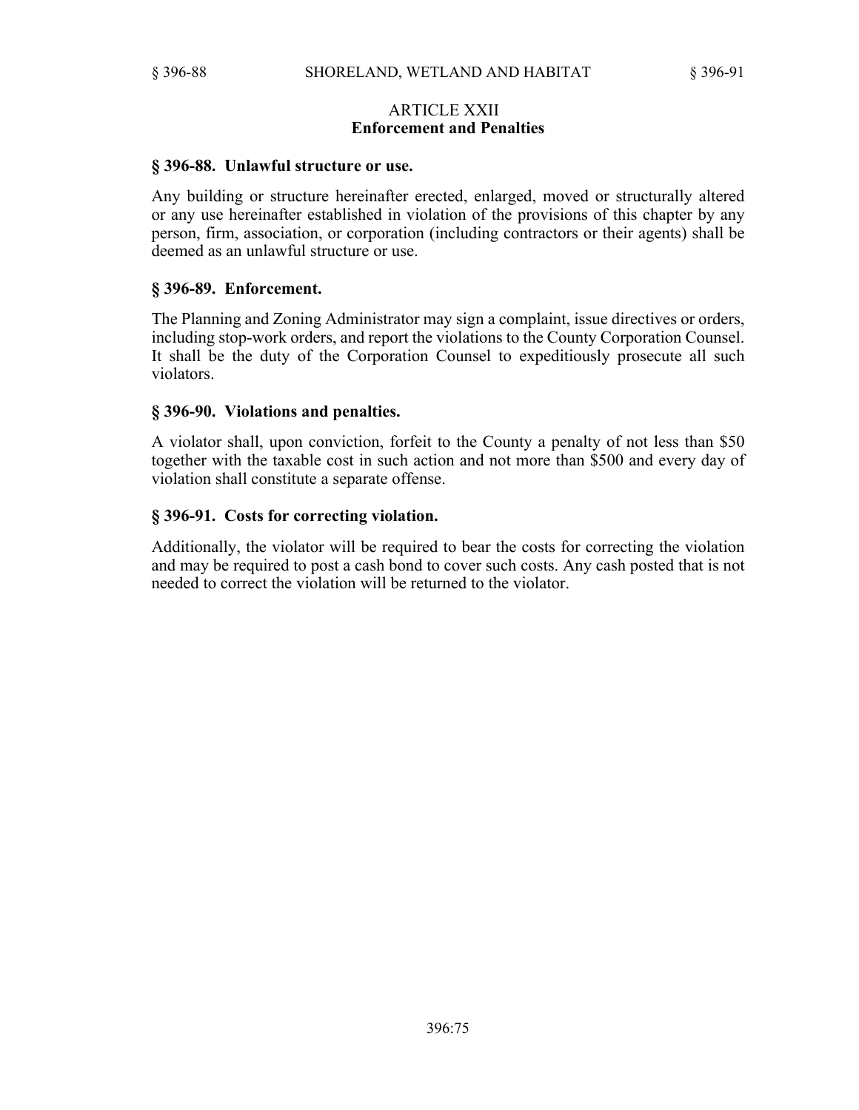## ARTICLE XXII **Enforcement and Penalties**

#### **§ 396-88. Unlawful structure or use.**

Any building or structure hereinafter erected, enlarged, moved or structurally altered or any use hereinafter established in violation of the provisions of this chapter by any person, firm, association, or corporation (including contractors or their agents) shall be deemed as an unlawful structure or use.

#### **§ 396-89. Enforcement.**

The Planning and Zoning Administrator may sign a complaint, issue directives or orders, including stop-work orders, and report the violations to the County Corporation Counsel. It shall be the duty of the Corporation Counsel to expeditiously prosecute all such violators.

## **§ 396-90. Violations and penalties.**

A violator shall, upon conviction, forfeit to the County a penalty of not less than \$50 together with the taxable cost in such action and not more than \$500 and every day of violation shall constitute a separate offense.

## **§ 396-91. Costs for correcting violation.**

Additionally, the violator will be required to bear the costs for correcting the violation and may be required to post a cash bond to cover such costs. Any cash posted that is not needed to correct the violation will be returned to the violator.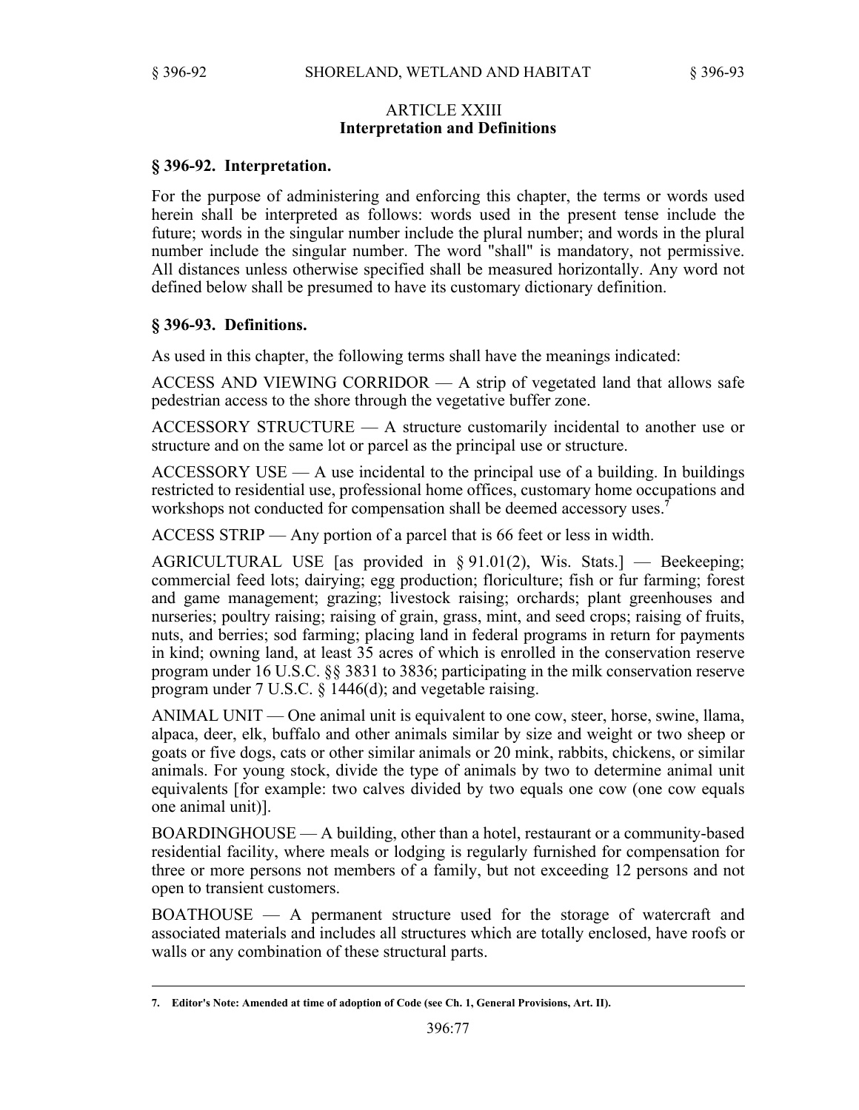## ARTICLE XXIII **Interpretation and Definitions**

# **§ 396-92. Interpretation.**

For the purpose of administering and enforcing this chapter, the terms or words used herein shall be interpreted as follows: words used in the present tense include the future; words in the singular number include the plural number; and words in the plural number include the singular number. The word "shall" is mandatory, not permissive. All distances unless otherwise specified shall be measured horizontally. Any word not defined below shall be presumed to have its customary dictionary definition.

# **§ 396-93. Definitions.**

As used in this chapter, the following terms shall have the meanings indicated:

ACCESS AND VIEWING CORRIDOR — A strip of vegetated land that allows safe pedestrian access to the shore through the vegetative buffer zone.

ACCESSORY STRUCTURE — A structure customarily incidental to another use or structure and on the same lot or parcel as the principal use or structure.

 $ACCESSORY USE - A$  use incidental to the principal use of a building. In buildings restricted to residential use, professional home offices, customary home occupations and workshops not conducted for compensation shall be deemed accessory uses.**<sup>7</sup>**

ACCESS STRIP — Any portion of a parcel that is 66 feet or less in width.

AGRICULTURAL USE [as provided in § 91.01(2), Wis. Stats.] — Beekeeping; commercial feed lots; dairying; egg production; floriculture; fish or fur farming; forest and game management; grazing; livestock raising; orchards; plant greenhouses and nurseries; poultry raising; raising of grain, grass, mint, and seed crops; raising of fruits, nuts, and berries; sod farming; placing land in federal programs in return for payments in kind; owning land, at least 35 acres of which is enrolled in the conservation reserve program under 16 U.S.C. §§ 3831 to 3836; participating in the milk conservation reserve program under 7 U.S.C. § 1446(d); and vegetable raising.

ANIMAL UNIT — One animal unit is equivalent to one cow, steer, horse, swine, llama, alpaca, deer, elk, buffalo and other animals similar by size and weight or two sheep or goats or five dogs, cats or other similar animals or 20 mink, rabbits, chickens, or similar animals. For young stock, divide the type of animals by two to determine animal unit equivalents [for example: two calves divided by two equals one cow (one cow equals one animal unit)].

BOARDINGHOUSE — A building, other than a hotel, restaurant or a community-based residential facility, where meals or lodging is regularly furnished for compensation for three or more persons not members of a family, but not exceeding 12 persons and not open to transient customers.

BOATHOUSE — A permanent structure used for the storage of watercraft and associated materials and includes all structures which are totally enclosed, have roofs or walls or any combination of these structural parts.

**<sup>7.</sup> Editor's Note: Amended at time of adoption of Code (see Ch. 1, General Provisions, Art. II).**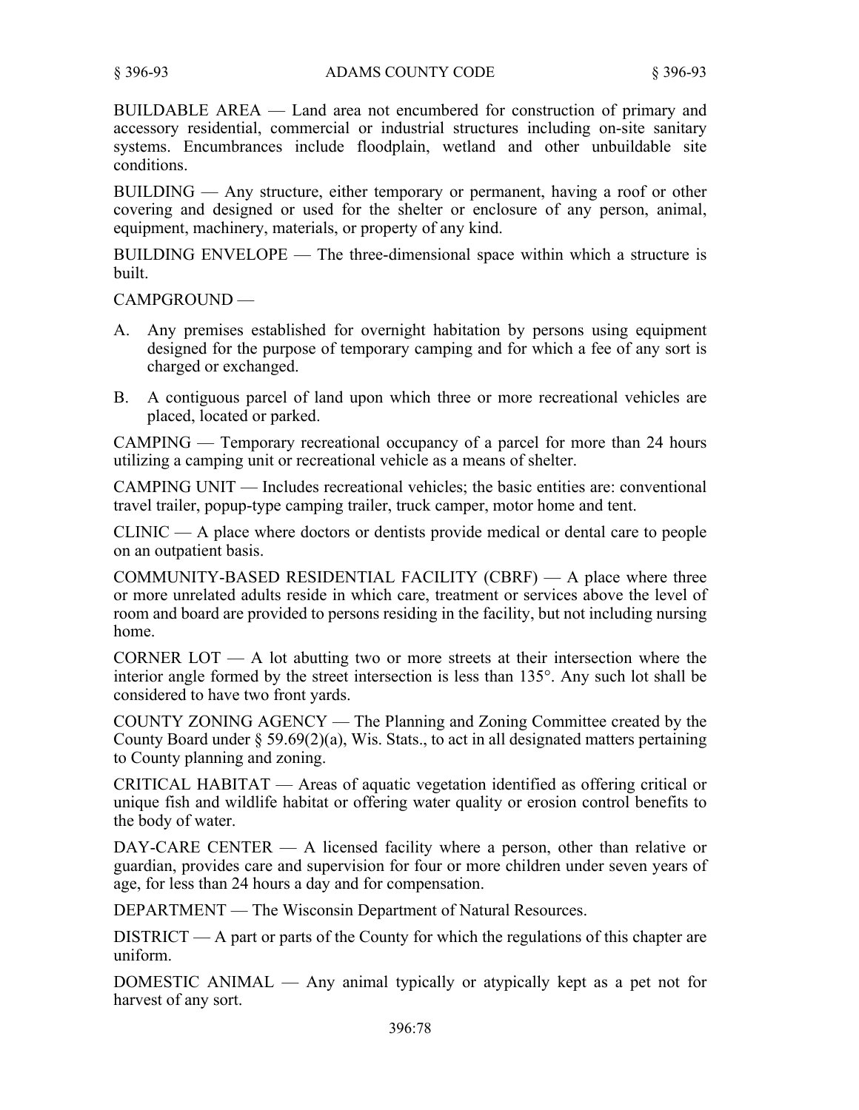BUILDABLE AREA — Land area not encumbered for construction of primary and accessory residential, commercial or industrial structures including on-site sanitary systems. Encumbrances include floodplain, wetland and other unbuildable site conditions.

BUILDING — Any structure, either temporary or permanent, having a roof or other covering and designed or used for the shelter or enclosure of any person, animal, equipment, machinery, materials, or property of any kind.

BUILDING ENVELOPE — The three-dimensional space within which a structure is built.

CAMPGROUND —

- A. Any premises established for overnight habitation by persons using equipment designed for the purpose of temporary camping and for which a fee of any sort is charged or exchanged.
- B. A contiguous parcel of land upon which three or more recreational vehicles are placed, located or parked.

CAMPING — Temporary recreational occupancy of a parcel for more than 24 hours utilizing a camping unit or recreational vehicle as a means of shelter.

CAMPING UNIT — Includes recreational vehicles; the basic entities are: conventional travel trailer, popup-type camping trailer, truck camper, motor home and tent.

CLINIC — A place where doctors or dentists provide medical or dental care to people on an outpatient basis.

COMMUNITY-BASED RESIDENTIAL FACILITY (CBRF) — A place where three or more unrelated adults reside in which care, treatment or services above the level of room and board are provided to persons residing in the facility, but not including nursing home.

CORNER LOT  $-$  A lot abutting two or more streets at their intersection where the interior angle formed by the street intersection is less than 135°. Any such lot shall be considered to have two front yards.

COUNTY ZONING AGENCY — The Planning and Zoning Committee created by the County Board under  $\S 59.69(2)(a)$ , Wis. Stats., to act in all designated matters pertaining to County planning and zoning.

CRITICAL HABITAT — Areas of aquatic vegetation identified as offering critical or unique fish and wildlife habitat or offering water quality or erosion control benefits to the body of water.

DAY-CARE CENTER — A licensed facility where a person, other than relative or guardian, provides care and supervision for four or more children under seven years of age, for less than 24 hours a day and for compensation.

DEPARTMENT — The Wisconsin Department of Natural Resources.

DISTRICT — A part or parts of the County for which the regulations of this chapter are uniform.

DOMESTIC ANIMAL — Any animal typically or atypically kept as a pet not for harvest of any sort.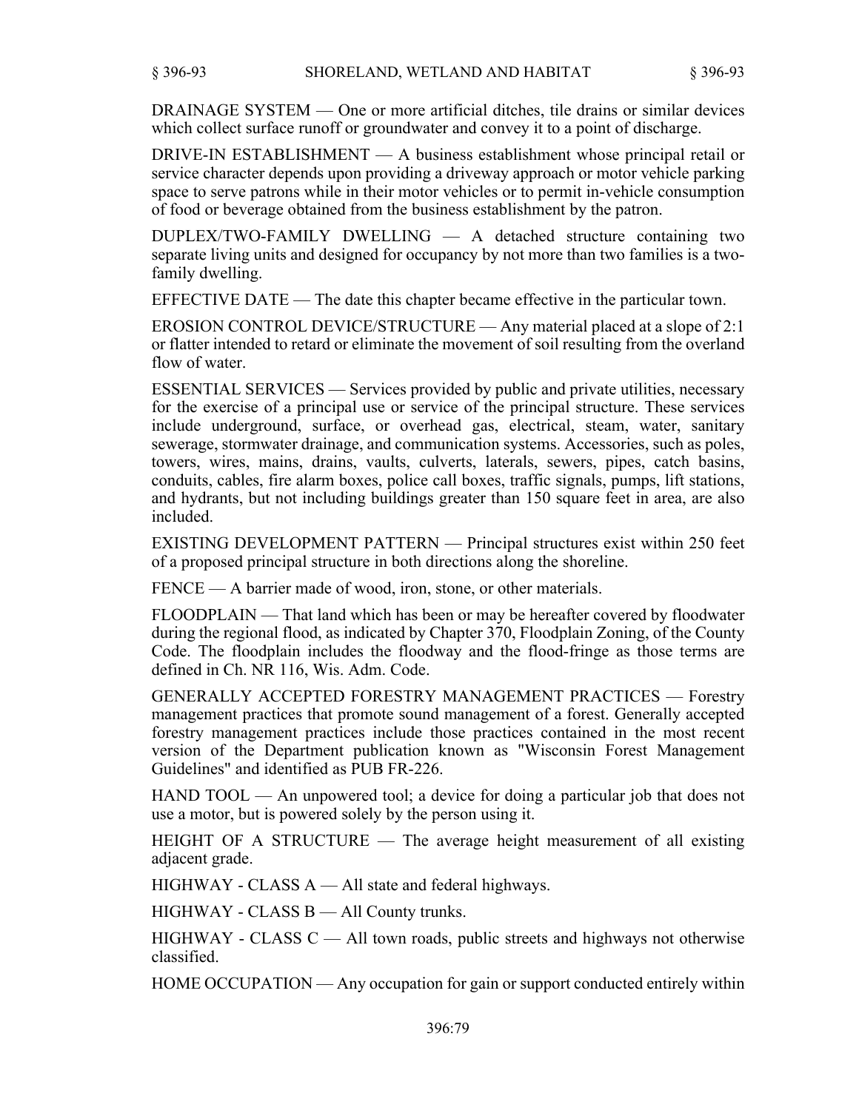DRAINAGE SYSTEM — One or more artificial ditches, tile drains or similar devices which collect surface runoff or groundwater and convey it to a point of discharge.

DRIVE-IN ESTABLISHMENT — A business establishment whose principal retail or service character depends upon providing a driveway approach or motor vehicle parking space to serve patrons while in their motor vehicles or to permit in-vehicle consumption of food or beverage obtained from the business establishment by the patron.

DUPLEX/TWO-FAMILY DWELLING — A detached structure containing two separate living units and designed for occupancy by not more than two families is a twofamily dwelling.

EFFECTIVE DATE — The date this chapter became effective in the particular town.

EROSION CONTROL DEVICE/STRUCTURE — Any material placed at a slope of 2:1 or flatter intended to retard or eliminate the movement of soil resulting from the overland flow of water.

ESSENTIAL SERVICES — Services provided by public and private utilities, necessary for the exercise of a principal use or service of the principal structure. These services include underground, surface, or overhead gas, electrical, steam, water, sanitary sewerage, stormwater drainage, and communication systems. Accessories, such as poles, towers, wires, mains, drains, vaults, culverts, laterals, sewers, pipes, catch basins, conduits, cables, fire alarm boxes, police call boxes, traffic signals, pumps, lift stations, and hydrants, but not including buildings greater than 150 square feet in area, are also included.

EXISTING DEVELOPMENT PATTERN — Principal structures exist within 250 feet of a proposed principal structure in both directions along the shoreline.

FENCE — A barrier made of wood, iron, stone, or other materials.

FLOODPLAIN — That land which has been or may be hereafter covered by floodwater during the regional flood, as indicated by Chapter 370, Floodplain Zoning, of the County Code. The floodplain includes the floodway and the flood-fringe as those terms are defined in Ch. NR 116, Wis. Adm. Code.

GENERALLY ACCEPTED FORESTRY MANAGEMENT PRACTICES — Forestry management practices that promote sound management of a forest. Generally accepted forestry management practices include those practices contained in the most recent version of the Department publication known as "Wisconsin Forest Management Guidelines" and identified as PUB FR-226.

HAND TOOL — An unpowered tool; a device for doing a particular job that does not use a motor, but is powered solely by the person using it.

HEIGHT OF A STRUCTURE — The average height measurement of all existing adjacent grade.

HIGHWAY - CLASS A — All state and federal highways.

HIGHWAY - CLASS B — All County trunks.

 $HIGHWAY - CLASS C — All town roads, public streets and highways not otherwise$ classified.

HOME OCCUPATION — Any occupation for gain or support conducted entirely within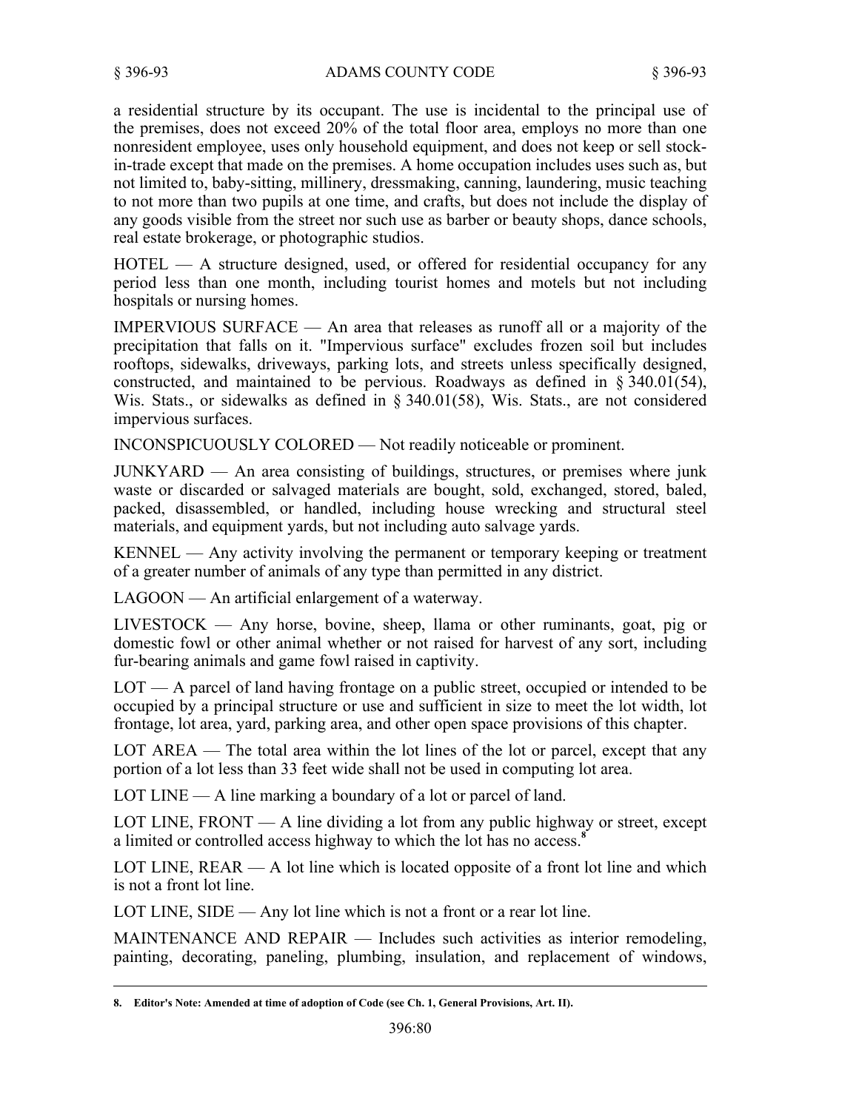a residential structure by its occupant. The use is incidental to the principal use of the premises, does not exceed 20% of the total floor area, employs no more than one nonresident employee, uses only household equipment, and does not keep or sell stockin-trade except that made on the premises. A home occupation includes uses such as, but not limited to, baby-sitting, millinery, dressmaking, canning, laundering, music teaching to not more than two pupils at one time, and crafts, but does not include the display of any goods visible from the street nor such use as barber or beauty shops, dance schools, real estate brokerage, or photographic studios.

HOTEL — A structure designed, used, or offered for residential occupancy for any period less than one month, including tourist homes and motels but not including hospitals or nursing homes.

IMPERVIOUS SURFACE — An area that releases as runoff all or a majority of the precipitation that falls on it. "Impervious surface" excludes frozen soil but includes rooftops, sidewalks, driveways, parking lots, and streets unless specifically designed, constructed, and maintained to be pervious. Roadways as defined in § 340.01(54), Wis. Stats., or sidewalks as defined in § 340.01(58), Wis. Stats., are not considered impervious surfaces.

INCONSPICUOUSLY COLORED — Not readily noticeable or prominent.

JUNKYARD — An area consisting of buildings, structures, or premises where junk waste or discarded or salvaged materials are bought, sold, exchanged, stored, baled, packed, disassembled, or handled, including house wrecking and structural steel materials, and equipment yards, but not including auto salvage yards.

KENNEL — Any activity involving the permanent or temporary keeping or treatment of a greater number of animals of any type than permitted in any district.

LAGOON — An artificial enlargement of a waterway.

LIVESTOCK — Any horse, bovine, sheep, llama or other ruminants, goat, pig or domestic fowl or other animal whether or not raised for harvest of any sort, including fur-bearing animals and game fowl raised in captivity.

LOT — A parcel of land having frontage on a public street, occupied or intended to be occupied by a principal structure or use and sufficient in size to meet the lot width, lot frontage, lot area, yard, parking area, and other open space provisions of this chapter.

LOT AREA — The total area within the lot lines of the lot or parcel, except that any portion of a lot less than 33 feet wide shall not be used in computing lot area.

LOT LINE — A line marking a boundary of a lot or parcel of land.

LOT LINE,  $FRONT - A$  line dividing a lot from any public highway or street, except a limited or controlled access highway to which the lot has no access.**<sup>8</sup>**

LOT LINE,  $REAR - A$  lot line which is located opposite of a front lot line and which is not a front lot line.

LOT LINE, SIDE — Any lot line which is not a front or a rear lot line.

MAINTENANCE AND REPAIR — Includes such activities as interior remodeling, painting, decorating, paneling, plumbing, insulation, and replacement of windows,

**<sup>8.</sup> Editor's Note: Amended at time of adoption of Code (see Ch. 1, General Provisions, Art. II).**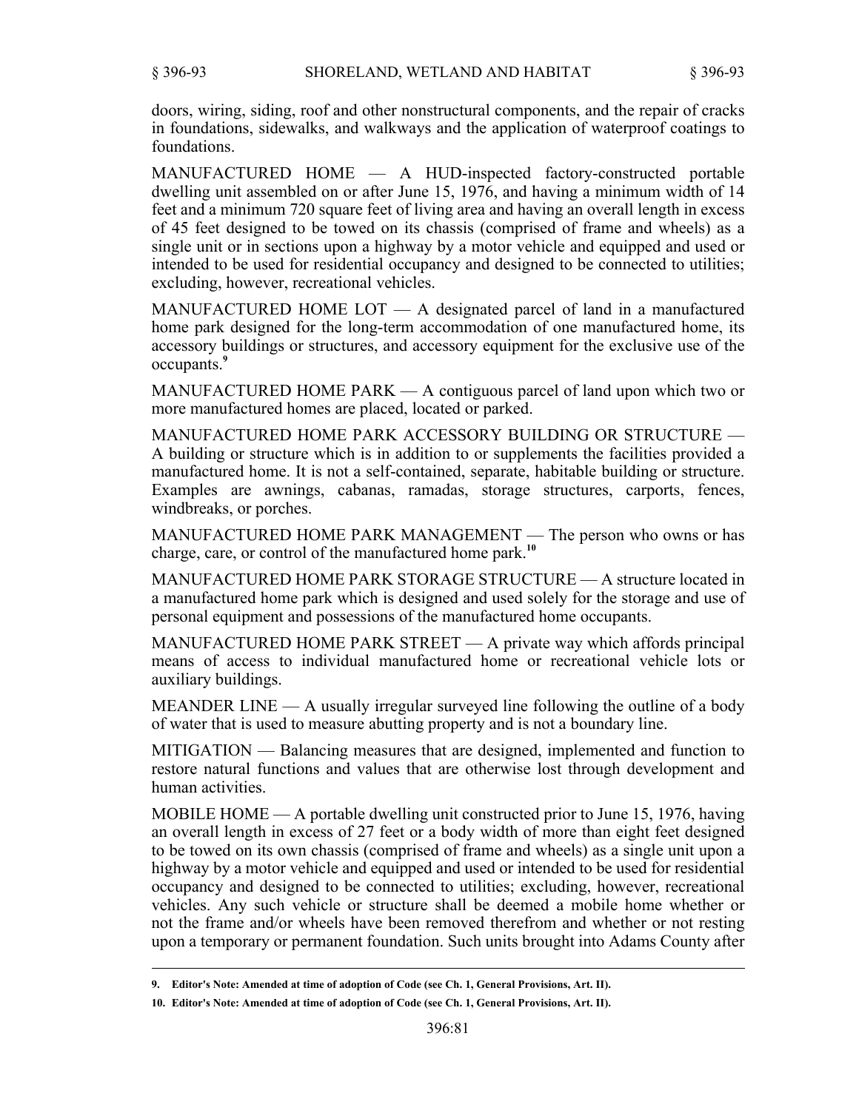doors, wiring, siding, roof and other nonstructural components, and the repair of cracks in foundations, sidewalks, and walkways and the application of waterproof coatings to foundations.

MANUFACTURED HOME — A HUD-inspected factory-constructed portable dwelling unit assembled on or after June 15, 1976, and having a minimum width of 14 feet and a minimum 720 square feet of living area and having an overall length in excess of 45 feet designed to be towed on its chassis (comprised of frame and wheels) as a single unit or in sections upon a highway by a motor vehicle and equipped and used or intended to be used for residential occupancy and designed to be connected to utilities; excluding, however, recreational vehicles.

MANUFACTURED HOME LOT — A designated parcel of land in a manufactured home park designed for the long-term accommodation of one manufactured home, its accessory buildings or structures, and accessory equipment for the exclusive use of the occupants.**<sup>9</sup>**

MANUFACTURED HOME PARK — A contiguous parcel of land upon which two or more manufactured homes are placed, located or parked.

MANUFACTURED HOME PARK ACCESSORY BUILDING OR STRUCTURE — A building or structure which is in addition to or supplements the facilities provided a manufactured home. It is not a self-contained, separate, habitable building or structure. Examples are awnings, cabanas, ramadas, storage structures, carports, fences, windbreaks, or porches.

MANUFACTURED HOME PARK MANAGEMENT — The person who owns or has charge, care, or control of the manufactured home park.**<sup>10</sup>**

MANUFACTURED HOME PARK STORAGE STRUCTURE — A structure located in a manufactured home park which is designed and used solely for the storage and use of personal equipment and possessions of the manufactured home occupants.

MANUFACTURED HOME PARK STREET — A private way which affords principal means of access to individual manufactured home or recreational vehicle lots or auxiliary buildings.

MEANDER LINE — A usually irregular surveyed line following the outline of a body of water that is used to measure abutting property and is not a boundary line.

MITIGATION — Balancing measures that are designed, implemented and function to restore natural functions and values that are otherwise lost through development and human activities.

MOBILE HOME — A portable dwelling unit constructed prior to June 15, 1976, having an overall length in excess of 27 feet or a body width of more than eight feet designed to be towed on its own chassis (comprised of frame and wheels) as a single unit upon a highway by a motor vehicle and equipped and used or intended to be used for residential occupancy and designed to be connected to utilities; excluding, however, recreational vehicles. Any such vehicle or structure shall be deemed a mobile home whether or not the frame and/or wheels have been removed therefrom and whether or not resting upon a temporary or permanent foundation. Such units brought into Adams County after

**<sup>9.</sup> Editor's Note: Amended at time of adoption of Code (see Ch. 1, General Provisions, Art. II).**

**<sup>10.</sup> Editor's Note: Amended at time of adoption of Code (see Ch. 1, General Provisions, Art. II).**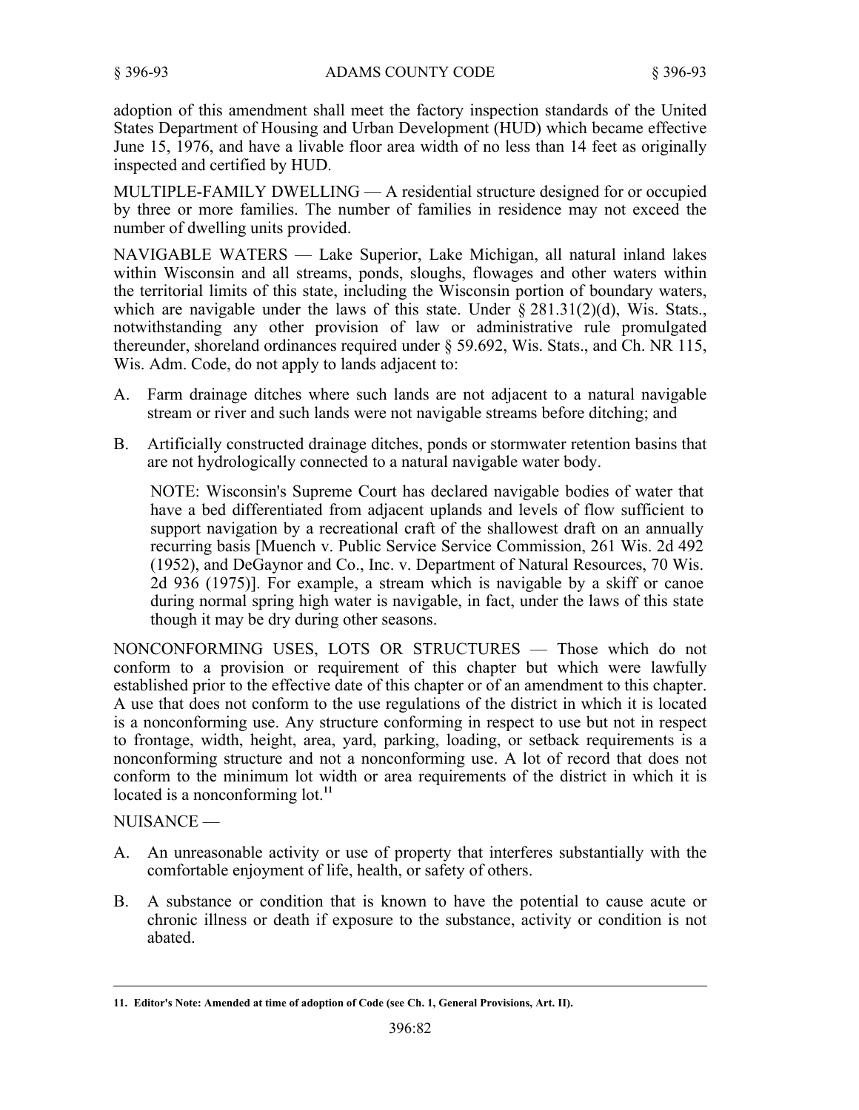adoption of this amendment shall meet the factory inspection standards of the United States Department of Housing and Urban Development (HUD) which became effective June 15, 1976, and have a livable floor area width of no less than 14 feet as originally inspected and certified by HUD.

MULTIPLE-FAMILY DWELLING — A residential structure designed for or occupied by three or more families. The number of families in residence may not exceed the number of dwelling units provided.

NAVIGABLE WATERS — Lake Superior, Lake Michigan, all natural inland lakes within Wisconsin and all streams, ponds, sloughs, flowages and other waters within the territorial limits of this state, including the Wisconsin portion of boundary waters, which are navigable under the laws of this state. Under  $\S 281.31(2)(d)$ , Wis. Stats., notwithstanding any other provision of law or administrative rule promulgated thereunder, shoreland ordinances required under § 59.692, Wis. Stats., and Ch. NR 115, Wis. Adm. Code, do not apply to lands adjacent to:

- Farm drainage ditches where such lands are not adjacent to a natural navigable stream or river and such lands were not navigable streams before ditching; and A.
- Artificially constructed drainage ditches, ponds or stormwater retention basins that are not hydrologically connected to a natural navigable water body. B.

NOTE: Wisconsin's Supreme Court has declared navigable bodies of water that have a bed differentiated from adjacent uplands and levels of flow sufficient to support navigation by a recreational craft of the shallowest draft on an annually recurring basis [Muench v. Public Service Service Commission, 261 Wis. 2d 492 (1952), and DeGaynor and Co., Inc. v. Department of Natural Resources, 70 Wis. 2d 936 (1975)]. For example, a stream which is navigable by a skiff or canoe during normal spring high water is navigable, in fact, under the laws of this state though it may be dry during other seasons.

NONCONFORMING USES, LOTS OR STRUCTURES — Those which do not conform to a provision or requirement of this chapter but which were lawfully established prior to the effective date of this chapter or of an amendment to this chapter. A use that does not conform to the use regulations of the district in which it is located is a nonconforming use. Any structure conforming in respect to use but not in respect to frontage, width, height, area, yard, parking, loading, or setback requirements is a nonconforming structure and not a nonconforming use. A lot of record that does not conform to the minimum lot width or area requirements of the district in which it is located is a nonconforming lot.<sup>11</sup>

NUISANCE —

- A. An unreasonable activity or use of property that interferes substantially with the comfortable enjoyment of life, health, or safety of others.
- A substance or condition that is known to have the potential to cause acute or chronic illness or death if exposure to the substance, activity or condition is not abated. B.

**<sup>11.</sup> Editor's Note: Amended at time of adoption of Code (see Ch. 1, General Provisions, Art. II).**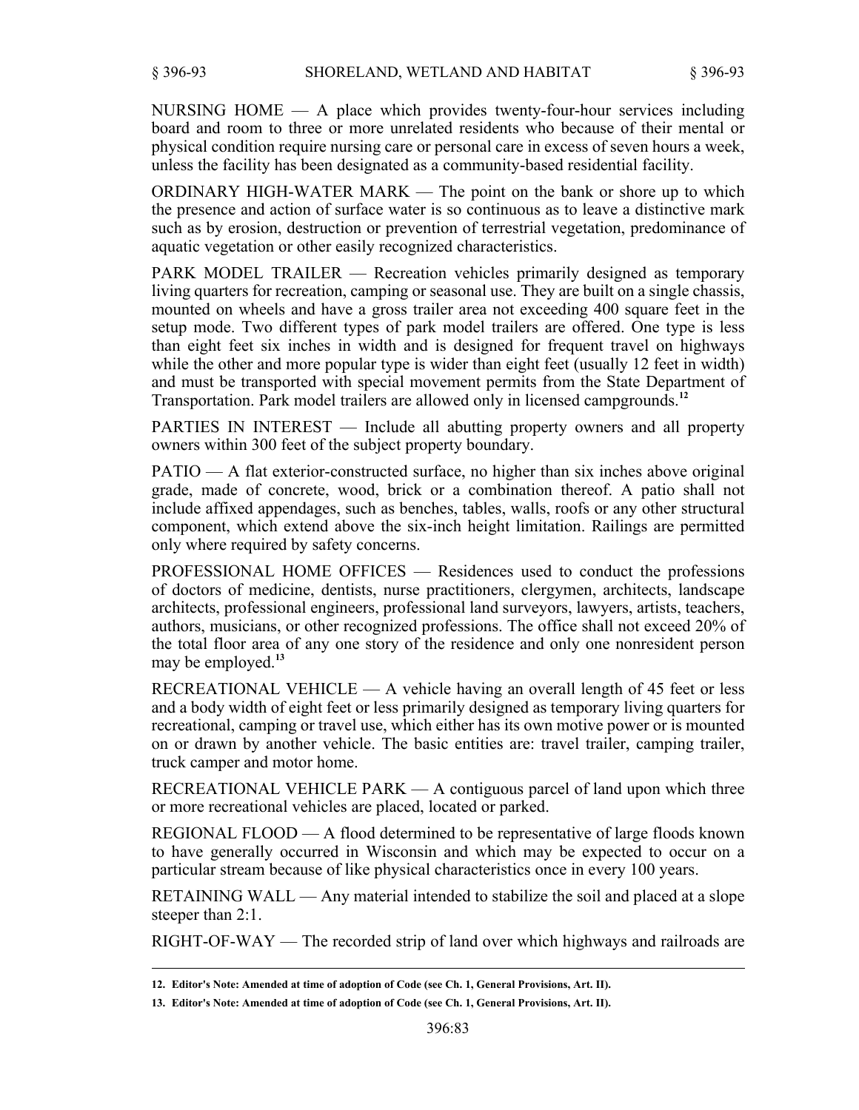NURSING HOME — A place which provides twenty-four-hour services including board and room to three or more unrelated residents who because of their mental or physical condition require nursing care or personal care in excess of seven hours a week, unless the facility has been designated as a community-based residential facility.

ORDINARY HIGH-WATER MARK — The point on the bank or shore up to which the presence and action of surface water is so continuous as to leave a distinctive mark such as by erosion, destruction or prevention of terrestrial vegetation, predominance of aquatic vegetation or other easily recognized characteristics.

PARK MODEL TRAILER — Recreation vehicles primarily designed as temporary living quarters for recreation, camping or seasonal use. They are built on a single chassis, mounted on wheels and have a gross trailer area not exceeding 400 square feet in the setup mode. Two different types of park model trailers are offered. One type is less than eight feet six inches in width and is designed for frequent travel on highways while the other and more popular type is wider than eight feet (usually 12 feet in width) and must be transported with special movement permits from the State Department of Transportation. Park model trailers are allowed only in licensed campgrounds.**<sup>12</sup>**

PARTIES IN INTEREST — Include all abutting property owners and all property owners within 300 feet of the subject property boundary.

PATIO — A flat exterior-constructed surface, no higher than six inches above original grade, made of concrete, wood, brick or a combination thereof. A patio shall not include affixed appendages, such as benches, tables, walls, roofs or any other structural component, which extend above the six-inch height limitation. Railings are permitted only where required by safety concerns.

PROFESSIONAL HOME OFFICES — Residences used to conduct the professions of doctors of medicine, dentists, nurse practitioners, clergymen, architects, landscape architects, professional engineers, professional land surveyors, lawyers, artists, teachers, authors, musicians, or other recognized professions. The office shall not exceed 20% of the total floor area of any one story of the residence and only one nonresident person may be employed.**<sup>13</sup>**

RECREATIONAL VEHICLE — A vehicle having an overall length of 45 feet or less and a body width of eight feet or less primarily designed as temporary living quarters for recreational, camping or travel use, which either has its own motive power or is mounted on or drawn by another vehicle. The basic entities are: travel trailer, camping trailer, truck camper and motor home.

RECREATIONAL VEHICLE PARK — A contiguous parcel of land upon which three or more recreational vehicles are placed, located or parked.

REGIONAL FLOOD — A flood determined to be representative of large floods known to have generally occurred in Wisconsin and which may be expected to occur on a particular stream because of like physical characteristics once in every 100 years.

RETAINING WALL — Any material intended to stabilize the soil and placed at a slope steeper than 2:1.

RIGHT-OF-WAY — The recorded strip of land over which highways and railroads are

**<sup>12.</sup> Editor's Note: Amended at time of adoption of Code (see Ch. 1, General Provisions, Art. II).**

**<sup>13.</sup> Editor's Note: Amended at time of adoption of Code (see Ch. 1, General Provisions, Art. II).**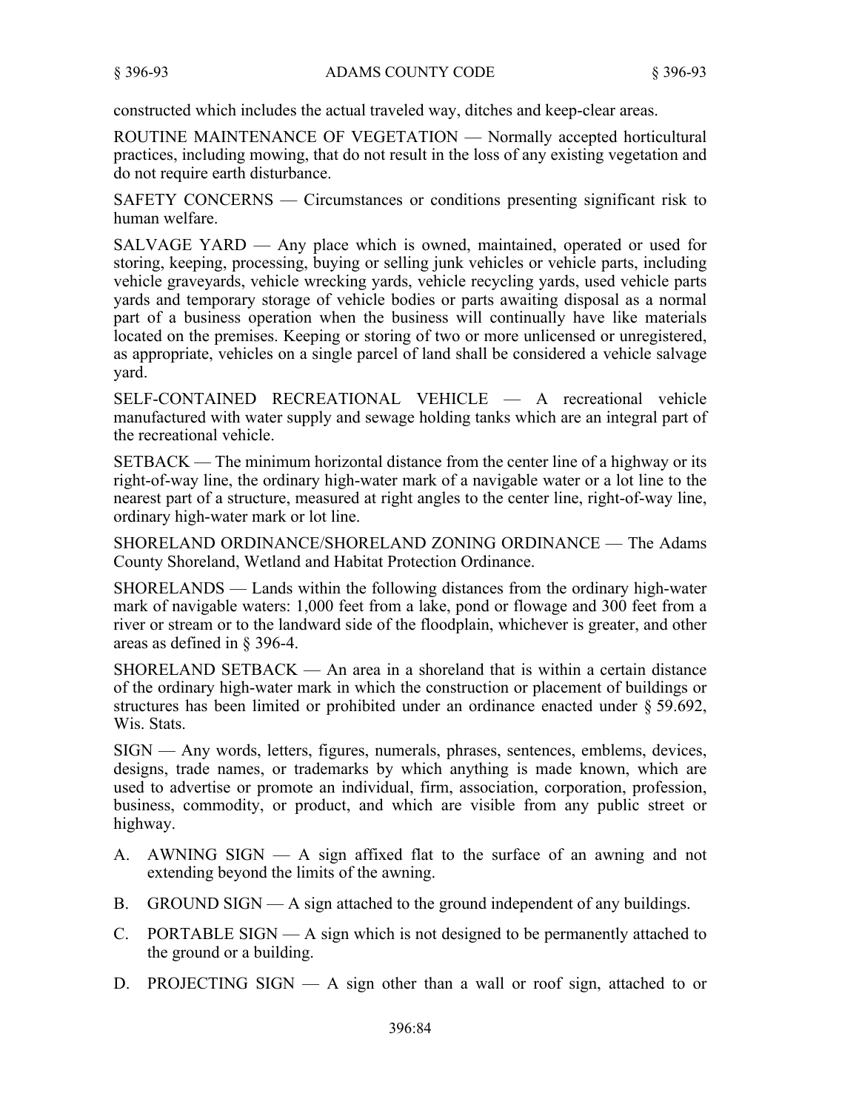constructed which includes the actual traveled way, ditches and keep-clear areas.

ROUTINE MAINTENANCE OF VEGETATION — Normally accepted horticultural practices, including mowing, that do not result in the loss of any existing vegetation and do not require earth disturbance.

SAFETY CONCERNS — Circumstances or conditions presenting significant risk to human welfare.

SALVAGE YARD — Any place which is owned, maintained, operated or used for storing, keeping, processing, buying or selling junk vehicles or vehicle parts, including vehicle graveyards, vehicle wrecking yards, vehicle recycling yards, used vehicle parts yards and temporary storage of vehicle bodies or parts awaiting disposal as a normal part of a business operation when the business will continually have like materials located on the premises. Keeping or storing of two or more unlicensed or unregistered, as appropriate, vehicles on a single parcel of land shall be considered a vehicle salvage yard.

SELF-CONTAINED RECREATIONAL VEHICLE — A recreational vehicle manufactured with water supply and sewage holding tanks which are an integral part of the recreational vehicle.

SETBACK — The minimum horizontal distance from the center line of a highway or its right-of-way line, the ordinary high-water mark of a navigable water or a lot line to the nearest part of a structure, measured at right angles to the center line, right-of-way line, ordinary high-water mark or lot line.

SHORELAND ORDINANCE/SHORELAND ZONING ORDINANCE — The Adams County Shoreland, Wetland and Habitat Protection Ordinance.

SHORELANDS — Lands within the following distances from the ordinary high-water mark of navigable waters: 1,000 feet from a lake, pond or flowage and 300 feet from a river or stream or to the landward side of the floodplain, whichever is greater, and other areas as defined in § 396-4.

SHORELAND SETBACK — An area in a shoreland that is within a certain distance of the ordinary high-water mark in which the construction or placement of buildings or structures has been limited or prohibited under an ordinance enacted under § 59.692, Wis. Stats.

SIGN — Any words, letters, figures, numerals, phrases, sentences, emblems, devices, designs, trade names, or trademarks by which anything is made known, which are used to advertise or promote an individual, firm, association, corporation, profession, business, commodity, or product, and which are visible from any public street or highway.

- A. AWNING SIGN A sign affixed flat to the surface of an awning and not extending beyond the limits of the awning.
- B. GROUND SIGN A sign attached to the ground independent of any buildings.
- PORTABLE SIGN A sign which is not designed to be permanently attached to C. the ground or a building.
- D. PROJECTING SIGN A sign other than a wall or roof sign, attached to or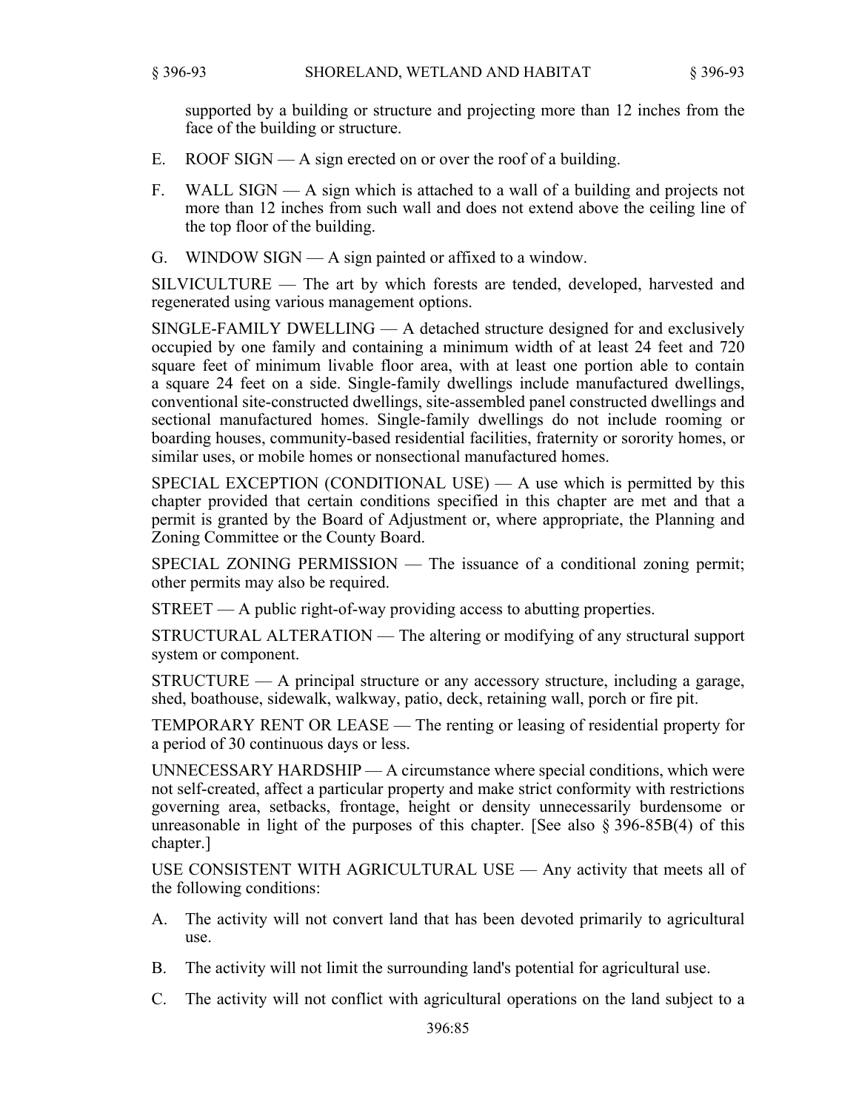supported by a building or structure and projecting more than 12 inches from the face of the building or structure.

- E. ROOF SIGN A sign erected on or over the roof of a building.
- WALL SIGN A sign which is attached to a wall of a building and projects not more than 12 inches from such wall and does not extend above the ceiling line of the top floor of the building. F.
- G. WINDOW SIGN  $A$  sign painted or affixed to a window.

SILVICULTURE — The art by which forests are tended, developed, harvested and regenerated using various management options.

SINGLE-FAMILY DWELLING — A detached structure designed for and exclusively occupied by one family and containing a minimum width of at least 24 feet and 720 square feet of minimum livable floor area, with at least one portion able to contain a square 24 feet on a side. Single-family dwellings include manufactured dwellings, conventional site-constructed dwellings, site-assembled panel constructed dwellings and sectional manufactured homes. Single-family dwellings do not include rooming or boarding houses, community-based residential facilities, fraternity or sorority homes, or similar uses, or mobile homes or nonsectional manufactured homes.

SPECIAL EXCEPTION (CONDITIONAL USE)  $- A$  use which is permitted by this chapter provided that certain conditions specified in this chapter are met and that a permit is granted by the Board of Adjustment or, where appropriate, the Planning and Zoning Committee or the County Board.

SPECIAL ZONING PERMISSION — The issuance of a conditional zoning permit; other permits may also be required.

STREET — A public right-of-way providing access to abutting properties.

STRUCTURAL ALTERATION — The altering or modifying of any structural support system or component.

STRUCTURE — A principal structure or any accessory structure, including a garage, shed, boathouse, sidewalk, walkway, patio, deck, retaining wall, porch or fire pit.

TEMPORARY RENT OR LEASE — The renting or leasing of residential property for a period of 30 continuous days or less.

UNNECESSARY HARDSHIP — A circumstance where special conditions, which were not self-created, affect a particular property and make strict conformity with restrictions governing area, setbacks, frontage, height or density unnecessarily burdensome or unreasonable in light of the purposes of this chapter. [See also § 396-85B(4) of this chapter.]

USE CONSISTENT WITH AGRICULTURAL USE — Any activity that meets all of the following conditions:

- The activity will not convert land that has been devoted primarily to agricultural A. use.
- B. The activity will not limit the surrounding land's potential for agricultural use.
- C. The activity will not conflict with agricultural operations on the land subject to a